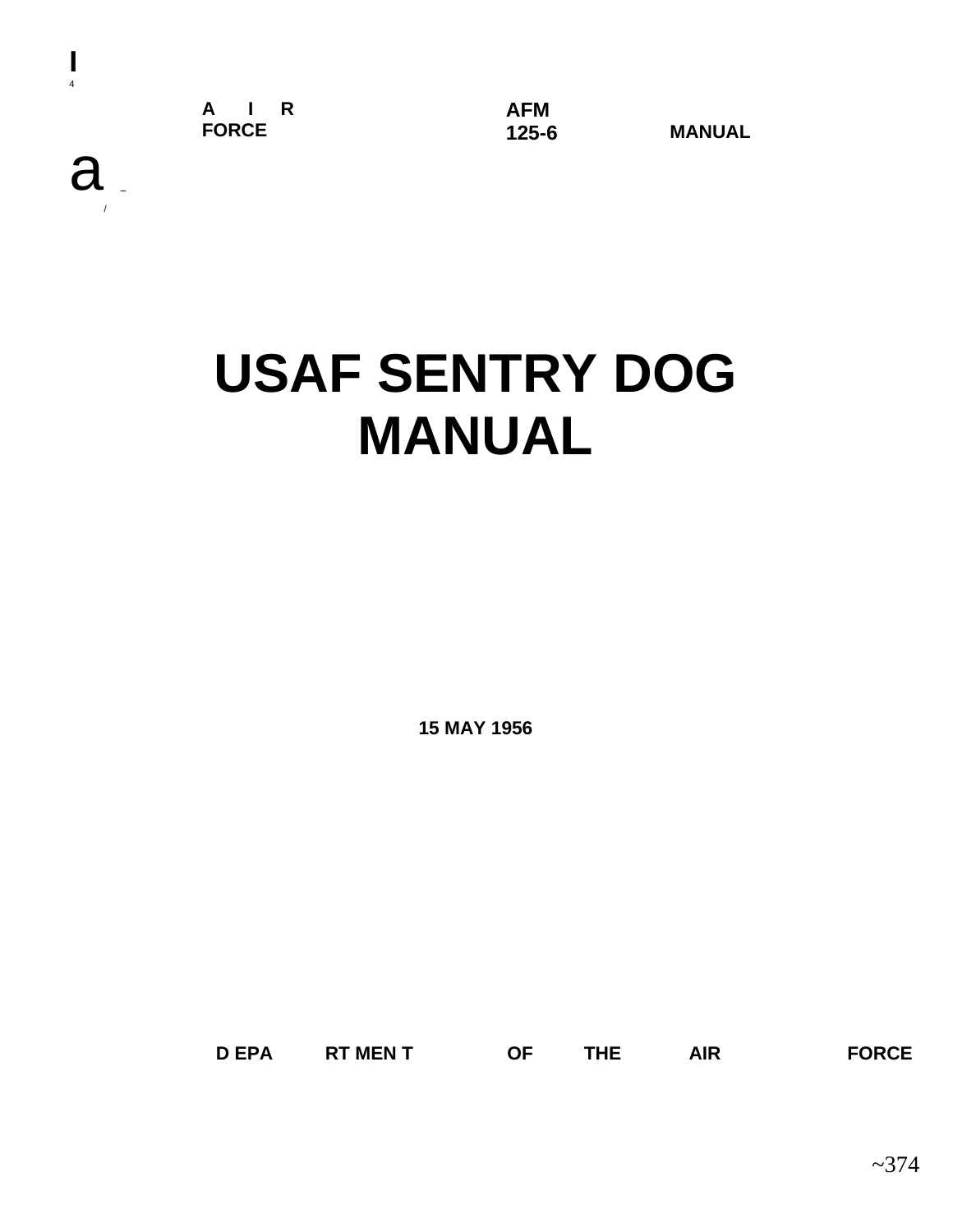a *\_*  /

**I**  4

**A I R FORCE** 

**AFM** 

**MANUAL** 

# **USAF SENTRY DOG MANUAL**

**15 MAY 1956** 

**D EPA RT MEN T OF THE AIR FORCE**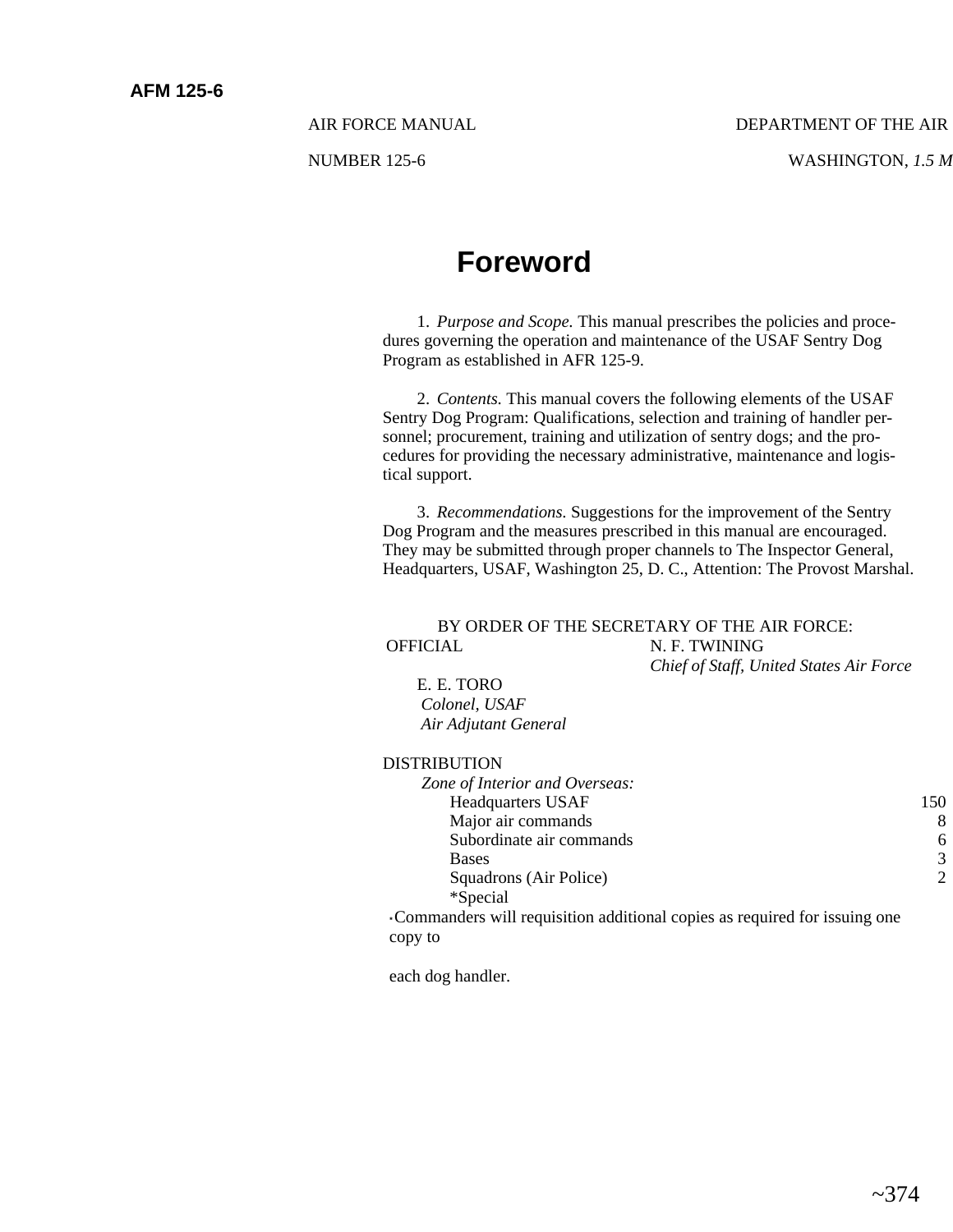NUMBER 125-6 WASHINGTON, *1.5 M*

## **Foreword**

1. *Purpose and Scope.* This manual prescribes the policies and procedures governing the operation and maintenance of the USAF Sentry Dog Program as established in AFR 125-9.

2. *Contents.* This manual covers the following elements of the USAF Sentry Dog Program: Qualifications, selection and training of handler personnel; procurement, training and utilization of sentry dogs; and the procedures for providing the necessary administrative, maintenance and logistical support.

3. *Recommendations.* Suggestions for the improvement of the Sentry Dog Program and the measures prescribed in this manual are encouraged. They may be submitted through proper channels to The Inspector General, Headquarters, USAF, Washington 25, D. C., Attention: The Provost Marshal.

## BY ORDER OF THE SECRETARY OF THE AIR FORCE: OFFICIAL N. F. TWINING

*Chief of Staff, United States Air Force* 

## E. E. TORO *Colonel, USAF Air Adjutant General*

#### DISTRIBUTION

| Zone of Interior and Overseas:                                                                                                                                                                                                        |                |
|---------------------------------------------------------------------------------------------------------------------------------------------------------------------------------------------------------------------------------------|----------------|
| <b>Headquarters USAF</b>                                                                                                                                                                                                              | 150            |
| Major air commands                                                                                                                                                                                                                    |                |
| Subordinate air commands                                                                                                                                                                                                              | 6              |
| <b>Bases</b>                                                                                                                                                                                                                          | 3              |
| Squadrons (Air Police)                                                                                                                                                                                                                | $\overline{2}$ |
| *Special                                                                                                                                                                                                                              |                |
| $\alpha$ . In the contract of the constant of the contract of the contract of $\alpha$ , the contract of the contract of the contract of the contract of the contract of the contract of the contract of the contract of the contract |                |

*\** Commanders will requisition additional copies as required for issuing one copy to

each dog handler.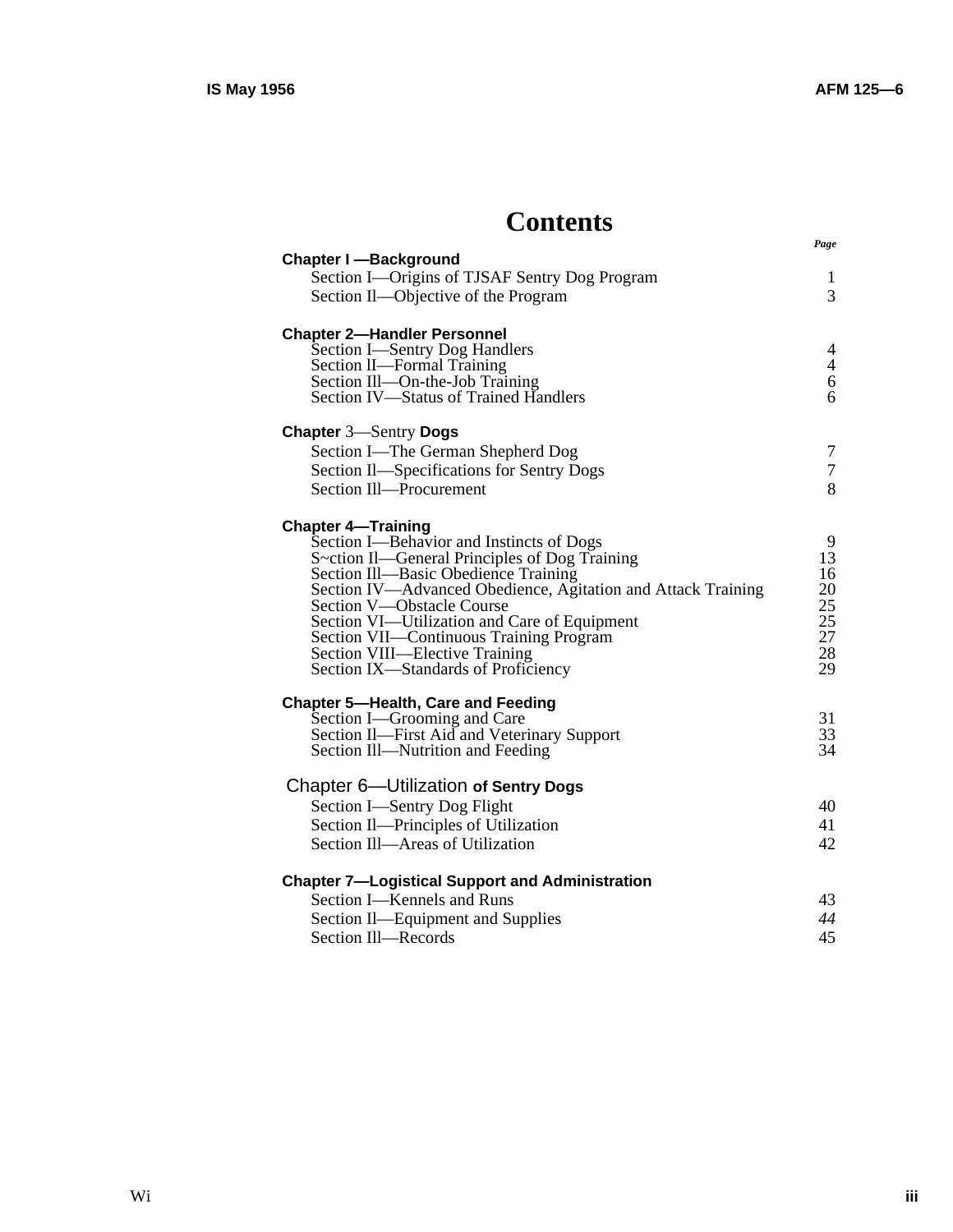## **Contents**

|                                                                                           | Page                                       |
|-------------------------------------------------------------------------------------------|--------------------------------------------|
| <b>Chapter I-Background</b><br>Section I-Origins of TJSAF Sentry Dog Program              | 1                                          |
|                                                                                           | $\overline{3}$                             |
| Section Il-Objective of the Program                                                       |                                            |
| <b>Chapter 2-Handler Personnel</b>                                                        |                                            |
| Section I—Sentry Dog Handlers                                                             | $\overline{4}$                             |
| Section II-Formal Training                                                                |                                            |
| Section Ill—On-the-Job Training<br>Section IV—Status of Trained Handlers                  | $\begin{array}{c} 4 \\ 6 \\ 6 \end{array}$ |
|                                                                                           |                                            |
| <b>Chapter 3-Sentry Dogs</b>                                                              |                                            |
| Section I-The German Shepherd Dog                                                         | $\tau$                                     |
| Section Il-Specifications for Sentry Dogs                                                 | $\tau$                                     |
| Section Ill-Procurement                                                                   | 8                                          |
|                                                                                           |                                            |
| <b>Chapter 4-Training</b>                                                                 |                                            |
| Section I—Behavior and Instincts of Dogs<br>S~ction Il—General Principles of Dog Training | 9<br>13                                    |
| Section Ill-Basic Obedience Training                                                      | 16                                         |
| Section IV—Advanced Obedience, Agitation and Attack Training                              | 20                                         |
| Section V-Obstacle Course                                                                 | 25                                         |
| Section VI—Utilization and Care of Equipment                                              |                                            |
| Section VII-Continuous Training Program                                                   | $\frac{25}{27}$                            |
| Section VIII-Elective Training                                                            | 28                                         |
| Section IX-Standards of Proficiency                                                       | 29                                         |
| <b>Chapter 5-Health, Care and Feeding</b>                                                 |                                            |
| Section I—Grooming and Care                                                               | 31                                         |
| Section II—First Aid and Veterinary Support                                               | 33                                         |
| Section Ill-Nutrition and Feeding                                                         | 34                                         |
| Chapter 6-Utilization of Sentry Dogs                                                      |                                            |
| Section I-Sentry Dog Flight                                                               | 40                                         |
| Section Il-Principles of Utilization                                                      | 41                                         |
| Section Ill-Areas of Utilization                                                          | 42                                         |
|                                                                                           |                                            |
| <b>Chapter 7-Logistical Support and Administration</b>                                    |                                            |
| Section I-Kennels and Runs                                                                | 43                                         |
| Section Il-Equipment and Supplies                                                         | 44                                         |
| Section Ill-Records                                                                       | 45                                         |
|                                                                                           |                                            |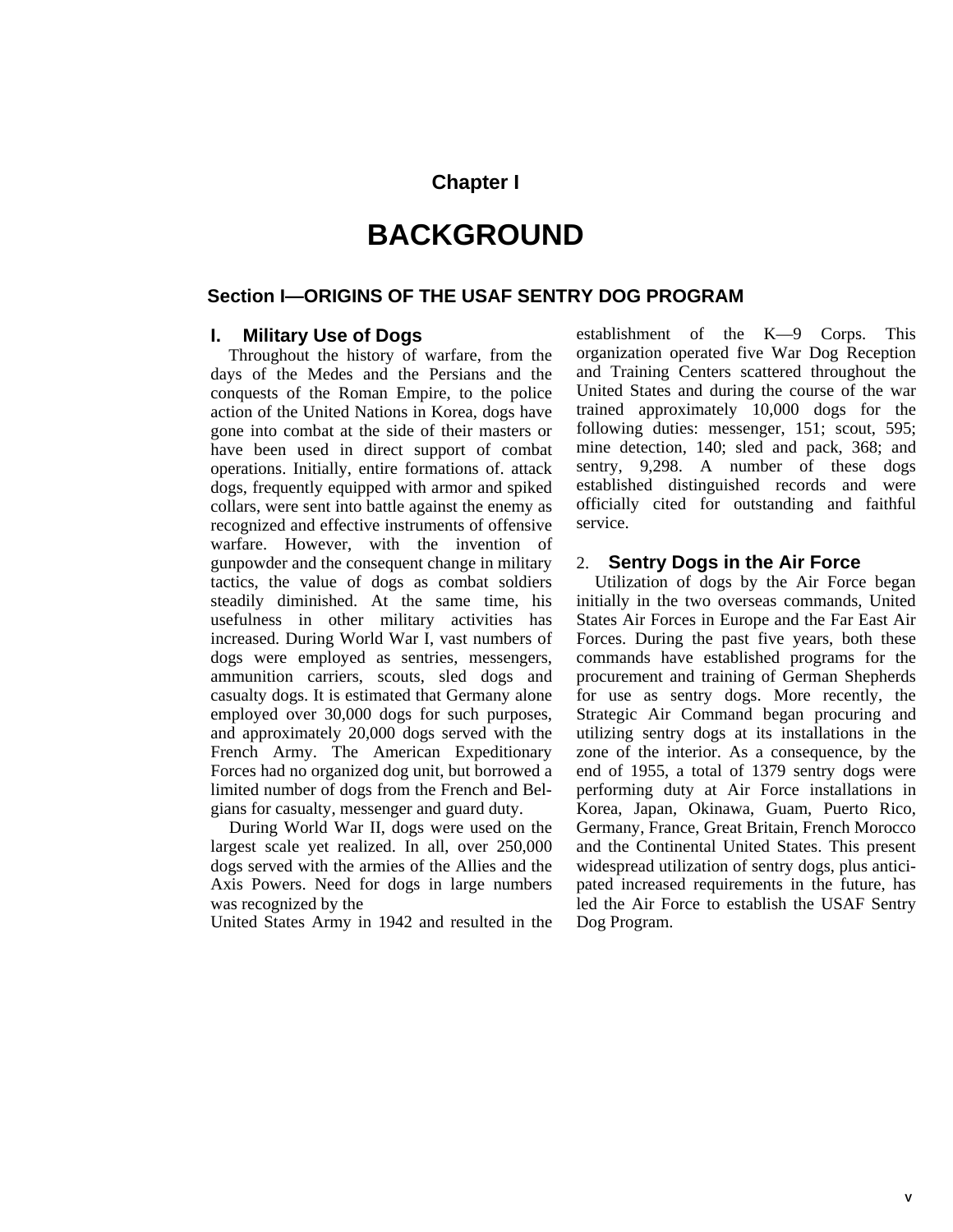## **Chapter I**

## **BACKGROUND**

### **Section I—ORIGINS OF THE USAF SENTRY DOG PROGRAM**

### **I. Military Use of Dogs**

Throughout the history of warfare, from the days of the Medes and the Persians and the conquests of the Roman Empire, to the police action of the United Nations in Korea, dogs have gone into combat at the side of their masters or have been used in direct support of combat operations. Initially, entire formations of. attack dogs, frequently equipped with armor and spiked collars, were sent into battle against the enemy as recognized and effective instruments of offensive warfare. However, with the invention of gunpowder and the consequent change in military tactics, the value of dogs as combat soldiers steadily diminished. At the same time, his usefulness in other military activities has increased. During World War I, vast numbers of dogs were employed as sentries, messengers, ammunition carriers, scouts, sled dogs and casualty dogs. It is estimated that Germany alone employed over 30,000 dogs for such purposes, and approximately 20,000 dogs served with the French Army. The American Expeditionary Forces had no organized dog unit, but borrowed a limited number of dogs from the French and Belgians for casualty, messenger and guard duty.

During World War II, dogs were used on the largest scale yet realized. In all, over 250,000 dogs served with the armies of the Allies and the Axis Powers. Need for dogs in large numbers was recognized by the

United States Army in 1942 and resulted in the

establishment of the K—9 Corps. This organization operated five War Dog Reception and Training Centers scattered throughout the United States and during the course of the war trained approximately 10,000 dogs for the following duties: messenger, 151; scout, 595; mine detection, 140; sled and pack, 368; and sentry, 9,298. A number of these dogs established distinguished records and were officially cited for outstanding and faithful service.

#### 2. **Sentry Dogs in the Air Force**

Utilization of dogs by the Air Force began initially in the two overseas commands, United States Air Forces in Europe and the Far East Air Forces. During the past five years, both these commands have established programs for the procurement and training of German Shepherds for use as sentry dogs. More recently, the Strategic Air Command began procuring and utilizing sentry dogs at its installations in the zone of the interior. As a consequence, by the end of 1955, a total of 1379 sentry dogs were performing duty at Air Force installations in Korea, Japan, Okinawa, Guam, Puerto Rico, Germany, France, Great Britain, French Morocco and the Continental United States. This present widespread utilization of sentry dogs, plus anticipated increased requirements in the future, has led the Air Force to establish the USAF Sentry Dog Program.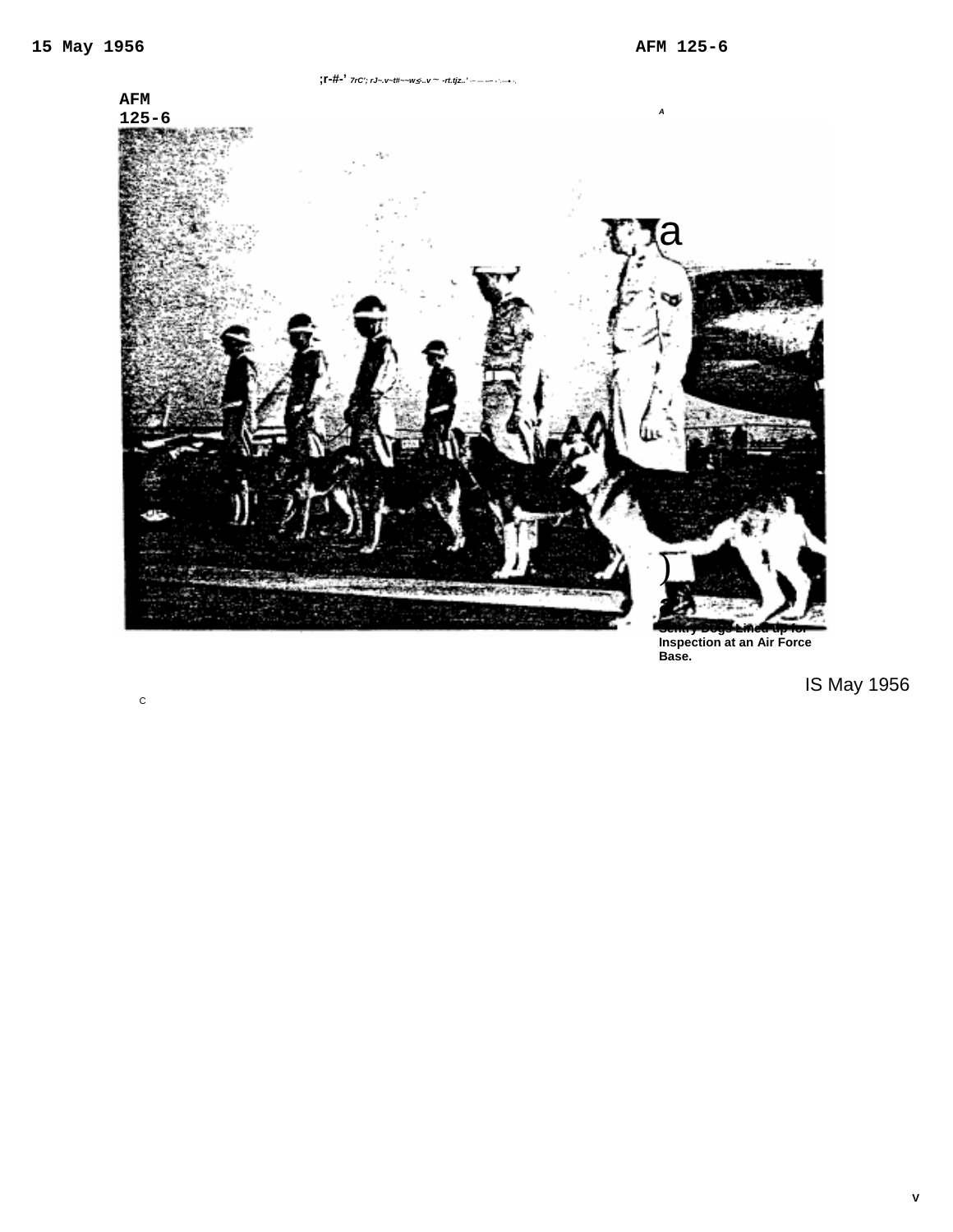

**;r-#-'** *7rC'; rJ~.v~t#~~w*≤*-..v* ~ *-rt.tjz..'* -~ — **--~ -** '.—• -,

**Inspection at an Air Force Base.**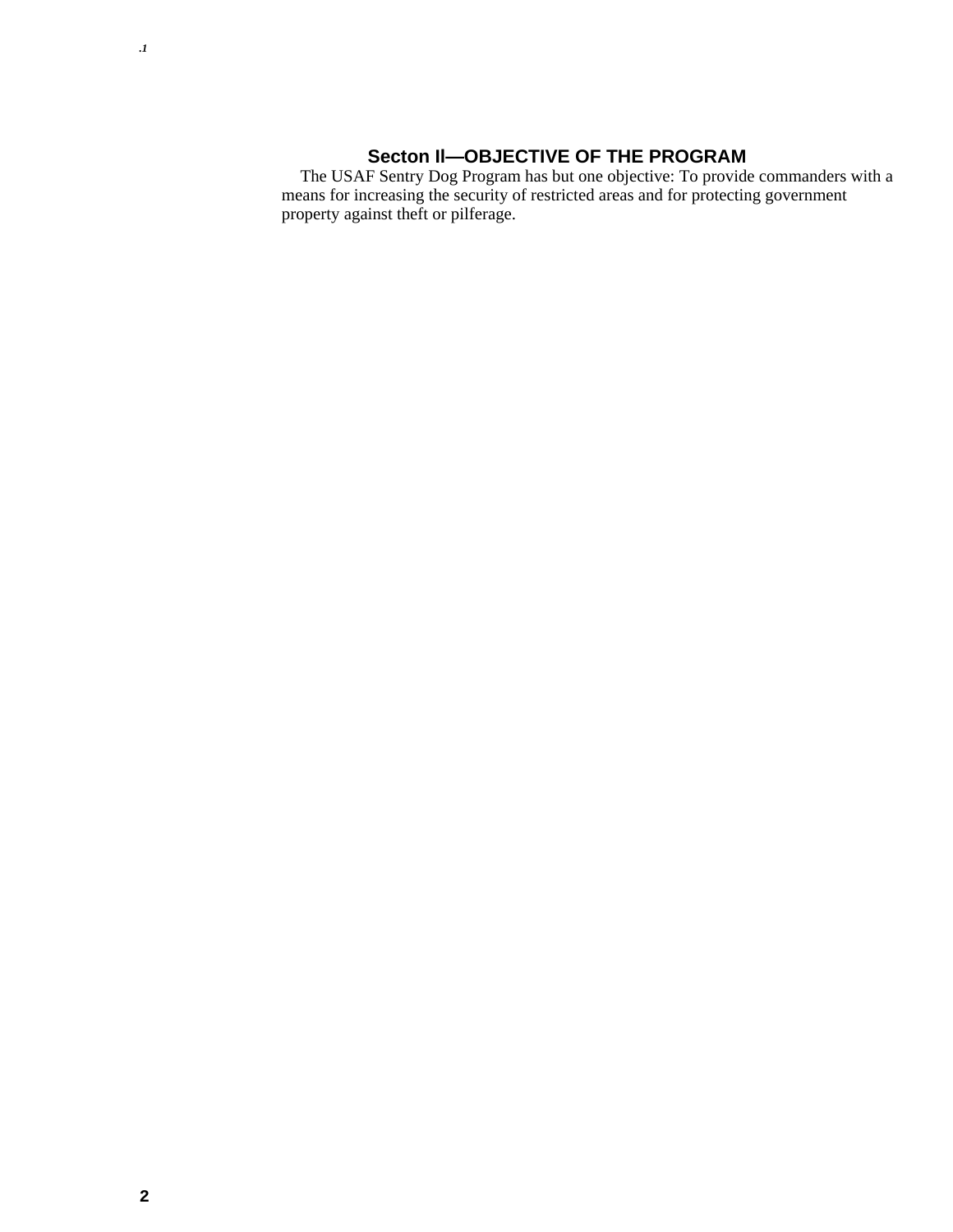## **Secton Il—OBJECTIVE OF THE PROGRAM**

The USAF Sentry Dog Program has but one objective: To provide commanders with a means for increasing the security of restricted areas and for protecting government property against theft or pilferage.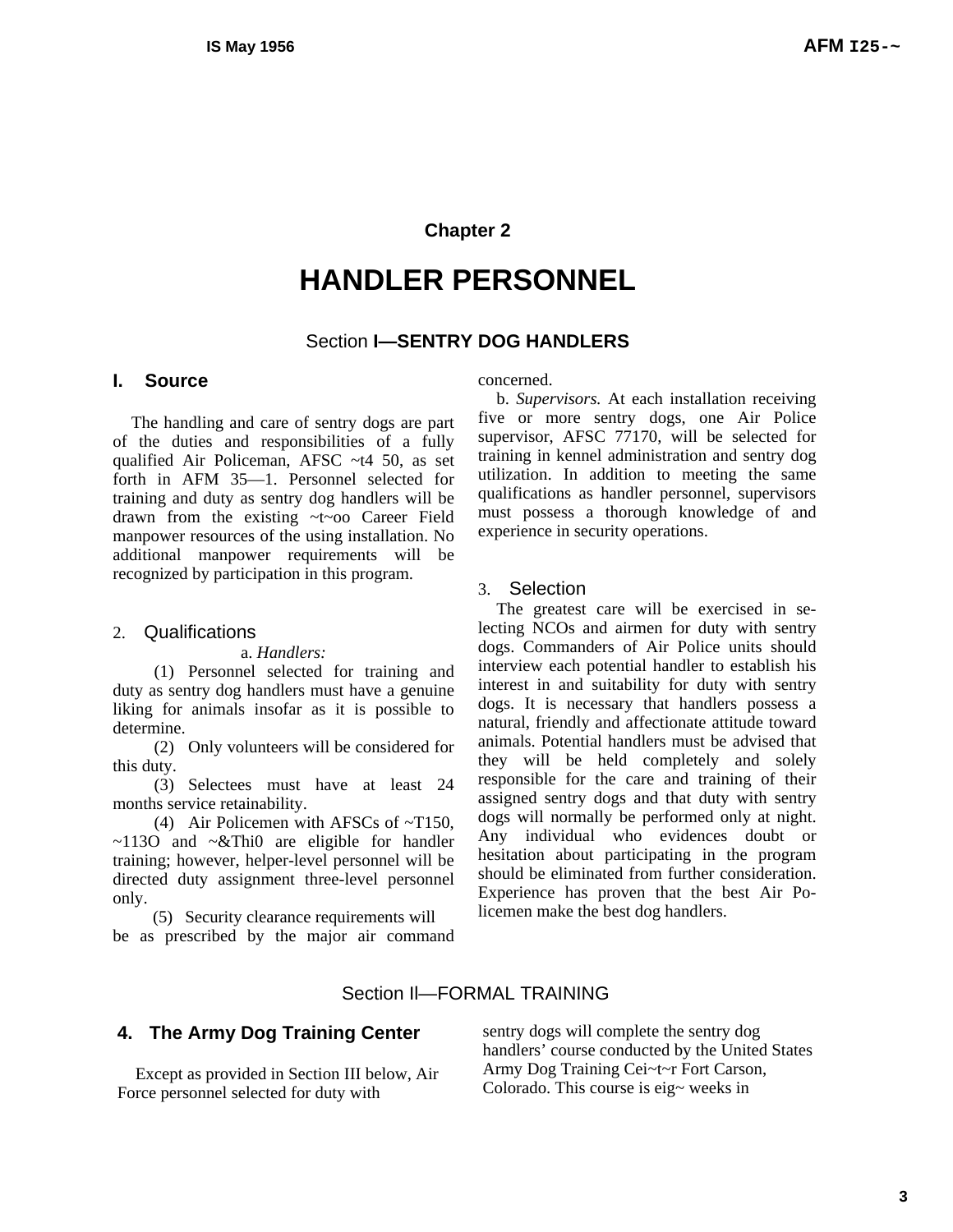## **Chapter 2**

## **HANDLER PERSONNEL**

## Section **I—SENTRY DOG HANDLERS**

## **I. Source**

The handling and care of sentry dogs are part of the duties and responsibilities of a fully qualified Air Policeman, AFSC ~t4 50, as set forth in AFM 35—1. Personnel selected for training and duty as sentry dog handlers will be drawn from the existing ~t~oo Career Field manpower resources of the using installation. No additional manpower requirements will be recognized by participation in this program.

## 2. Qualifications

#### a. *Handlers:*

(1) Personnel selected for training and duty as sentry dog handlers must have a genuine liking for animals insofar as it is possible to determine.

(2) Only volunteers will be considered for this duty.

(3) Selectees must have at least 24 months service retainability.

(4) Air Policemen with AFSCs of ~T150,  $\sim$ 1130 and  $\sim$ &Thi0 are eligible for handler training; however, helper-level personnel will be directed duty assignment three-level personnel only.

(5) Security clearance requirements will be as prescribed by the major air command concerned.

b. *Supervisors.* At each installation receiving five or more sentry dogs, one Air Police supervisor, AFSC 77170, will be selected for training in kennel administration and sentry dog utilization. In addition to meeting the same qualifications as handler personnel, supervisors must possess a thorough knowledge of and experience in security operations.

## 3. Selection

The greatest care will be exercised in selecting NCOs and airmen for duty with sentry dogs. Commanders of Air Police units should interview each potential handler to establish his interest in and suitability for duty with sentry dogs. It is necessary that handlers possess a natural, friendly and affectionate attitude toward animals. Potential handlers must be advised that they will be held completely and solely responsible for the care and training of their assigned sentry dogs and that duty with sentry dogs will normally be performed only at night. Any individual who evidences doubt or hesitation about participating in the program should be eliminated from further consideration. Experience has proven that the best Air Policemen make the best dog handlers.

## Section Il—FORMAL TRAINING

## **4. The Army Dog Training Center**

Except as provided in Section III below, Air Force personnel selected for duty with

sentry dogs will complete the sentry dog handlers' course conducted by the United States Army Dog Training Cei~t~r Fort Carson, Colorado. This course is eig~ weeks in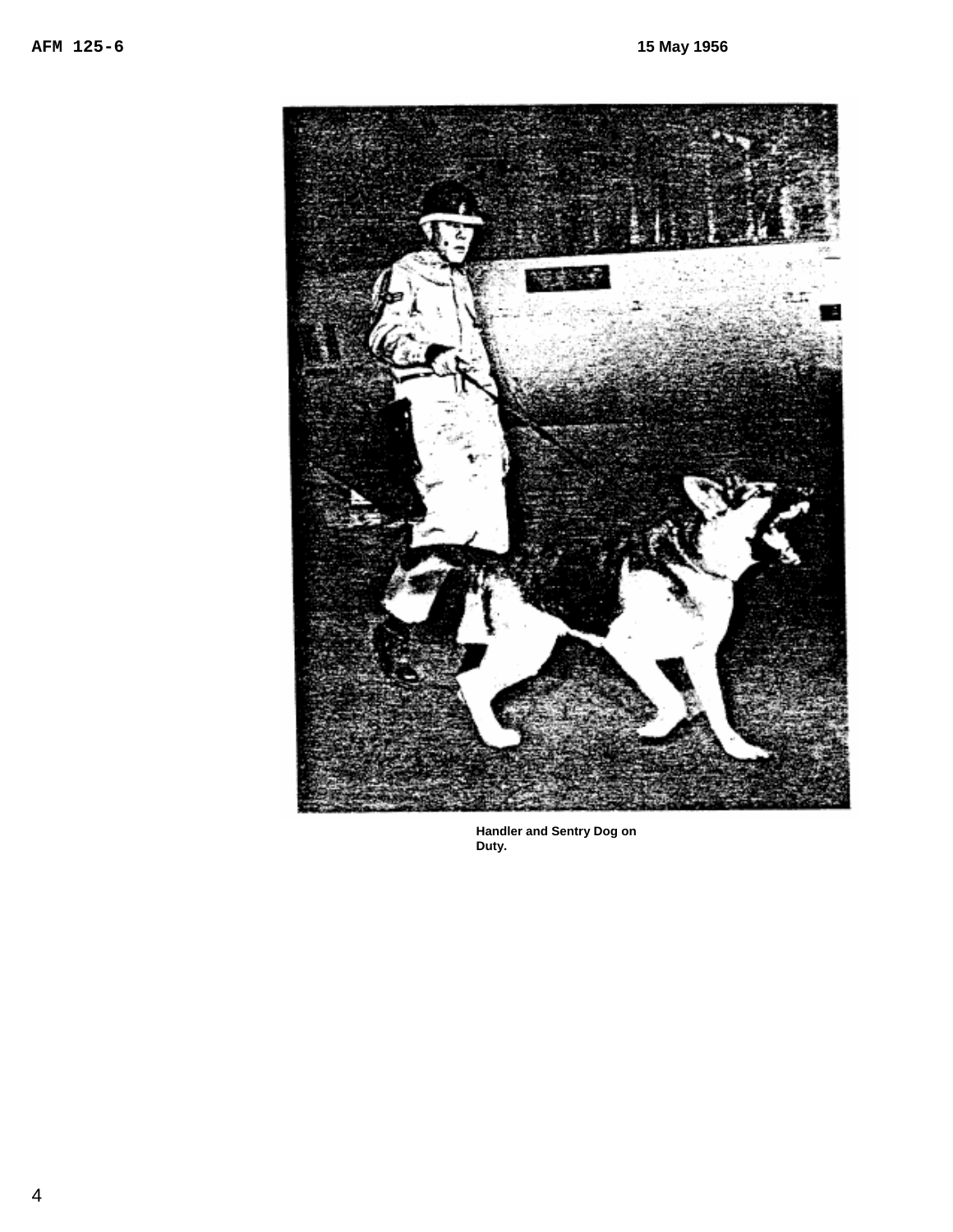

**Handler and Sentry Dog on Duty.**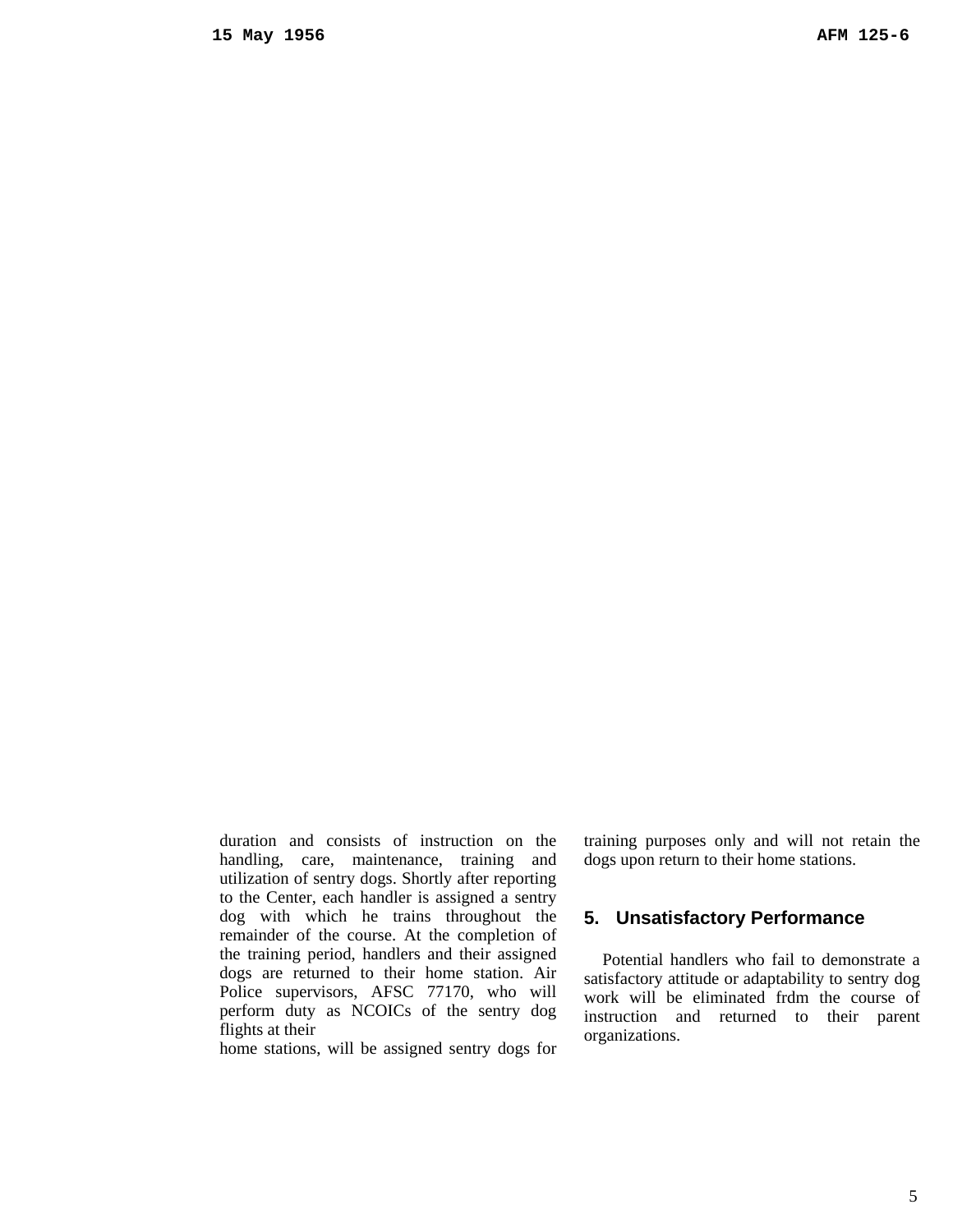duration and consists of instruction on the handling, care, maintenance, training and utilization of sentry dogs. Shortly after reporting to the Center, each handler is assigned a sentry dog with which he trains throughout the remainder of the course. At the completion of the training period, handlers and their assigned dogs are returned to their home station. Air Police supervisors, AFSC 77170, who will perform duty as NCOICs of the sentry dog flights at their

home stations, will be assigned sentry dogs for

training purposes only and will not retain the dogs upon return to their home stations.

## **5. Unsatisfactory Performance**

Potential handlers who fail to demonstrate a satisfactory attitude or adaptability to sentry dog work will be eliminated frdm the course of instruction and returned to their parent organizations.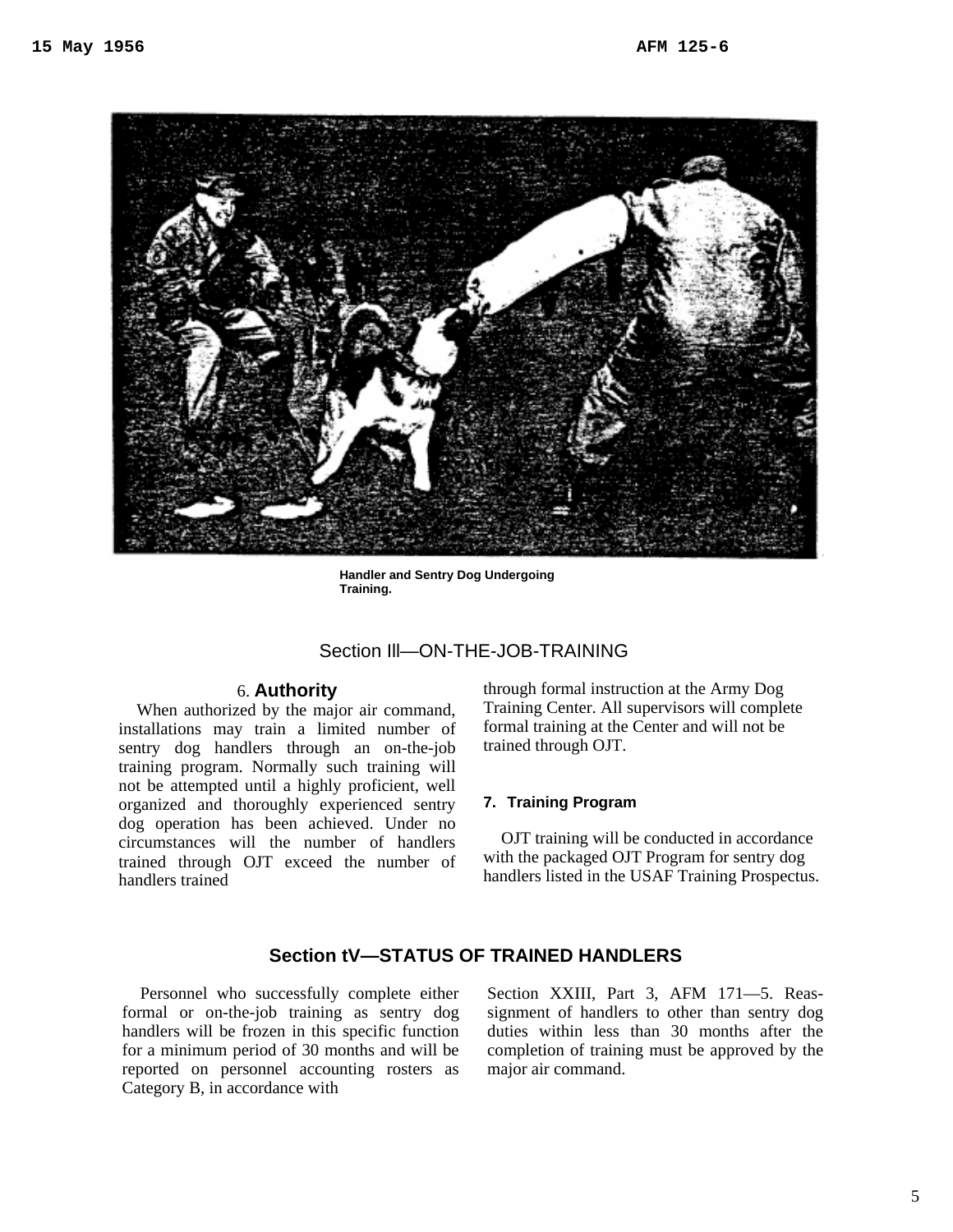

**Handler and Sentry Dog Undergoing Training.** 

## Section Ill—ON-THE-JOB-TRAINING

#### 6. **Authority**

When authorized by the major air command, installations may train a limited number of sentry dog handlers through an on-the-job training program. Normally such training will not be attempted until a highly proficient, well organized and thoroughly experienced sentry dog operation has been achieved. Under no circumstances will the number of handlers trained through OJT exceed the number of handlers trained

through formal instruction at the Army Dog Training Center. All supervisors will complete formal training at the Center and will not be trained through OJT.

#### **7. Training Program**

OJT training will be conducted in accordance with the packaged OJT Program for sentry dog handlers listed in the USAF Training Prospectus.

## **Section tV—STATUS OF TRAINED HANDLERS**

Personnel who successfully complete either formal or on-the-job training as sentry dog handlers will be frozen in this specific function for a minimum period of 30 months and will be reported on personnel accounting rosters as Category B, in accordance with

Section XXIII, Part 3, AFM 171—5. Reassignment of handlers to other than sentry dog duties within less than 30 months after the completion of training must be approved by the major air command.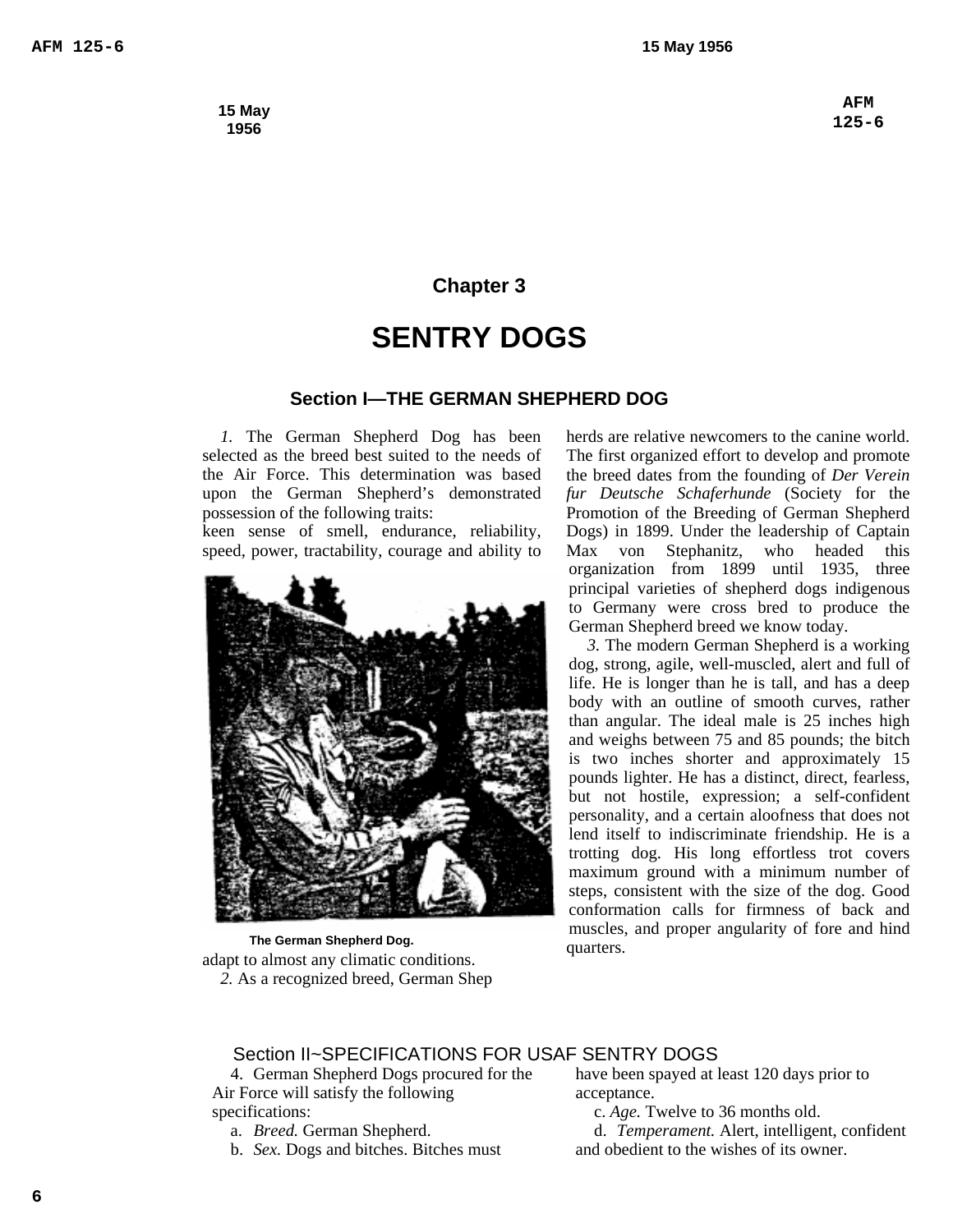**15 May 1956** 

## **Chapter 3**

## **SENTRY DOGS**

#### **Section I—THE GERMAN SHEPHERD DOG**

*1.* The German Shepherd Dog has been selected as the breed best suited to the needs of the Air Force. This determination was based upon the German Shepherd's demonstrated possession of the following traits:

keen sense of smell, endurance, reliability, speed, power, tractability, courage and ability to



adapt to almost any climatic conditions. *2.* As a recognized breed, German Shep The German Shepherd Dog. **The German Shepherd Dog. The Servers** 

herds are relative newcomers to the canine world. The first organized effort to develop and promote the breed dates from the founding of *Der Verein fur Deutsche Schaferhunde* (Society for the Promotion of the Breeding of German Shepherd Dogs) in 1899. Under the leadership of Captain Max von Stephanitz, who headed this organization from 1899 until 1935, three principal varieties of shepherd dogs indigenous to Germany were cross bred to produce the German Shepherd breed we know today.

*3.* The modern German Shepherd is a working dog, strong, agile, well-muscled, alert and full of life. He is longer than he is tall, and has a deep body with an outline of smooth curves, rather than angular. The ideal male is 25 inches high and weighs between 75 and 85 pounds; the bitch is two inches shorter and approximately 15 pounds lighter. He has a distinct, direct, fearless, but not hostile, expression; a self-confident personality, and a certain aloofness that does not lend itself to indiscriminate friendship. He is a trotting dog. His long effortless trot covers maximum ground with a minimum number of steps, consistent with the size of the dog. Good conformation calls for firmness of back and muscles, and proper angularity of fore and hind

## Section II~SPECIFICATIONS FOR USAF SENTRY DOGS

4. German Shepherd Dogs procured for the Air Force will satisfy the following specifications:

- a. *Breed.* German Shepherd.
- b. *Sex.* Dogs and bitches. Bitches must

have been spayed at least 120 days prior to acceptance.

c. *Age.* Twelve to 36 months old.

d. *Temperament.* Alert, intelligent, confident and obedient to the wishes of its owner.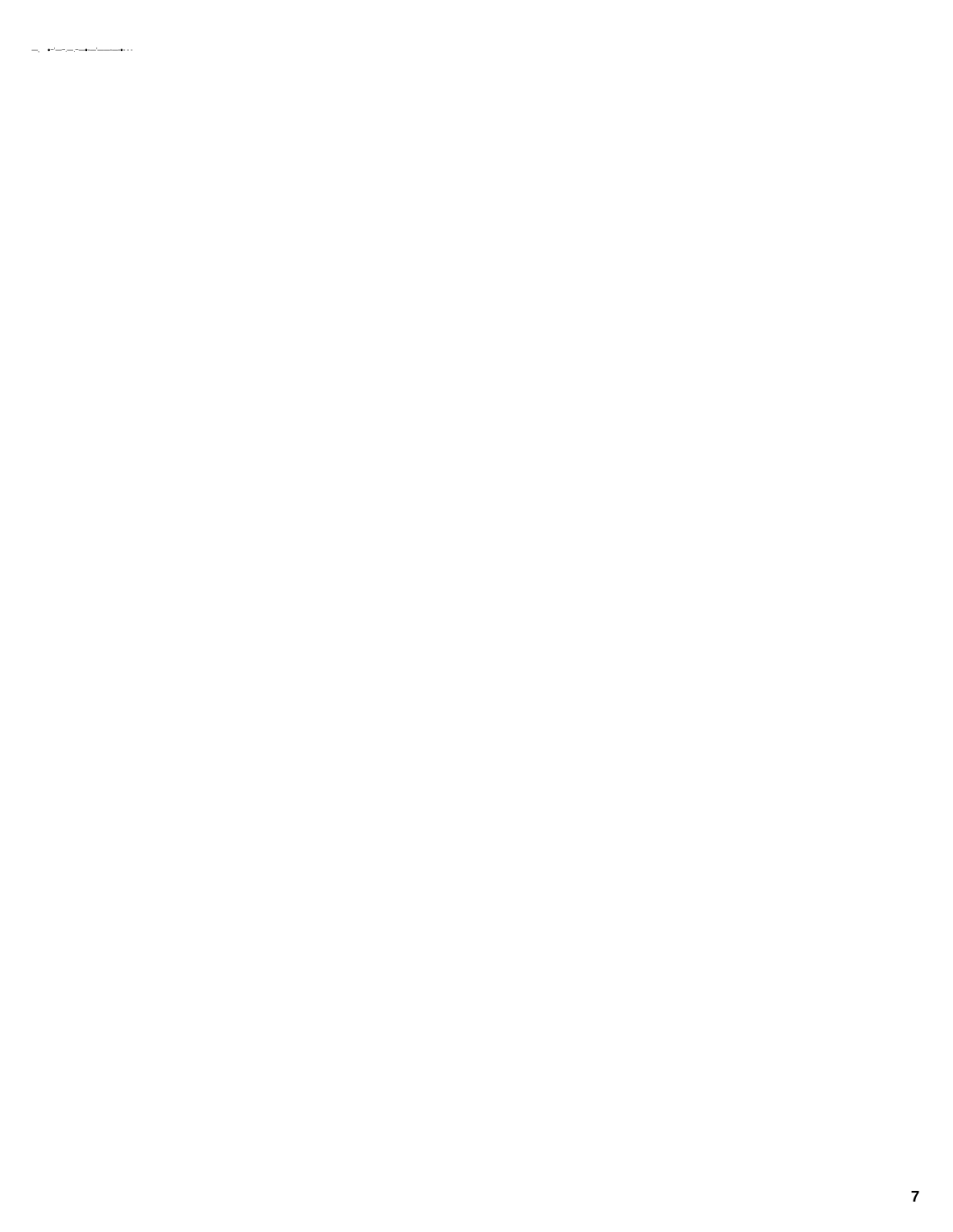#### كسمس  $\ddotsc$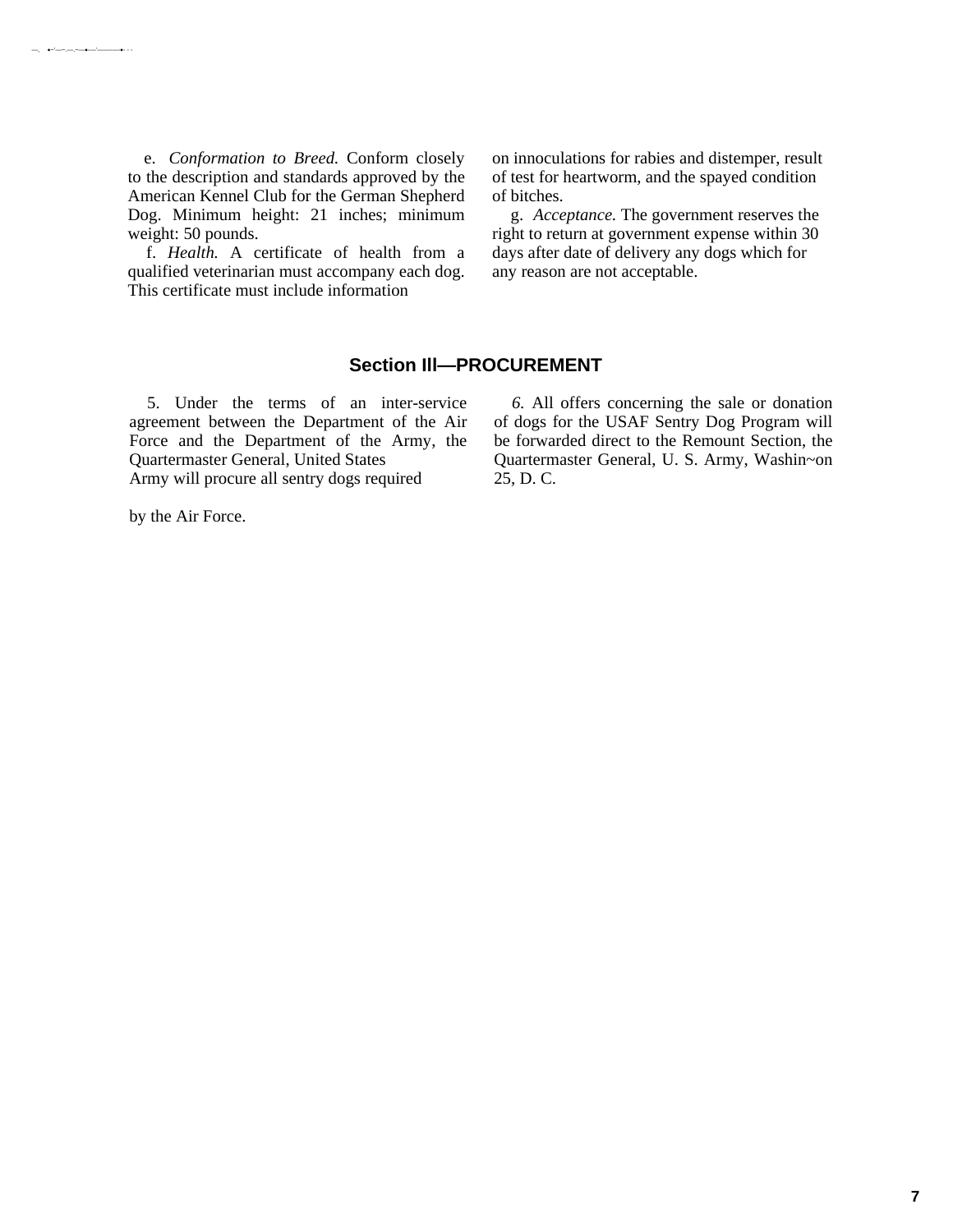e. *Conformation to Breed.* Conform closely to the description and standards approved by the American Kennel Club for the German Shepherd Dog. Minimum height: 21 inches; minimum weight: 50 pounds.

f. *Health.* A certificate of health from a qualified veterinarian must accompany each dog. This certificate must include information

on innoculations for rabies and distemper, result of test for heartworm, and the spayed condition of bitches.

g. *Acceptance.* The government reserves the right to return at government expense within 30 days after date of delivery any dogs which for any reason are not acceptable.

## **Section Ill—PROCUREMENT**

5. Under the terms of an inter-service agreement between the Department of the Air Force and the Department of the Army, the Quartermaster General, United States Army will procure all sentry dogs required

by the Air Force.

—, •~'—~.—.~—•-—'——-—-•- - -

*6.* All offers concerning the sale or donation of dogs for the USAF Sentry Dog Program will be forwarded direct to the Remount Section, the Quartermaster General, U. S. Army, Washin~on 25, D. C.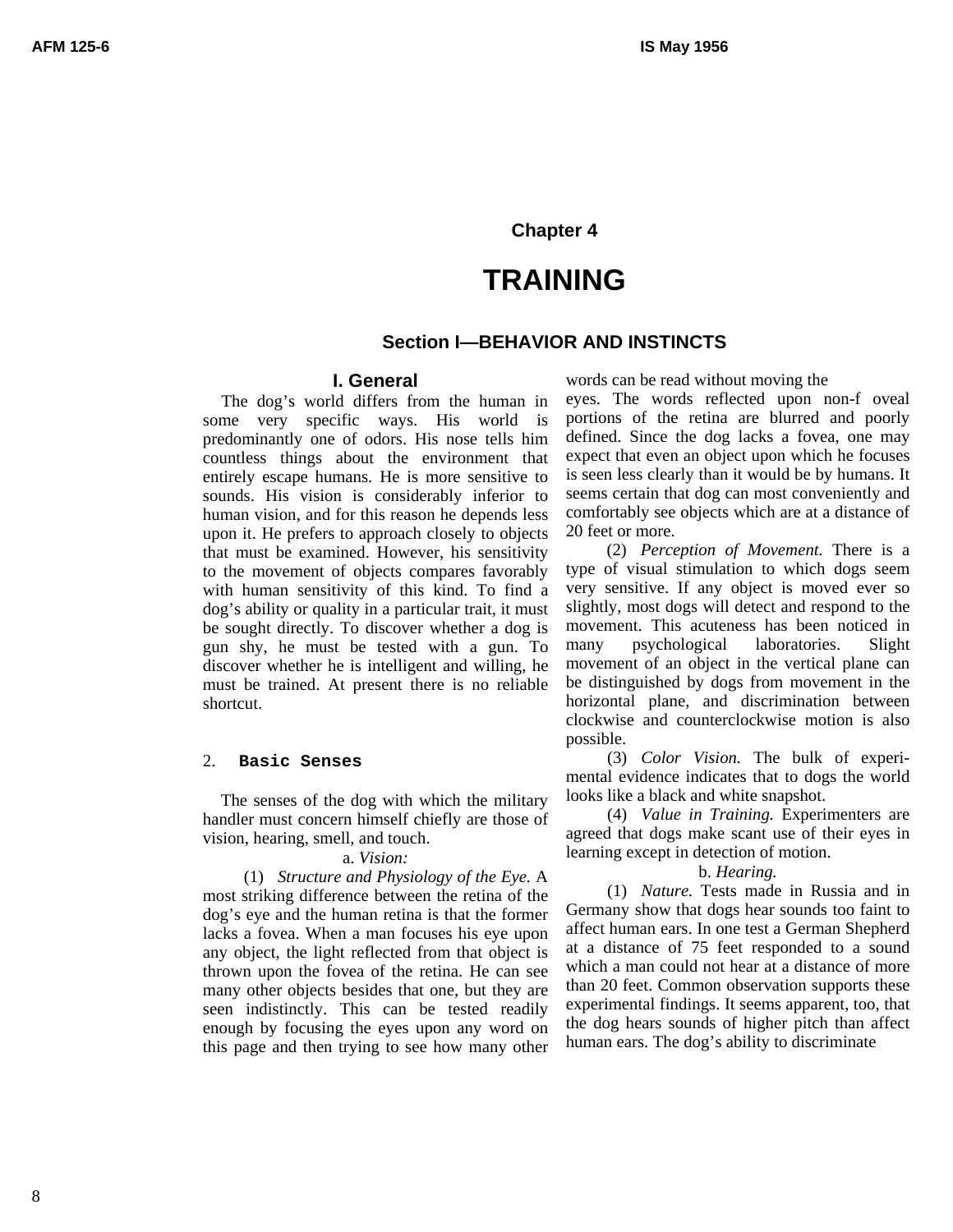## **Chapter 4**

## **TRAINING**

## **Section I—BEHAVIOR AND INSTINCTS**

#### **I. General**

The dog's world differs from the human in some very specific ways. His world is predominantly one of odors. His nose tells him countless things about the environment that entirely escape humans. He is more sensitive to sounds. His vision is considerably inferior to human vision, and for this reason he depends less upon it. He prefers to approach closely to objects that must be examined. However, his sensitivity to the movement of objects compares favorably with human sensitivity of this kind. To find a dog's ability or quality in a particular trait, it must be sought directly. To discover whether a dog is gun shy, he must be tested with a gun. To discover whether he is intelligent and willing, he must be trained. At present there is no reliable shortcut.

#### 2. **Basic Senses**

The senses of the dog with which the military handler must concern himself chiefly are those of vision, hearing, smell, and touch.

#### a. *Vision:*

(1) *Structure and Physiology of the Eye.* A most striking difference between the retina of the dog's eye and the human retina is that the former lacks a fovea. When a man focuses his eye upon any object, the light reflected from that object is thrown upon the fovea of the retina. He can see many other objects besides that one, but they are seen indistinctly. This can be tested readily enough by focusing the eyes upon any word on this page and then trying to see how many other words can be read without moving the

eyes. The words reflected upon non-f oveal portions of the retina are blurred and poorly defined. Since the dog lacks a fovea, one may expect that even an object upon which he focuses is seen less clearly than it would be by humans. It seems certain that dog can most conveniently and comfortably see objects which are at a distance of 20 feet or more.

(2) *Perception of Movement.* There is a type of visual stimulation to which dogs seem very sensitive. If any object is moved ever so slightly, most dogs will detect and respond to the movement. This acuteness has been noticed in many psychological laboratories. Slight movement of an object in the vertical plane can be distinguished by dogs from movement in the horizontal plane, and discrimination between clockwise and counterclockwise motion is also possible.

(3) *Color Vision.* The bulk of experimental evidence indicates that to dogs the world looks like a black and white snapshot.

(4) *Value in Training.* Experimenters are agreed that dogs make scant use of their eyes in learning except in detection of motion.

#### b. *Hearing.*

(1) *Nature.* Tests made in Russia and in Germany show that dogs hear sounds too faint to affect human ears. In one test a German Shepherd at a distance of 75 feet responded to a sound which a man could not hear at a distance of more than 20 feet. Common observation supports these experimental findings. It seems apparent, too, that the dog hears sounds of higher pitch than affect human ears. The dog's ability to discriminate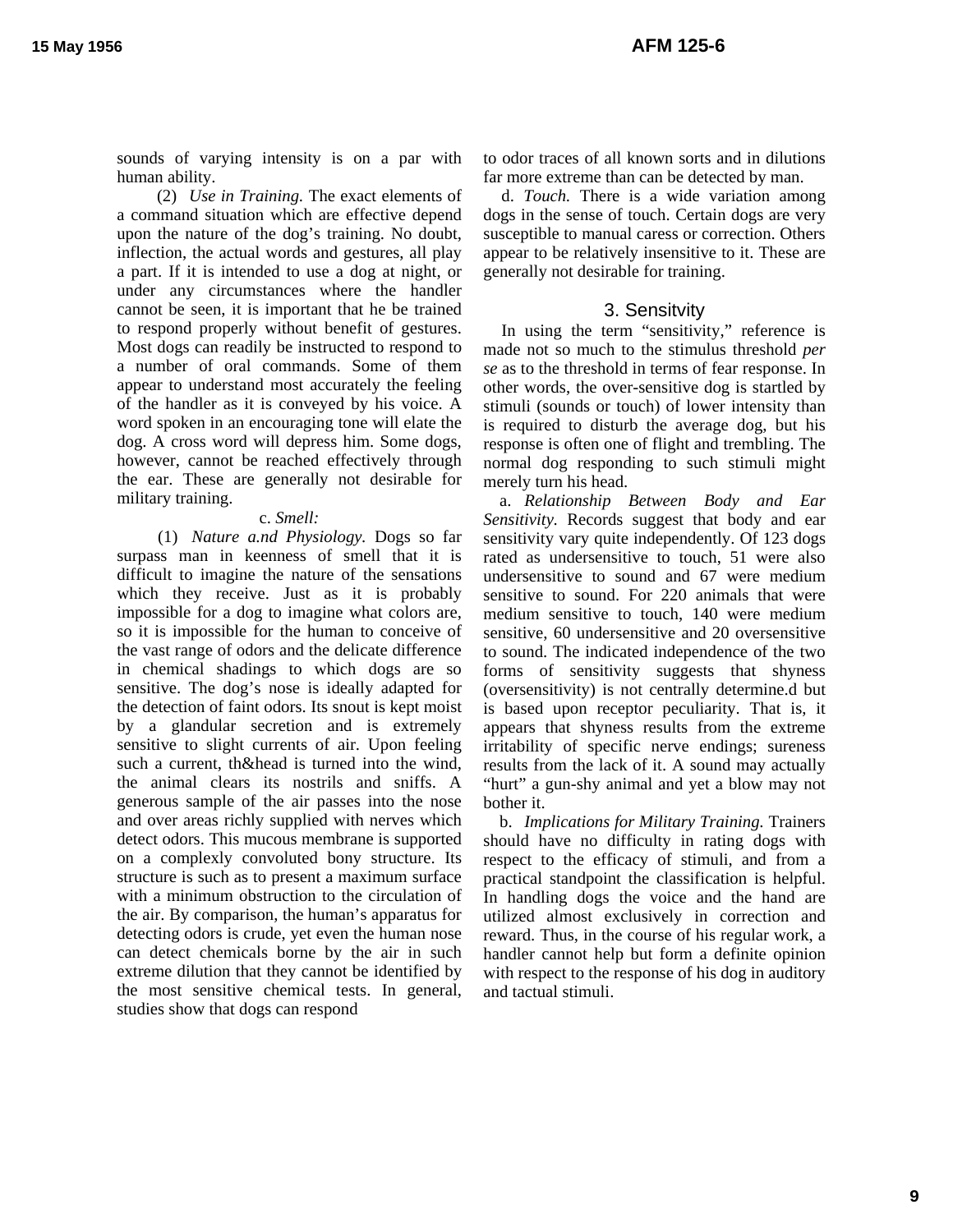sounds of varying intensity is on a par with human ability.

(2) *Use in Training.* The exact elements of a command situation which are effective depend upon the nature of the dog's training. No doubt, inflection, the actual words and gestures, all play a part. If it is intended to use a dog at night, or under any circumstances where the handler cannot be seen, it is important that he be trained to respond properly without benefit of gestures. Most dogs can readily be instructed to respond to a number of oral commands. Some of them appear to understand most accurately the feeling of the handler as it is conveyed by his voice. A word spoken in an encouraging tone will elate the dog. A cross word will depress him. Some dogs, however, cannot be reached effectively through the ear. These are generally not desirable for military training.

#### c. *Smell:*

(1) *Nature a.nd Physiology.* Dogs so far surpass man in keenness of smell that it is difficult to imagine the nature of the sensations which they receive. Just as it is probably impossible for a dog to imagine what colors are, so it is impossible for the human to conceive of the vast range of odors and the delicate difference in chemical shadings to which dogs are so sensitive. The dog's nose is ideally adapted for the detection of faint odors. Its snout is kept moist by a glandular secretion and is extremely sensitive to slight currents of air. Upon feeling such a current, th&head is turned into the wind, the animal clears its nostrils and sniffs. A generous sample of the air passes into the nose and over areas richly supplied with nerves which detect odors. This mucous membrane is supported on a complexly convoluted bony structure. Its structure is such as to present a maximum surface with a minimum obstruction to the circulation of the air. By comparison, the human's apparatus for detecting odors is crude, yet even the human nose can detect chemicals borne by the air in such extreme dilution that they cannot be identified by the most sensitive chemical tests. In general, studies show that dogs can respond

to odor traces of all known sorts and in dilutions far more extreme than can be detected by man.

d. *Touch.* There is a wide variation among dogs in the sense of touch. Certain dogs are very susceptible to manual caress or correction. Others appear to be relatively insensitive to it. These are generally not desirable for training.

## 3. Sensitvity

In using the term "sensitivity," reference is made not so much to the stimulus threshold *per se* as to the threshold in terms of fear response. In other words, the over-sensitive dog is startled by stimuli (sounds or touch) of lower intensity than is required to disturb the average dog, but his response is often one of flight and trembling. The normal dog responding to such stimuli might merely turn his head.

a. *Relationship Between Body and Ear Sensitivity.* Records suggest that body and ear sensitivity vary quite independently. Of 123 dogs rated as undersensitive to touch, 51 were also undersensitive to sound and 67 were medium sensitive to sound. For 220 animals that were medium sensitive to touch, 140 were medium sensitive, 60 undersensitive and 20 oversensitive to sound. The indicated independence of the two forms of sensitivity suggests that shyness (oversensitivity) is not centrally determine.d but is based upon receptor peculiarity. That is, it appears that shyness results from the extreme irritability of specific nerve endings; sureness results from the lack of it. A sound may actually "hurt" a gun-shy animal and yet a blow may not bother it.

b. *Implications for Military Training.* Trainers should have no difficulty in rating dogs with respect to the efficacy of stimuli, and from a practical standpoint the classification is helpful. In handling dogs the voice and the hand are utilized almost exclusively in correction and reward. Thus, in the course of his regular work, a handler cannot help but form a definite opinion with respect to the response of his dog in auditory and tactual stimuli.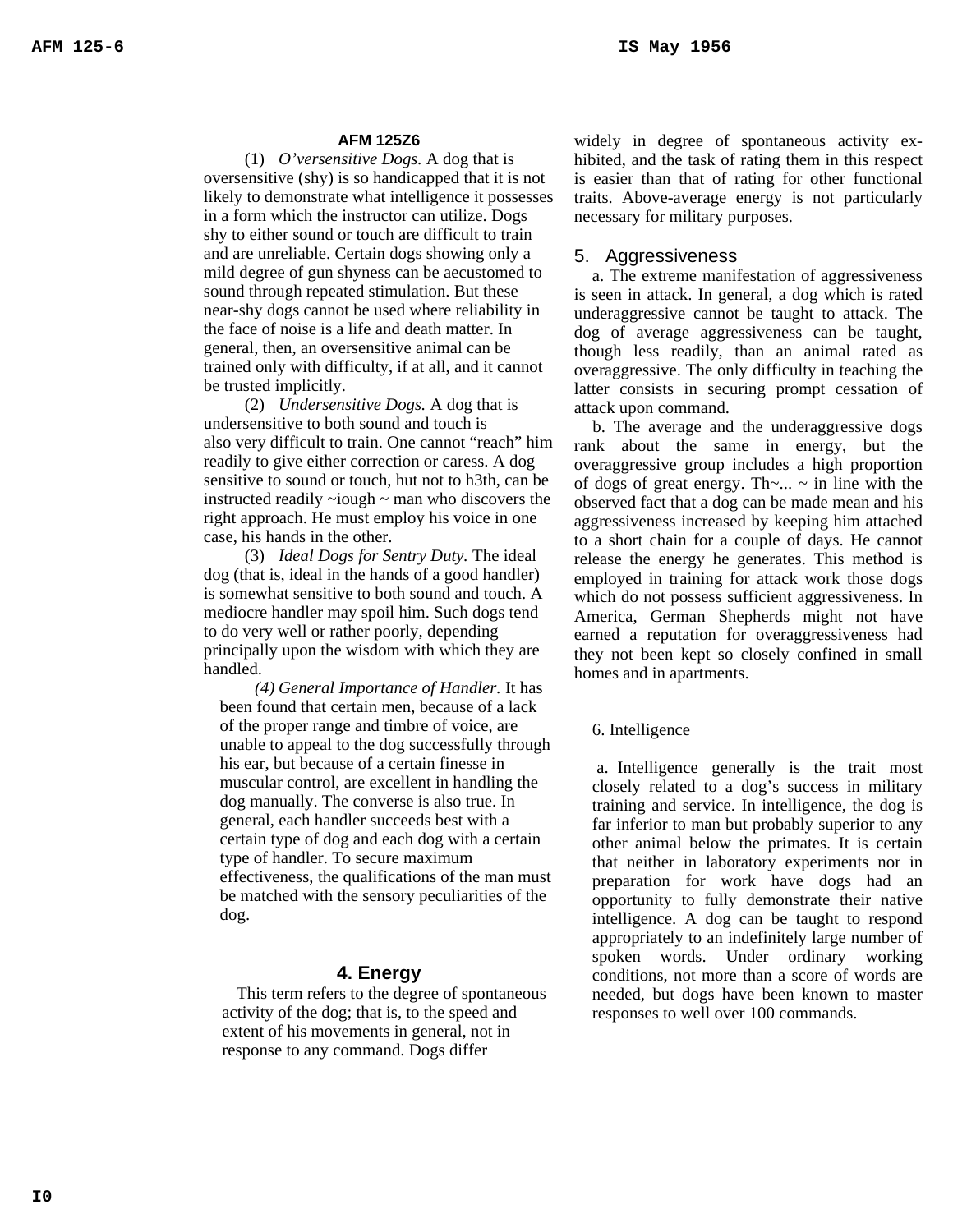#### **AFM 125Z6**

(1) *O'versensitive Dogs.* A dog that is oversensitive (shy) is so handicapped that it is not likely to demonstrate what intelligence it possesses in a form which the instructor can utilize. Dogs shy to either sound or touch are difficult to train and are unreliable. Certain dogs showing only a mild degree of gun shyness can be aecustomed to sound through repeated stimulation. But these near-shy dogs cannot be used where reliability in the face of noise is a life and death matter. In general, then, an oversensitive animal can be trained only with difficulty, if at all, and it cannot be trusted implicitly.

(2) *Undersensitive Dogs.* A dog that is undersensitive to both sound and touch is also very difficult to train. One cannot "reach" him readily to give either correction or caress. A dog sensitive to sound or touch, hut not to h3th, can be instructed readily  $\sim$ iough  $\sim$  man who discovers the right approach. He must employ his voice in one case, his hands in the other.

(3) *Ideal Dogs for Sentry Duty.* The ideal dog (that is, ideal in the hands of a good handler) is somewhat sensitive to both sound and touch. A mediocre handler may spoil him. Such dogs tend to do very well or rather poorly, depending principally upon the wisdom with which they are handled.

*(4) General Importance of Handler.* It has been found that certain men, because of a lack of the proper range and timbre of voice, are unable to appeal to the dog successfully through his ear, but because of a certain finesse in muscular control, are excellent in handling the dog manually. The converse is also true. In general, each handler succeeds best with a certain type of dog and each dog with a certain type of handler. To secure maximum effectiveness, the qualifications of the man must be matched with the sensory peculiarities of the dog.

### **4. Energy**

This term refers to the degree of spontaneous activity of the dog; that is, to the speed and extent of his movements in general, not in response to any command. Dogs differ

widely in degree of spontaneous activity exhibited, and the task of rating them in this respect is easier than that of rating for other functional traits. Above-average energy is not particularly necessary for military purposes.

#### 5. Aggressiveness

a. The extreme manifestation of aggressiveness is seen in attack. In general, a dog which is rated underaggressive cannot be taught to attack. The dog of average aggressiveness can be taught, though less readily, than an animal rated as overaggressive. The only difficulty in teaching the latter consists in securing prompt cessation of attack upon command.

b. The average and the underaggressive dogs rank about the same in energy, but the overaggressive group includes a high proportion of dogs of great energy. Th $\sim$ ...  $\sim$  in line with the observed fact that a dog can be made mean and his aggressiveness increased by keeping him attached to a short chain for a couple of days. He cannot release the energy he generates. This method is employed in training for attack work those dogs which do not possess sufficient aggressiveness. In America, German Shepherds might not have earned a reputation for overaggressiveness had they not been kept so closely confined in small homes and in apartments.

#### 6. Intelligence

a. Intelligence generally is the trait most closely related to a dog's success in military training and service. In intelligence, the dog is far inferior to man but probably superior to any other animal below the primates. It is certain that neither in laboratory experiments nor in preparation for work have dogs had an opportunity to fully demonstrate their native intelligence. A dog can be taught to respond appropriately to an indefinitely large number of spoken words. Under ordinary working conditions, not more than a score of words are needed, but dogs have been known to master responses to well over 100 commands.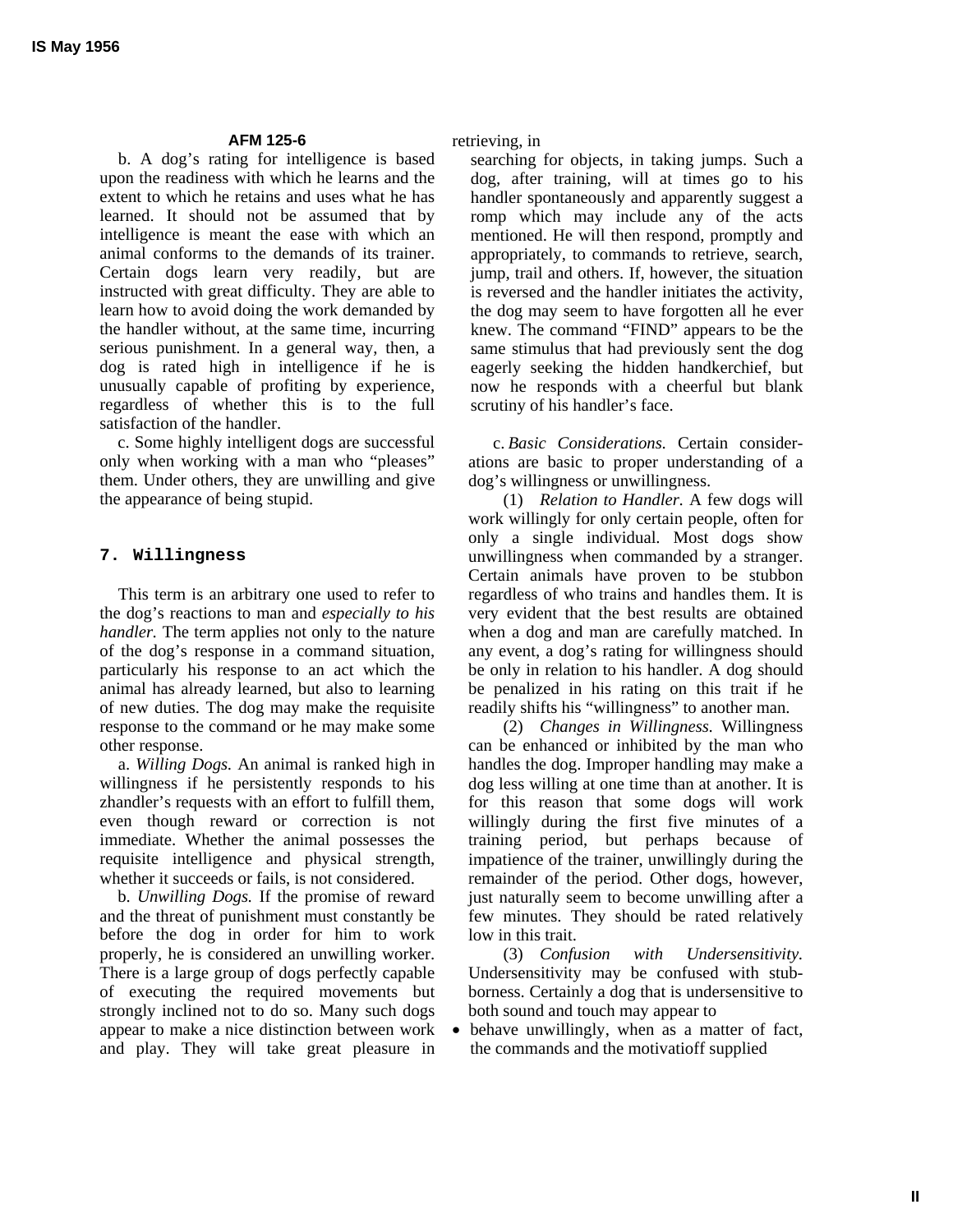#### **AFM 125-6**

b. A dog's rating for intelligence is based upon the readiness with which he learns and the extent to which he retains and uses what he has learned. It should not be assumed that by intelligence is meant the ease with which an animal conforms to the demands of its trainer. Certain dogs learn very readily, but are instructed with great difficulty. They are able to learn how to avoid doing the work demanded by the handler without, at the same time, incurring serious punishment. In a general way, then, a dog is rated high in intelligence if he is unusually capable of profiting by experience, regardless of whether this is to the full satisfaction of the handler.

c. Some highly intelligent dogs are successful only when working with a man who "pleases" them. Under others, they are unwilling and give the appearance of being stupid.

#### **7. Willingness**

This term is an arbitrary one used to refer to the dog's reactions to man and *especially to his handler*. The term applies not only to the nature of the dog's response in a command situation, particularly his response to an act which the animal has already learned, but also to learning of new duties. The dog may make the requisite response to the command or he may make some other response.

a. *Willing Dogs.* An animal is ranked high in willingness if he persistently responds to his zhandler's requests with an effort to fulfill them, even though reward or correction is not immediate. Whether the animal possesses the requisite intelligence and physical strength, whether it succeeds or fails, is not considered.

b. *Unwilling Dogs.* If the promise of reward and the threat of punishment must constantly be before the dog in order for him to work properly, he is considered an unwilling worker. There is a large group of dogs perfectly capable of executing the required movements but strongly inclined not to do so. Many such dogs appear to make a nice distinction between work and play. They will take great pleasure in

retrieving, in

searching for objects, in taking jumps. Such a dog, after training, will at times go to his handler spontaneously and apparently suggest a romp which may include any of the acts mentioned. He will then respond, promptly and appropriately, to commands to retrieve, search, jump, trail and others. If, however, the situation is reversed and the handler initiates the activity, the dog may seem to have forgotten all he ever knew. The command "FIND" appears to be the same stimulus that had previously sent the dog eagerly seeking the hidden handkerchief, but now he responds with a cheerful but blank scrutiny of his handler's face.

c. *Basic Considerations.* Certain considerations are basic to proper understanding of a dog's willingness or unwillingness.

(1) *Relation to Handler.* A few dogs will work willingly for only certain people, often for only a single individual. Most dogs show unwillingness when commanded by a stranger. Certain animals have proven to be stubbon regardless of who trains and handles them. It is very evident that the best results are obtained when a dog and man are carefully matched. In any event, a dog's rating for willingness should be only in relation to his handler. A dog should be penalized in his rating on this trait if he readily shifts his "willingness" to another man.

(2) *Changes in Willingness.* Willingness can be enhanced or inhibited by the man who handles the dog. Improper handling may make a dog less willing at one time than at another. It is for this reason that some dogs will work willingly during the first five minutes of a training period, but perhaps because of impatience of the trainer, unwillingly during the remainder of the period. Other dogs, however, just naturally seem to become unwilling after a few minutes. They should be rated relatively low in this trait.

(3) *Confusion with Undersensitivity.*  Undersensitivity may be confused with stubborness. Certainly a dog that is undersensitive to both sound and touch may appear to

• behave unwillingly, when as a matter of fact, the commands and the motivatioff supplied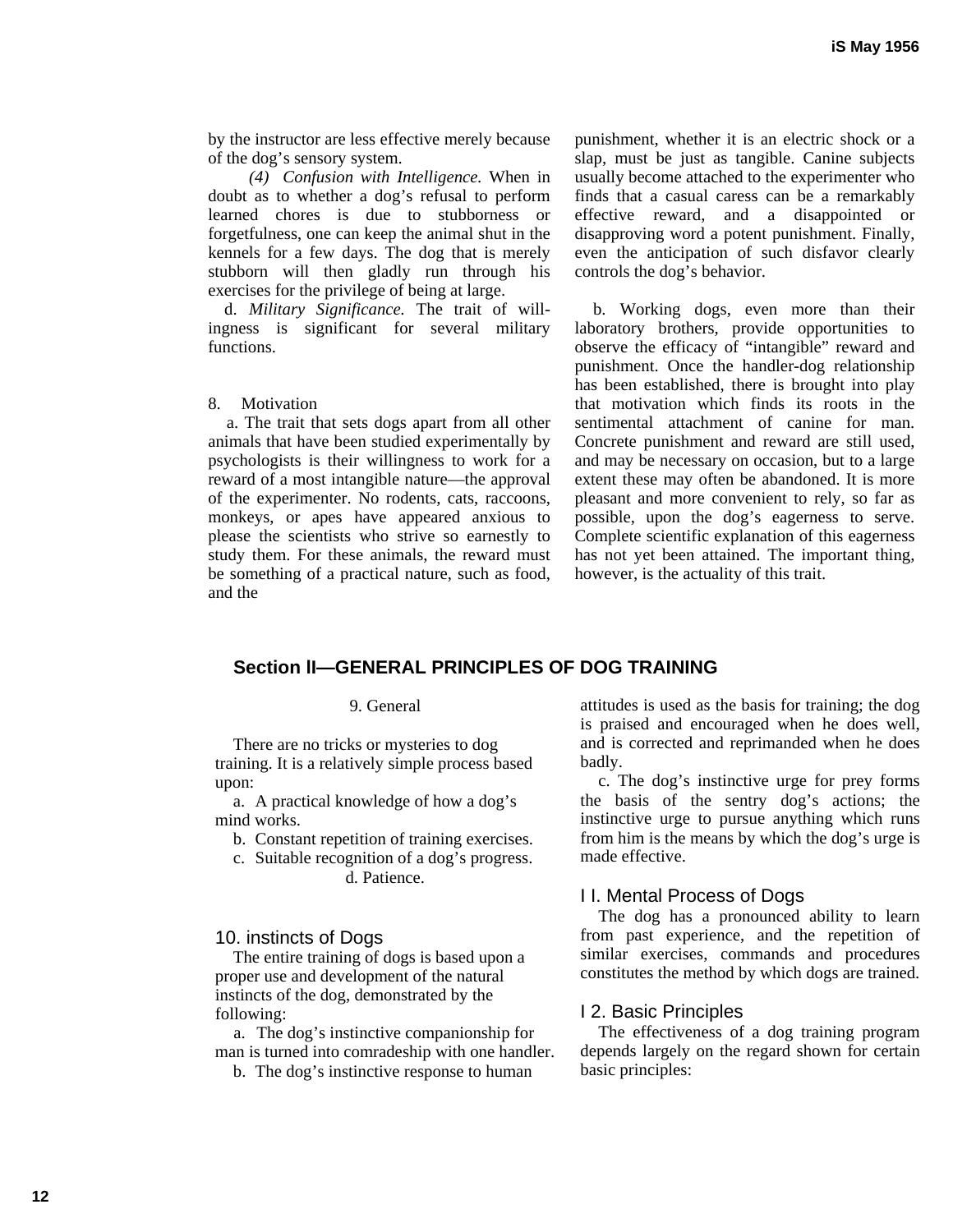by the instructor are less effective merely because of the dog's sensory system.

*(4) Confusion with Intelligence.* When in doubt as to whether a dog's refusal to perform learned chores is due to stubborness or forgetfulness, one can keep the animal shut in the kennels for a few days. The dog that is merely stubborn will then gladly run through his exercises for the privilege of being at large.

d. *Military Significance.* The trait of willingness is significant for several military functions.

#### 8. Motivation

a. The trait that sets dogs apart from all other animals that have been studied experimentally by psychologists is their willingness to work for a reward of a most intangible nature—the approval of the experimenter. No rodents, cats, raccoons, monkeys, or apes have appeared anxious to please the scientists who strive so earnestly to study them. For these animals, the reward must be something of a practical nature, such as food, and the

punishment, whether it is an electric shock or a slap, must be just as tangible. Canine subjects usually become attached to the experimenter who finds that a casual caress can be a remarkably effective reward, and a disappointed or disapproving word a potent punishment. Finally, even the anticipation of such disfavor clearly controls the dog's behavior.

b. Working dogs, even more than their laboratory brothers, provide opportunities to observe the efficacy of "intangible" reward and punishment. Once the handler-dog relationship has been established, there is brought into play that motivation which finds its roots in the sentimental attachment of canine for man. Concrete punishment and reward are still used, and may be necessary on occasion, but to a large extent these may often be abandoned. It is more pleasant and more convenient to rely, so far as possible, upon the dog's eagerness to serve. Complete scientific explanation of this eagerness has not yet been attained. The important thing, however, is the actuality of this trait.

## **Section lI—GENERAL PRINCIPLES OF DOG TRAINING**

#### 9. General

There are no tricks or mysteries to dog training. It is a relatively simple process based upon:

a. A practical knowledge of how a dog's mind works.

- b. Constant repetition of training exercises.
- c. Suitable recognition of a dog's progress. d. Patience.

#### 10. instincts of Dogs

The entire training of dogs is based upon a proper use and development of the natural instincts of the dog, demonstrated by the following:

a. The dog's instinctive companionship for man is turned into comradeship with one handler.

b. The dog's instinctive response to human

attitudes is used as the basis for training; the dog is praised and encouraged when he does well, and is corrected and reprimanded when he does badly.

c. The dog's instinctive urge for prey forms the basis of the sentry dog's actions; the instinctive urge to pursue anything which runs from him is the means by which the dog's urge is made effective.

#### I I. Mental Process of Dogs

The dog has a pronounced ability to learn from past experience, and the repetition of similar exercises, commands and procedures constitutes the method by which dogs are trained.

#### I 2. Basic Principles

The effectiveness of a dog training program depends largely on the regard shown for certain basic principles: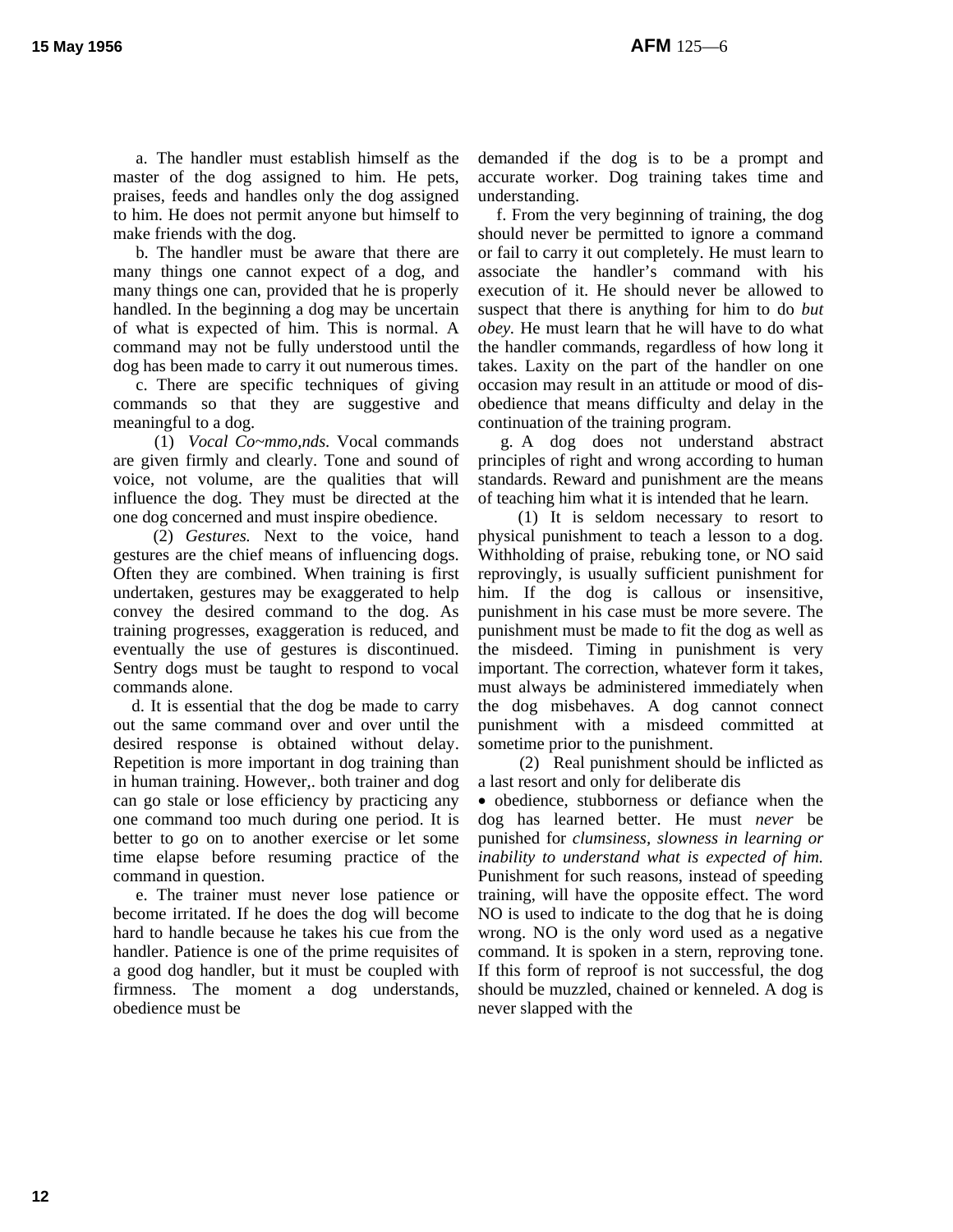a. The handler must establish himself as the master of the dog assigned to him. He pets, praises, feeds and handles only the dog assigned to him. He does not permit anyone but himself to make friends with the dog.

b. The handler must be aware that there are many things one cannot expect of a dog, and many things one can, provided that he is properly handled. In the beginning a dog may be uncertain of what is expected of him. This is normal. A command may not be fully understood until the dog has been made to carry it out numerous times.

c. There are specific techniques of giving commands so that they are suggestive and meaningful to a dog.

(1) *Vocal Co~mmo,nds.* Vocal commands are given firmly and clearly. Tone and sound of voice, not volume, are the qualities that will influence the dog. They must be directed at the one dog concerned and must inspire obedience.

(2) *Gestures.* Next to the voice, hand gestures are the chief means of influencing dogs. Often they are combined. When training is first undertaken, gestures may be exaggerated to help convey the desired command to the dog. As training progresses, exaggeration is reduced, and eventually the use of gestures is discontinued. Sentry dogs must be taught to respond to vocal commands alone.

d. It is essential that the dog be made to carry out the same command over and over until the desired response is obtained without delay. Repetition is more important in dog training than in human training. However,. both trainer and dog can go stale or lose efficiency by practicing any one command too much during one period. It is better to go on to another exercise or let some time elapse before resuming practice of the command in question.

e. The trainer must never lose patience or become irritated. If he does the dog will become hard to handle because he takes his cue from the handler. Patience is one of the prime requisites of a good dog handler, but it must be coupled with firmness. The moment a dog understands, obedience must be

demanded if the dog is to be a prompt and accurate worker. Dog training takes time and understanding.

f. From the very beginning of training, the dog should never be permitted to ignore a command or fail to carry it out completely. He must learn to associate the handler's command with his execution of it. He should never be allowed to suspect that there is anything for him to do *but obey.* He must learn that he will have to do what the handler commands, regardless of how long it takes. Laxity on the part of the handler on one occasion may result in an attitude or mood of disobedience that means difficulty and delay in the continuation of the training program.

g. A dog does not understand abstract principles of right and wrong according to human standards. Reward and punishment are the means of teaching him what it is intended that he learn.

(1) It is seldom necessary to resort to physical punishment to teach a lesson to a dog. Withholding of praise, rebuking tone, or NO said reprovingly, is usually sufficient punishment for him. If the dog is callous or insensitive, punishment in his case must be more severe. The punishment must be made to fit the dog as well as the misdeed. Timing in punishment is very important. The correction, whatever form it takes, must always be administered immediately when the dog misbehaves. A dog cannot connect punishment with a misdeed committed at sometime prior to the punishment.

(2) Real punishment should be inflicted as a last resort and only for deliberate dis

• obedience, stubborness or defiance when the dog has learned better. He must *never* be punished for *clumsiness, slowness in learning or inability to understand what is expected of him.*  Punishment for such reasons, instead of speeding training, will have the opposite effect. The word NO is used to indicate to the dog that he is doing wrong. NO is the only word used as a negative command. It is spoken in a stern, reproving tone. If this form of reproof is not successful, the dog should be muzzled, chained or kenneled. A dog is never slapped with the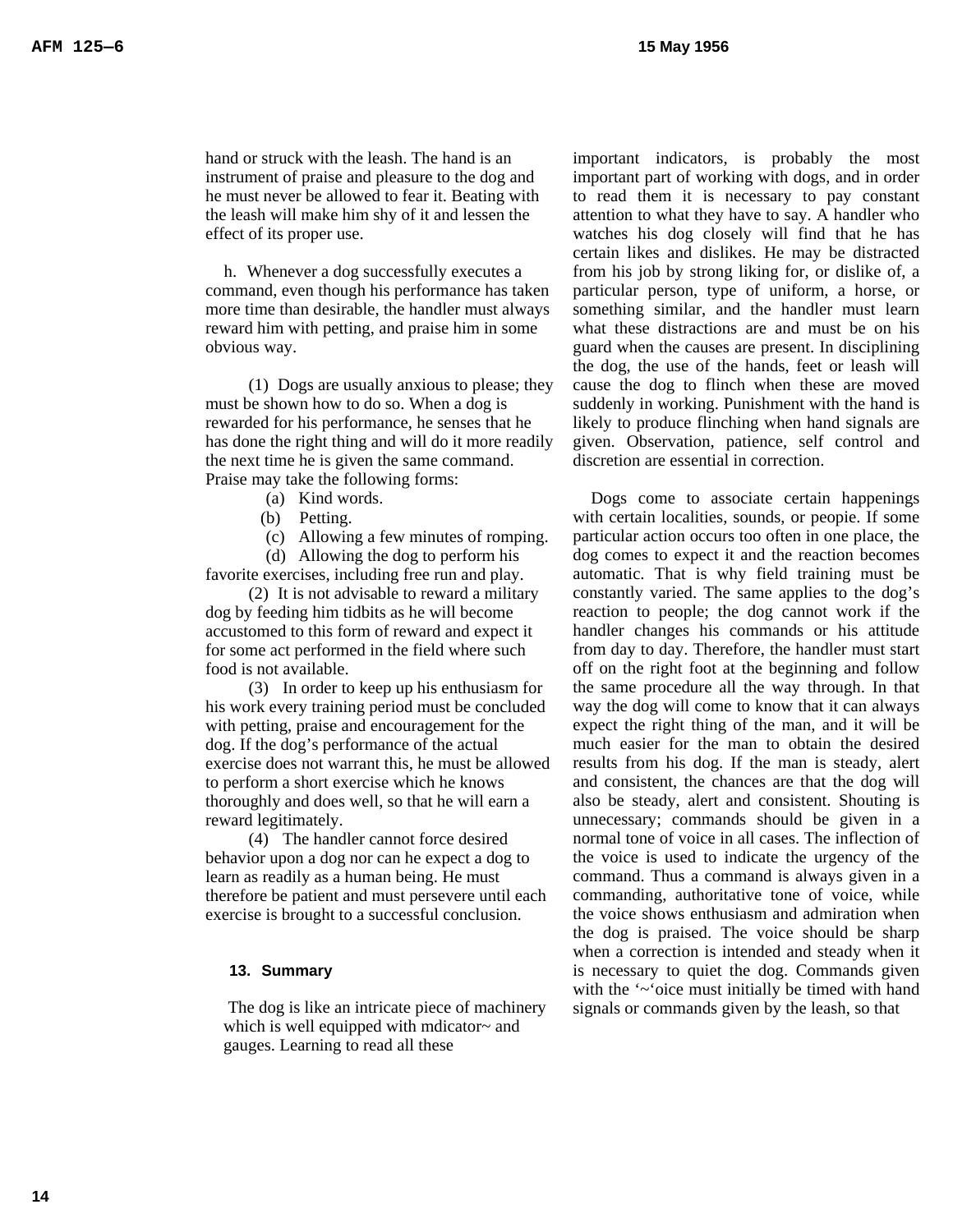hand or struck with the leash. The hand is an instrument of praise and pleasure to the dog and he must never be allowed to fear it. Beating with the leash will make him shy of it and lessen the effect of its proper use.

h. Whenever a dog successfully executes a command, even though his performance has taken more time than desirable, the handler must always reward him with petting, and praise him in some obvious way.

(1) Dogs are usually anxious to please; they must be shown how to do so. When a dog is rewarded for his performance, he senses that he has done the right thing and will do it more readily the next time he is given the same command. Praise may take the following forms:

- (a) Kind words.
- (b) Petting.
- (c) Allowing a few minutes of romping.

(d) Allowing the dog to perform his favorite exercises, including free run and play.

(2) It is not advisable to reward a military dog by feeding him tidbits as he will become accustomed to this form of reward and expect it for some act performed in the field where such food is not available.

(3) In order to keep up his enthusiasm for his work every training period must be concluded with petting, praise and encouragement for the dog. If the dog's performance of the actual exercise does not warrant this, he must be allowed to perform a short exercise which he knows thoroughly and does well, so that he will earn a reward legitimately.

(4) The handler cannot force desired behavior upon a dog nor can he expect a dog to learn as readily as a human being. He must therefore be patient and must persevere until each exercise is brought to a successful conclusion.

#### **13. Summary**

The dog is like an intricate piece of machinery which is well equipped with mdicator~ and gauges. Learning to read all these

important indicators, is probably the most important part of working with dogs, and in order to read them it is necessary to pay constant attention to what they have to say. A handler who watches his dog closely will find that he has certain likes and dislikes. He may be distracted from his job by strong liking for, or dislike of, a particular person, type of uniform, a horse, or something similar, and the handler must learn what these distractions are and must be on his guard when the causes are present. In disciplining the dog, the use of the hands, feet or leash will cause the dog to flinch when these are moved suddenly in working. Punishment with the hand is likely to produce flinching when hand signals are given. Observation, patience, self control and discretion are essential in correction.

Dogs come to associate certain happenings with certain localities, sounds, or peopie. If some particular action occurs too often in one place, the dog comes to expect it and the reaction becomes automatic. That is why field training must be constantly varied. The same applies to the dog's reaction to people; the dog cannot work if the handler changes his commands or his attitude from day to day. Therefore, the handler must start off on the right foot at the beginning and follow the same procedure all the way through. In that way the dog will come to know that it can always expect the right thing of the man, and it will be much easier for the man to obtain the desired results from his dog. If the man is steady, alert and consistent, the chances are that the dog will also be steady, alert and consistent. Shouting is unnecessary; commands should be given in a normal tone of voice in all cases. The inflection of the voice is used to indicate the urgency of the command. Thus a command is always given in a commanding, authoritative tone of voice, while the voice shows enthusiasm and admiration when the dog is praised. The voice should be sharp when a correction is intended and steady when it is necessary to quiet the dog. Commands given with the '~'oice must initially be timed with hand signals or commands given by the leash, so that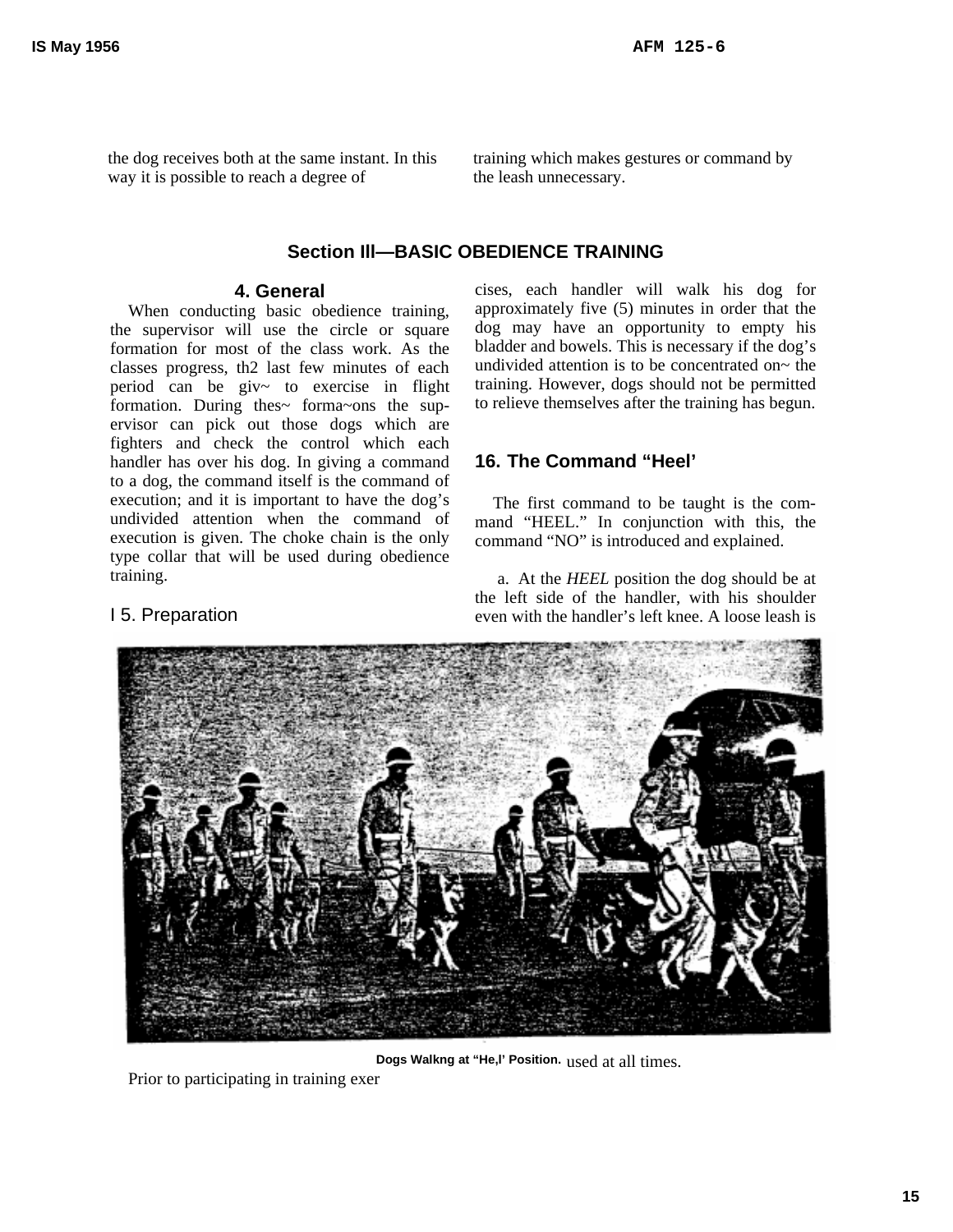the dog receives both at the same instant. In this way it is possible to reach a degree of

training which makes gestures or command by the leash unnecessary.

## **Section Ill—BASIC OBEDIENCE TRAINING**

## **4. General**

When conducting basic obedience training, the supervisor will use the circle or square formation for most of the class work. As the classes progress, th2 last few minutes of each period can be giv~ to exercise in flight formation. During thes~ forma~ons the supervisor can pick out those dogs which are fighters and check the control which each handler has over his dog. In giving a command to a dog, the command itself is the command of execution; and it is important to have the dog's undivided attention when the command of execution is given. The choke chain is the only type collar that will be used during obedience training.

cises, each handler will walk his dog for approximately five (5) minutes in order that the dog may have an opportunity to empty his bladder and bowels. This is necessary if the dog's undivided attention is to be concentrated on $\sim$  the training. However, dogs should not be permitted to relieve themselves after the training has begun.

## **16. The Command "Heel'**

The first command to be taught is the command "HEEL." In conjunction with this, the command "NO" is introduced and explained.

a. At the *HEEL* position the dog should be at the left side of the handler, with his shoulder even with the handler's left knee. A loose leash is



Dogs Walkng at "He,l' Position. used at all times.

Prior to participating in training exer

## I 5. Preparation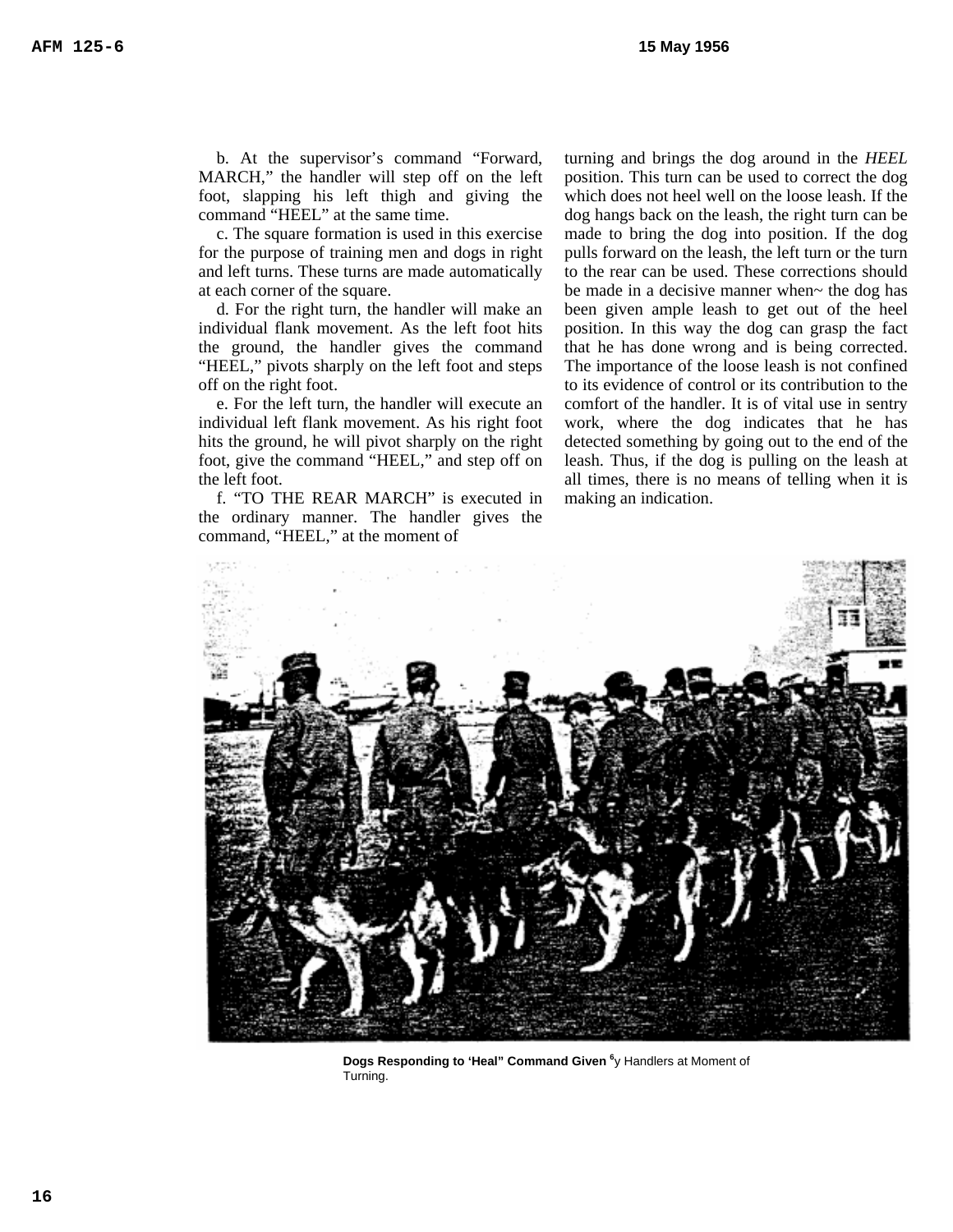b. At the supervisor's command "Forward, MARCH," the handler will step off on the left foot, slapping his left thigh and giving the command "HEEL" at the same time.

c. The square formation is used in this exercise for the purpose of training men and dogs in right and left turns. These turns are made automatically at each corner of the square.

d. For the right turn, the handler will make an individual flank movement. As the left foot hits the ground, the handler gives the command "HEEL," pivots sharply on the left foot and steps off on the right foot.

e. For the left turn, the handler will execute an individual left flank movement. As his right foot hits the ground, he will pivot sharply on the right foot, give the command "HEEL," and step off on the left foot.

f. "TO THE REAR MARCH" is executed in the ordinary manner. The handler gives the command, "HEEL," at the moment of

turning and brings the dog around in the *HEEL*  position. This turn can be used to correct the dog which does not heel well on the loose leash. If the dog hangs back on the leash, the right turn can be made to bring the dog into position. If the dog pulls forward on the leash, the left turn or the turn to the rear can be used. These corrections should be made in a decisive manner when~ the dog has been given ample leash to get out of the heel position. In this way the dog can grasp the fact that he has done wrong and is being corrected. The importance of the loose leash is not confined to its evidence of control or its contribution to the comfort of the handler. It is of vital use in sentry work, where the dog indicates that he has detected something by going out to the end of the leash. Thus, if the dog is pulling on the leash at all times, there is no means of telling when it is making an indication.



**Dogs Responding to 'Heal" Command Given <sup>6</sup>y Handlers at Moment of** Turning.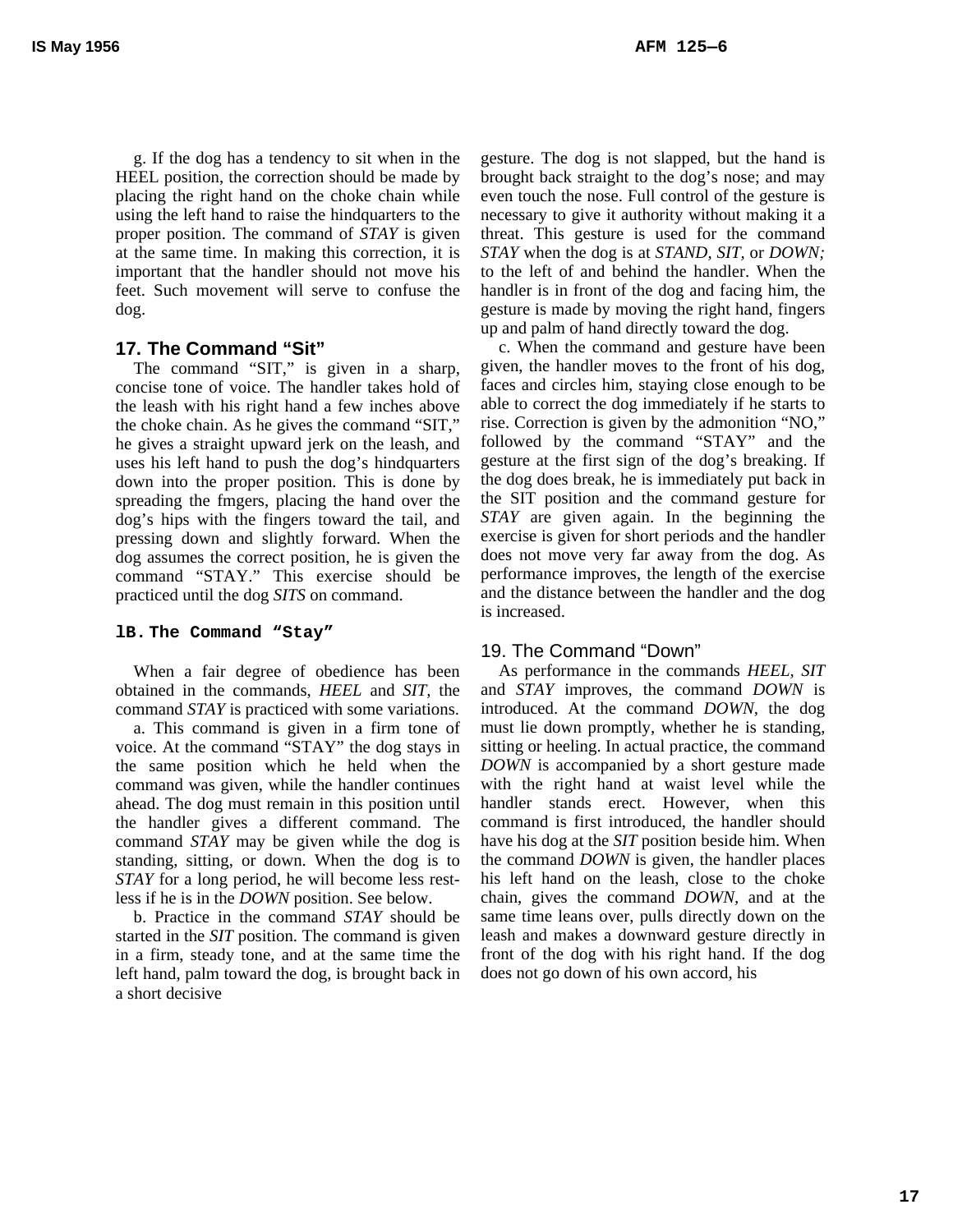g. If the dog has a tendency to sit when in the HEEL position, the correction should be made by placing the right hand on the choke chain while using the left hand to raise the hindquarters to the proper position. The command of *STAY* is given at the same time. In making this correction, it is important that the handler should not move his feet. Such movement will serve to confuse the dog.

#### **17. The Command "Sit"**

The command "SIT," is given in a sharp, concise tone of voice. The handler takes hold of the leash with his right hand a few inches above the choke chain. As he gives the command "SIT," he gives a straight upward jerk on the leash, and uses his left hand to push the dog's hindquarters down into the proper position. This is done by spreading the fmgers, placing the hand over the dog's hips with the fingers toward the tail, and pressing down and slightly forward. When the dog assumes the correct position, he is given the command "STAY." This exercise should be practiced until the dog *SITS* on command.

#### **lB. The Command "Stay"**

When a fair degree of obedience has been obtained in the commands, *HEEL* and *SIT,* the command *STAY* is practiced with some variations.

a. This command is given in a firm tone of voice. At the command "STAY" the dog stays in the same position which he held when the command was given, while the handler continues ahead. The dog must remain in this position until the handler gives a different command. The command *STAY* may be given while the dog is standing, sitting, or down. When the dog is to *STAY* for a long period, he will become less restless if he is in the *DOWN* position. See below.

b. Practice in the command *STAY* should be started in the *SIT* position. The command is given in a firm, steady tone, and at the same time the left hand, palm toward the dog, is brought back in a short decisive

gesture. The dog is not slapped, but the hand is brought back straight to the dog's nose; and may even touch the nose. Full control of the gesture is necessary to give it authority without making it a threat. This gesture is used for the command *STAY* when the dog is at *STAND, SIT,* or *DOWN;*  to the left of and behind the handler. When the handler is in front of the dog and facing him, the gesture is made by moving the right hand, fingers up and palm of hand directly toward the dog.

c. When the command and gesture have been given, the handler moves to the front of his dog, faces and circles him, staying close enough to be able to correct the dog immediately if he starts to rise. Correction is given by the admonition "NO," followed by the command "STAY" and the gesture at the first sign of the dog's breaking. If the dog does break, he is immediately put back in the SIT position and the command gesture for *STAY* are given again. In the beginning the exercise is given for short periods and the handler does not move very far away from the dog. As performance improves, the length of the exercise and the distance between the handler and the dog is increased.

#### 19. The Command "Down"

As performance in the commands *HEEL, SIT*  and *STAY* improves, the command *DOWN* is introduced. At the command *DOWN,* the dog must lie down promptly, whether he is standing, sitting or heeling. In actual practice, the command *DOWN* is accompanied by a short gesture made with the right hand at waist level while the handler stands erect. However, when this command is first introduced, the handler should have his dog at the *SIT* position beside him. When the command *DOWN* is given, the handler places his left hand on the leash, close to the choke chain, gives the command *DOWN,* and at the same time leans over, pulls directly down on the leash and makes a downward gesture directly in front of the dog with his right hand. If the dog does not go down of his own accord, his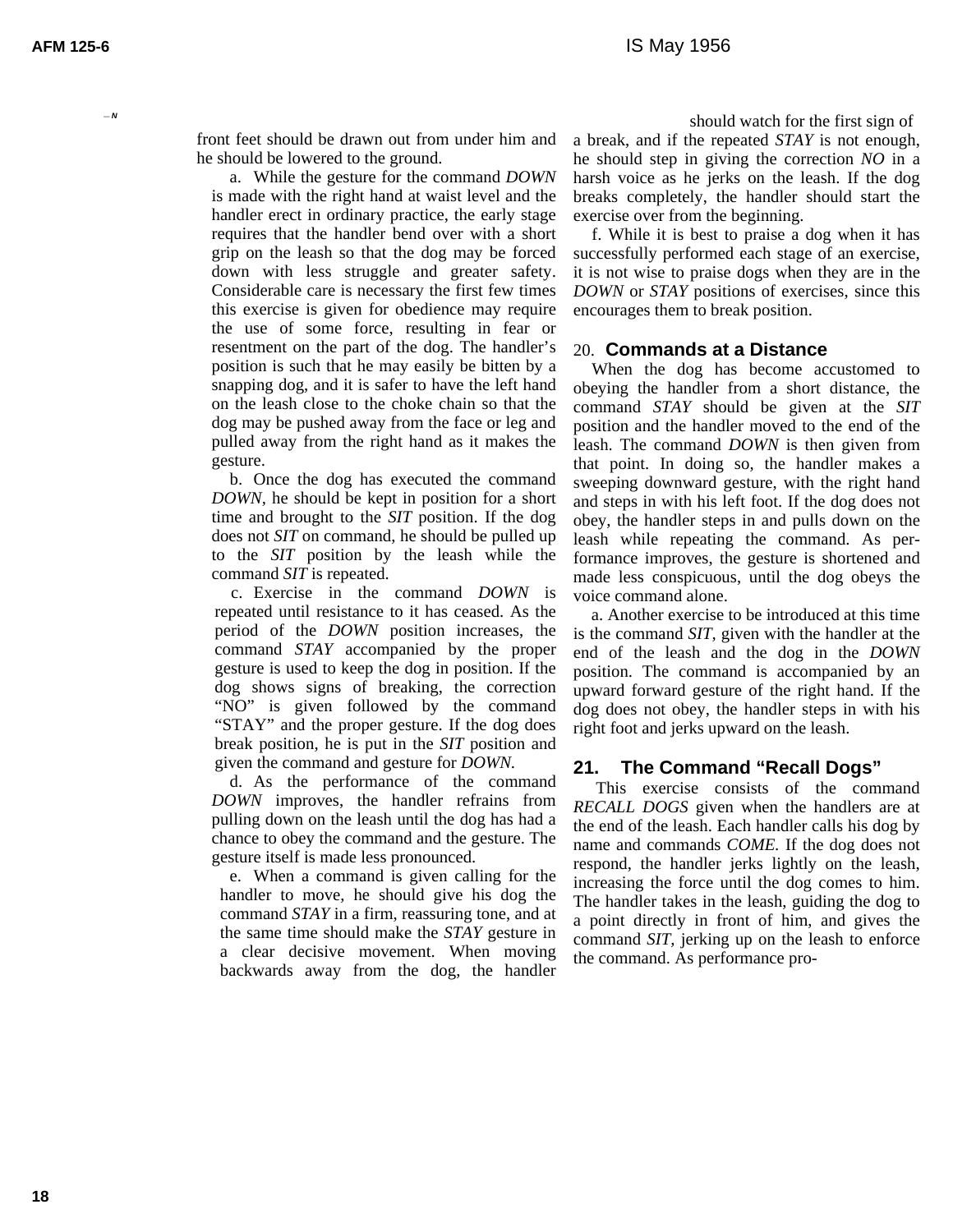$-<sub>N</sub>$ 

front feet should be drawn out from under him and he should be lowered to the ground.

a. While the gesture for the command *DOWN*  is made with the right hand at waist level and the handler erect in ordinary practice, the early stage requires that the handler bend over with a short grip on the leash so that the dog may be forced down with less struggle and greater safety. Considerable care is necessary the first few times this exercise is given for obedience may require the use of some force, resulting in fear or resentment on the part of the dog. The handler's position is such that he may easily be bitten by a snapping dog, and it is safer to have the left hand on the leash close to the choke chain so that the dog may be pushed away from the face or leg and pulled away from the right hand as it makes the gesture.

b. Once the dog has executed the command *DOWN,* he should be kept in position for a short time and brought to the *SIT* position. If the dog does not *SIT* on command, he should be pulled up to the *SIT* position by the leash while the command *SIT* is repeated.

c. Exercise in the command *DOWN* is repeated until resistance to it has ceased. As the period of the *DOWN* position increases, the command *STAY* accompanied by the proper gesture is used to keep the dog in position. If the dog shows signs of breaking, the correction "NO" is given followed by the command "STAY" and the proper gesture. If the dog does break position, he is put in the *SIT* position and given the command and gesture for *DOWN.* 

d. As the performance of the command *DOWN* improves, the handler refrains from pulling down on the leash until the dog has had a chance to obey the command and the gesture. The gesture itself is made less pronounced.

e. When a command is given calling for the handler to move, he should give his dog the command *STAY* in a firm, reassuring tone, and at the same time should make the *STAY* gesture in a clear decisive movement. When moving backwards away from the dog, the handler

should watch for the first sign of a break, and if the repeated *STAY* is not enough, he should step in giving the correction *NO* in a harsh voice as he jerks on the leash. If the dog breaks completely, the handler should start the exercise over from the beginning.

f. While it is best to praise a dog when it has successfully performed each stage of an exercise, it is not wise to praise dogs when they are in the *DOWN* or *STAY* positions of exercises, since this encourages them to break position.

## 20. **Commands at a Distance**

When the dog has become accustomed to obeying the handler from a short distance, the command *STAY* should be given at the *SIT*  position and the handler moved to the end of the leash. The command *DOWN* is then given from that point. In doing so, the handler makes a sweeping downward gesture, with the right hand and steps in with his left foot. If the dog does not obey, the handler steps in and pulls down on the leash while repeating the command. As performance improves, the gesture is shortened and made less conspicuous, until the dog obeys the voice command alone.

a. Another exercise to be introduced at this time is the command *SIT,* given with the handler at the end of the leash and the dog in the *DOWN*  position. The command is accompanied by an upward forward gesture of the right hand. If the dog does not obey, the handler steps in with his right foot and jerks upward on the leash.

## **21. The Command "Recall Dogs"**

This exercise consists of the command *RECALL DOGS* given when the handlers are at the end of the leash. Each handler calls his dog by name and commands *COME.* If the dog does not respond, the handler jerks lightly on the leash, increasing the force until the dog comes to him. The handler takes in the leash, guiding the dog to a point directly in front of him, and gives the command *SIT,* jerking up on the leash to enforce the command. As performance pro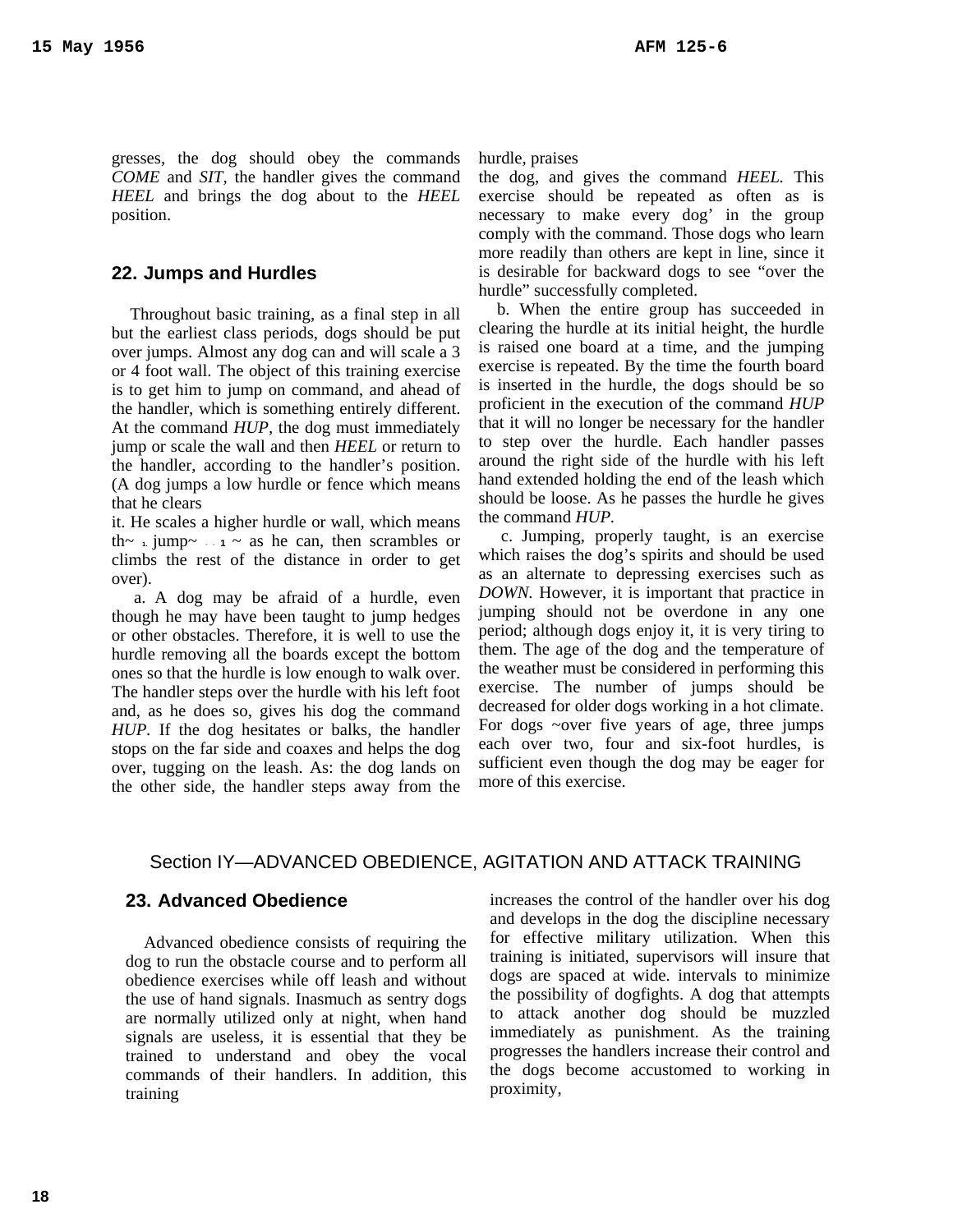gresses, the dog should obey the commands *COME* and *SIT,* the handler gives the command *HEEL* and brings the dog about to the *HEEL*  position.

## **22. Jumps and Hurdles**

Throughout basic training, as a final step in all but the earliest class periods, dogs should be put over jumps. Almost any dog can and will scale a 3 or 4 foot wall. The object of this training exercise is to get him to jump on command, and ahead of the handler, which is something entirely different. At the command *HUP,* the dog must immediately jump or scale the wall and then *HEEL* or return to the handler, according to the handler's position. (A dog jumps a low hurdle or fence which means that he clears

it. He scales a higher hurdle or wall, which means th $\sim$  1. jump $\sim$   $\sim$  1  $\sim$  as he can, then scrambles or climbs the rest of the distance in order to get over).

a. A dog may be afraid of a hurdle, even though he may have been taught to jump hedges or other obstacles. Therefore, it is well to use the hurdle removing all the boards except the bottom ones so that the hurdle is low enough to walk over. The handler steps over the hurdle with his left foot and, as he does so, gives his dog the command *HUP.* If the dog hesitates or balks, the handler stops on the far side and coaxes and helps the dog over, tugging on the leash. As: the dog lands on the other side, the handler steps away from the

hurdle, praises

the dog, and gives the command *HEEL.* This exercise should be repeated as often as is necessary to make every dog' in the group comply with the command. Those dogs who learn more readily than others are kept in line, since it is desirable for backward dogs to see "over the hurdle" successfully completed.

b. When the entire group has succeeded in clearing the hurdle at its initial height, the hurdle is raised one board at a time, and the jumping exercise is repeated. By the time the fourth board is inserted in the hurdle, the dogs should be so proficient in the execution of the command *HUP*  that it will no longer be necessary for the handler to step over the hurdle. Each handler passes around the right side of the hurdle with his left hand extended holding the end of the leash which should be loose. As he passes the hurdle he gives the command *HUP.* 

c. Jumping, properly taught, is an exercise which raises the dog's spirits and should be used as an alternate to depressing exercises such as *DOWN.* However, it is important that practice in jumping should not be overdone in any one period; although dogs enjoy it, it is very tiring to them. The age of the dog and the temperature of the weather must be considered in performing this exercise. The number of jumps should be decreased for older dogs working in a hot climate. For dogs ~over five years of age, three jumps each over two, four and six-foot hurdles, is sufficient even though the dog may be eager for more of this exercise.

## Section IY—ADVANCED OBEDIENCE, AGITATION AND ATTACK TRAINING

## **23. Advanced Obedience**

Advanced obedience consists of requiring the dog to run the obstacle course and to perform all obedience exercises while off leash and without the use of hand signals. Inasmuch as sentry dogs are normally utilized only at night, when hand signals are useless, it is essential that they be trained to understand and obey the vocal commands of their handlers. In addition, this training

increases the control of the handler over his dog and develops in the dog the discipline necessary for effective military utilization. When this training is initiated, supervisors will insure that dogs are spaced at wide. intervals to minimize the possibility of dogfights. A dog that attempts to attack another dog should be muzzled immediately as punishment. As the training progresses the handlers increase their control and the dogs become accustomed to working in proximity,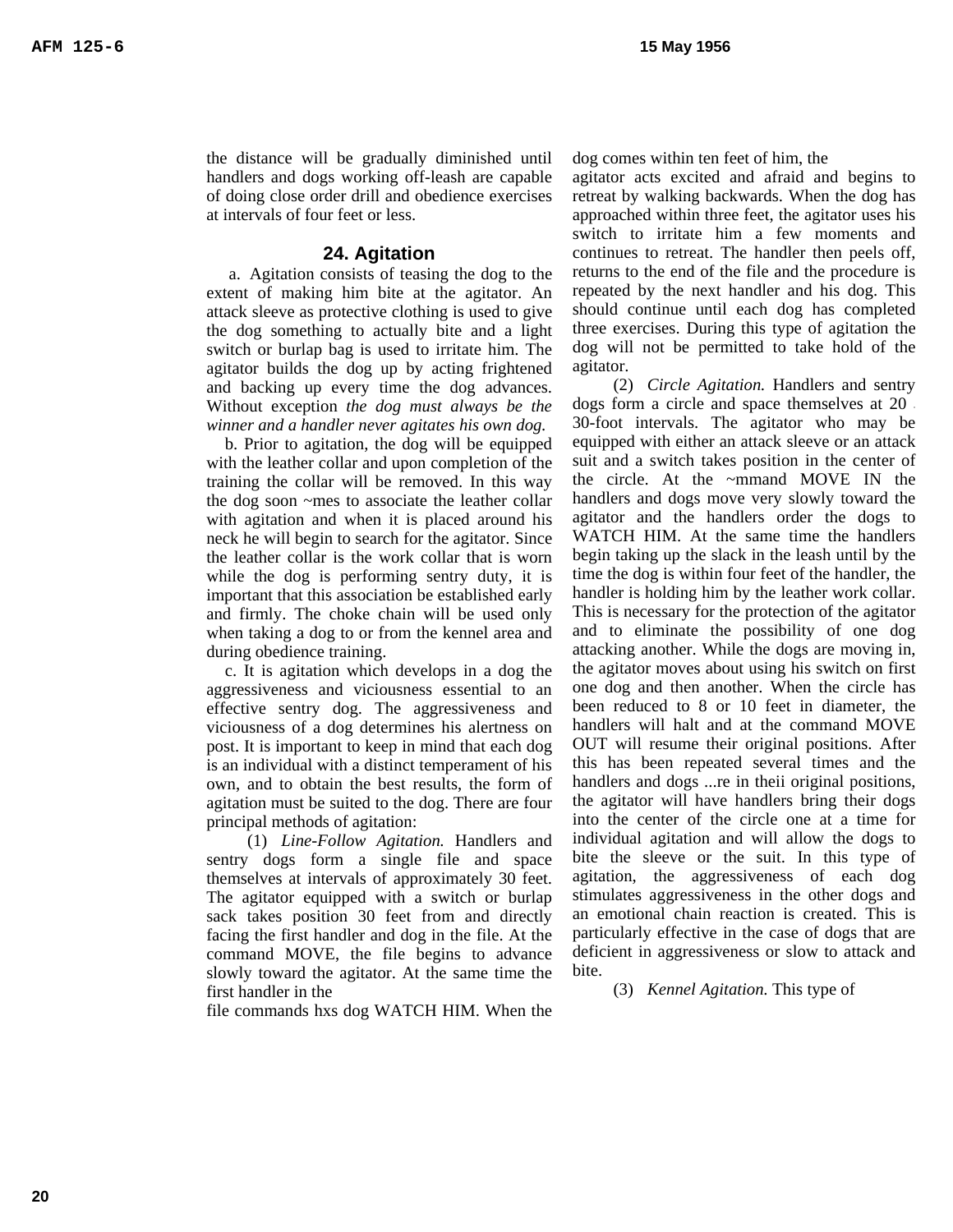the distance will be gradually diminished until handlers and dogs working off-leash are capable of doing close order drill and obedience exercises at intervals of four feet or less.

## **24. Agitation**

a. Agitation consists of teasing the dog to the extent of making him bite at the agitator. An attack sleeve as protective clothing is used to give the dog something to actually bite and a light switch or burlap bag is used to irritate him. The agitator builds the dog up by acting frightened and backing up every time the dog advances. Without exception *the dog must always be the winner and a handler never agitates his own dog.* 

b. Prior to agitation, the dog will be equipped with the leather collar and upon completion of the training the collar will be removed. In this way the dog soon ~mes to associate the leather collar with agitation and when it is placed around his neck he will begin to search for the agitator. Since the leather collar is the work collar that is worn while the dog is performing sentry duty, it is important that this association be established early and firmly. The choke chain will be used only when taking a dog to or from the kennel area and during obedience training.

c. It is agitation which develops in a dog the aggressiveness and viciousness essential to an effective sentry dog. The aggressiveness and viciousness of a dog determines his alertness on post. It is important to keep in mind that each dog is an individual with a distinct temperament of his own, and to obtain the best results, the form of agitation must be suited to the dog. There are four principal methods of agitation:

(1) *Line-Follow Agitation.* Handlers and sentry dogs form a single file and space themselves at intervals of approximately 30 feet. The agitator equipped with a switch or burlap sack takes position 30 feet from and directly facing the first handler and dog in the file. At the command MOVE, the file begins to advance slowly toward the agitator. At the same time the first handler in the

file commands hxs dog WATCH HIM. When the

dog comes within ten feet of him, the

agitator acts excited and afraid and begins to retreat by walking backwards. When the dog has approached within three feet, the agitator uses his switch to irritate him a few moments and continues to retreat. The handler then peels off, returns to the end of the file and the procedure is repeated by the next handler and his dog. This should continue until each dog has completed three exercises. During this type of agitation the dog will not be permitted to take hold of the agitator.

(2) *Circle Agitation.* Handlers and sentry dogs form a circle and space themselves at 20 - 30-foot intervals. The agitator who may be equipped with either an attack sleeve or an attack suit and a switch takes position in the center of the circle. At the ~mmand MOVE IN the handlers and dogs move very slowly toward the agitator and the handlers order the dogs to WATCH HIM. At the same time the handlers begin taking up the slack in the leash until by the time the dog is within four feet of the handler, the handler is holding him by the leather work collar. This is necessary for the protection of the agitator and to eliminate the possibility of one dog attacking another. While the dogs are moving in, the agitator moves about using his switch on first one dog and then another. When the circle has been reduced to 8 or 10 feet in diameter, the handlers will halt and at the command MOVE OUT will resume their original positions. After this has been repeated several times and the handlers and dogs ...re in theii original positions, the agitator will have handlers bring their dogs into the center of the circle one at a time for individual agitation and will allow the dogs to bite the sleeve or the suit. In this type of agitation, the aggressiveness of each dog stimulates aggressiveness in the other dogs and an emotional chain reaction is created. This is particularly effective in the case of dogs that are deficient in aggressiveness or slow to attack and bite.

(3) *Kennel Agitation.* This type of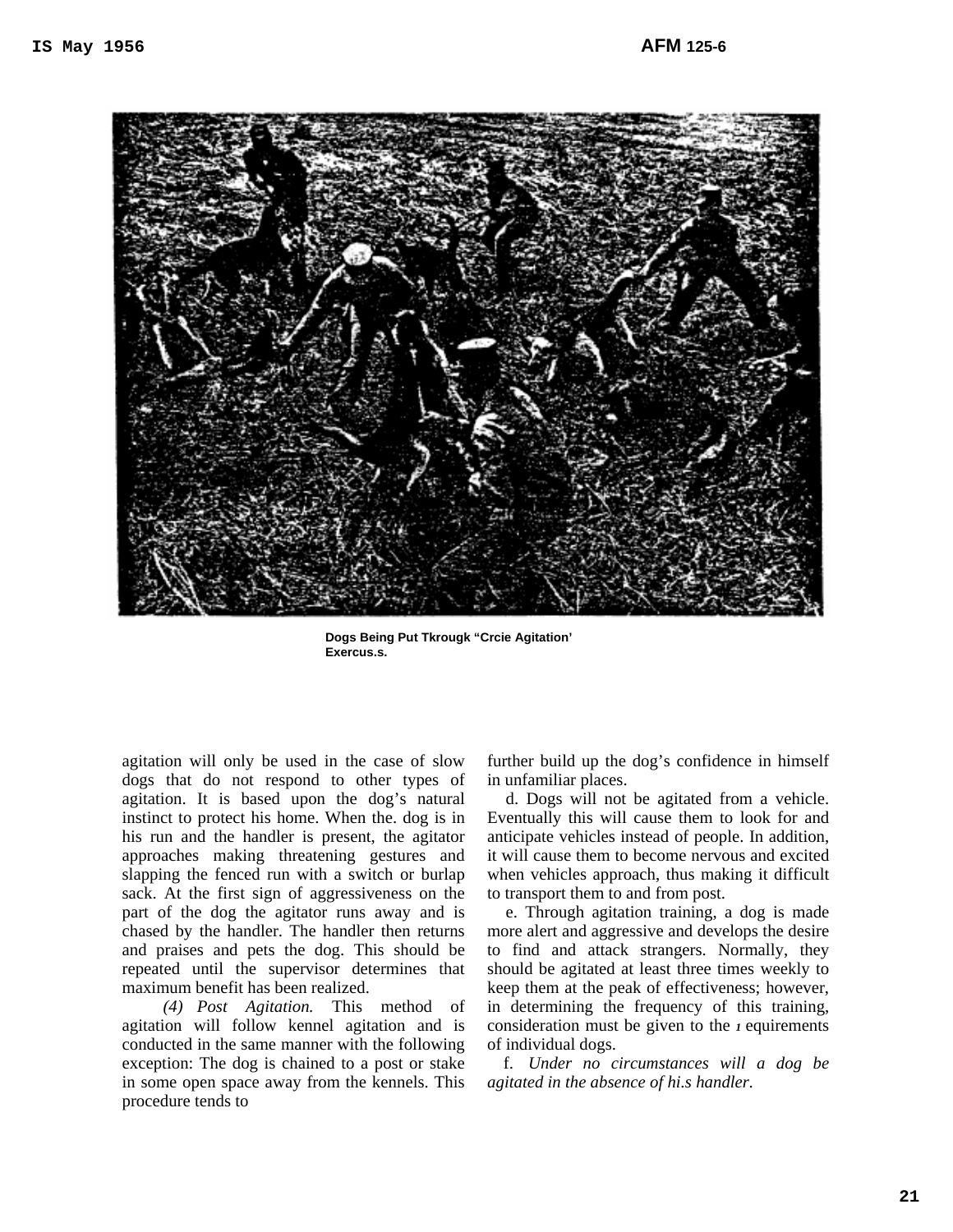

**Dogs Being Put Tkrougk "Crcie Agitation' Exercus.s.** 

agitation will only be used in the case of slow dogs that do not respond to other types of agitation. It is based upon the dog's natural instinct to protect his home. When the. dog is in his run and the handler is present, the agitator approaches making threatening gestures and slapping the fenced run with a switch or burlap sack. At the first sign of aggressiveness on the part of the dog the agitator runs away and is chased by the handler. The handler then returns and praises and pets the dog. This should be repeated until the supervisor determines that maximum benefit has been realized.

*(4) Post Agitation.* This method of agitation will follow kennel agitation and is conducted in the same manner with the following exception: The dog is chained to a post or stake in some open space away from the kennels. This procedure tends to

further build up the dog's confidence in himself in unfamiliar places.

d. Dogs will not be agitated from a vehicle. Eventually this will cause them to look for and anticipate vehicles instead of people. In addition, it will cause them to become nervous and excited when vehicles approach, thus making it difficult to transport them to and from post.

e. Through agitation training, a dog is made more alert and aggressive and develops the desire to find and attack strangers. Normally, they should be agitated at least three times weekly to keep them at the peak of effectiveness; however, in determining the frequency of this training, consideration must be given to the *1* equirements of individual dogs.

f. *Under no circumstances will a dog be agitated in the absence of hi.s handler.*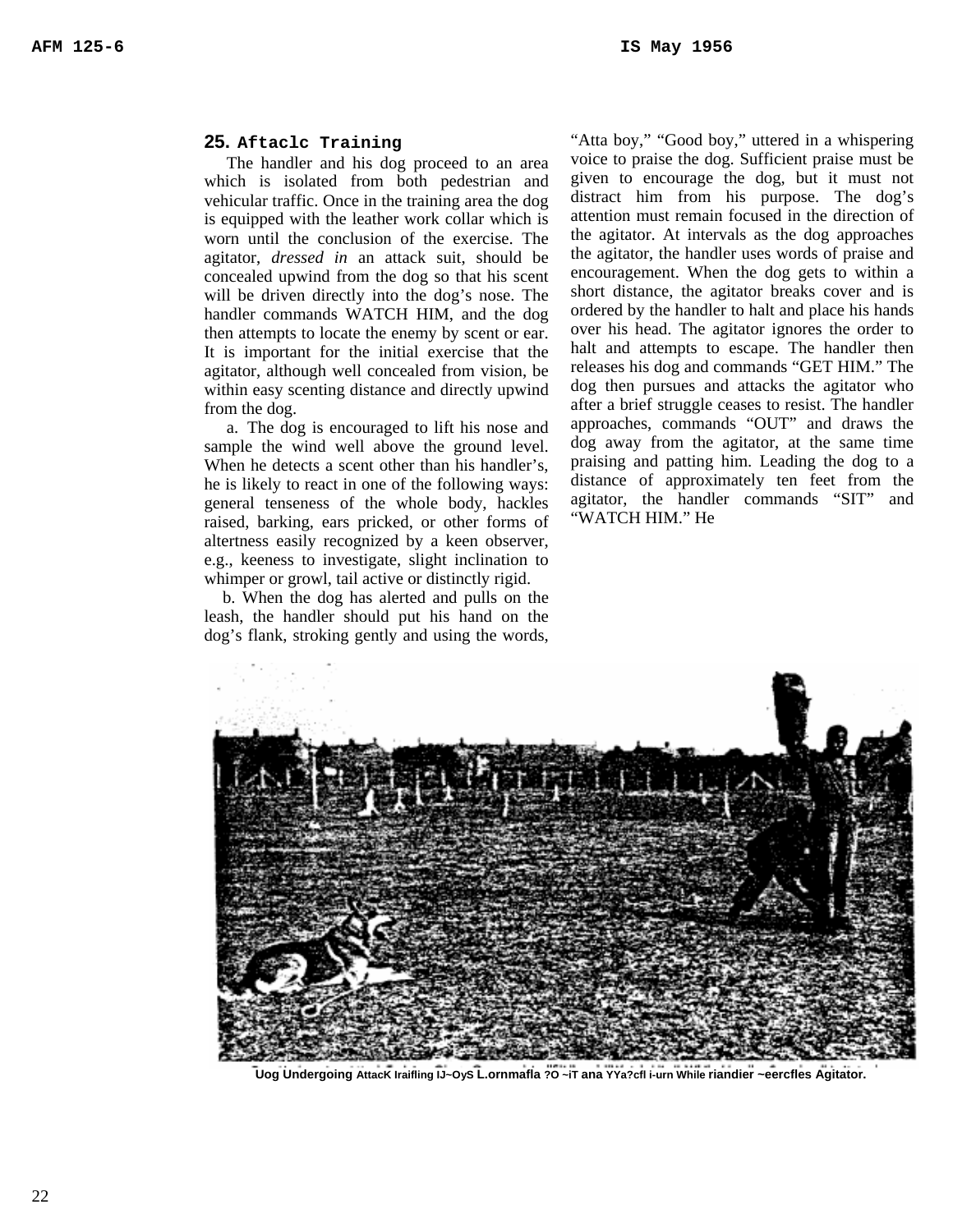### **25. Aftaclc Training**

The handler and his dog proceed to an area which is isolated from both pedestrian and vehicular traffic. Once in the training area the dog is equipped with the leather work collar which is worn until the conclusion of the exercise. The agitator, *dressed in* an attack suit, should be concealed upwind from the dog so that his scent will be driven directly into the dog's nose. The handler commands WATCH HIM, and the dog then attempts to locate the enemy by scent or ear. It is important for the initial exercise that the agitator, although well concealed from vision, be within easy scenting distance and directly upwind from the dog.

a. The dog is encouraged to lift his nose and sample the wind well above the ground level. When he detects a scent other than his handler's, he is likely to react in one of the following ways: general tenseness of the whole body, hackles raised, barking, ears pricked, or other forms of altertness easily recognized by a keen observer, e.g., keeness to investigate, slight inclination to whimper or growl, tail active or distinctly rigid.

b. When the dog has alerted and pulls on the leash, the handler should put his hand on the dog's flank, stroking gently and using the words, "Atta boy," "Good boy," uttered in a whispering voice to praise the dog. Sufficient praise must be given to encourage the dog, but it must not distract him from his purpose. The dog's attention must remain focused in the direction of the agitator. At intervals as the dog approaches the agitator, the handler uses words of praise and encouragement. When the dog gets to within a short distance, the agitator breaks cover and is ordered by the handler to halt and place his hands over his head. The agitator ignores the order to halt and attempts to escape. The handler then releases his dog and commands "GET HIM." The dog then pursues and attacks the agitator who after a brief struggle ceases to resist. The handler approaches, commands "OUT" and draws the dog away from the agitator, at the same time praising and patting him. Leading the dog to a distance of approximately ten feet from the agitator, the handler commands "SIT" and "WATCH HIM." He



**Uog Undergoing AttacK Iraifling IJ~OyS L.ornmafla ?O ~iT ana YYa?cfl i-urn While riandier ~eercfles Agitator.**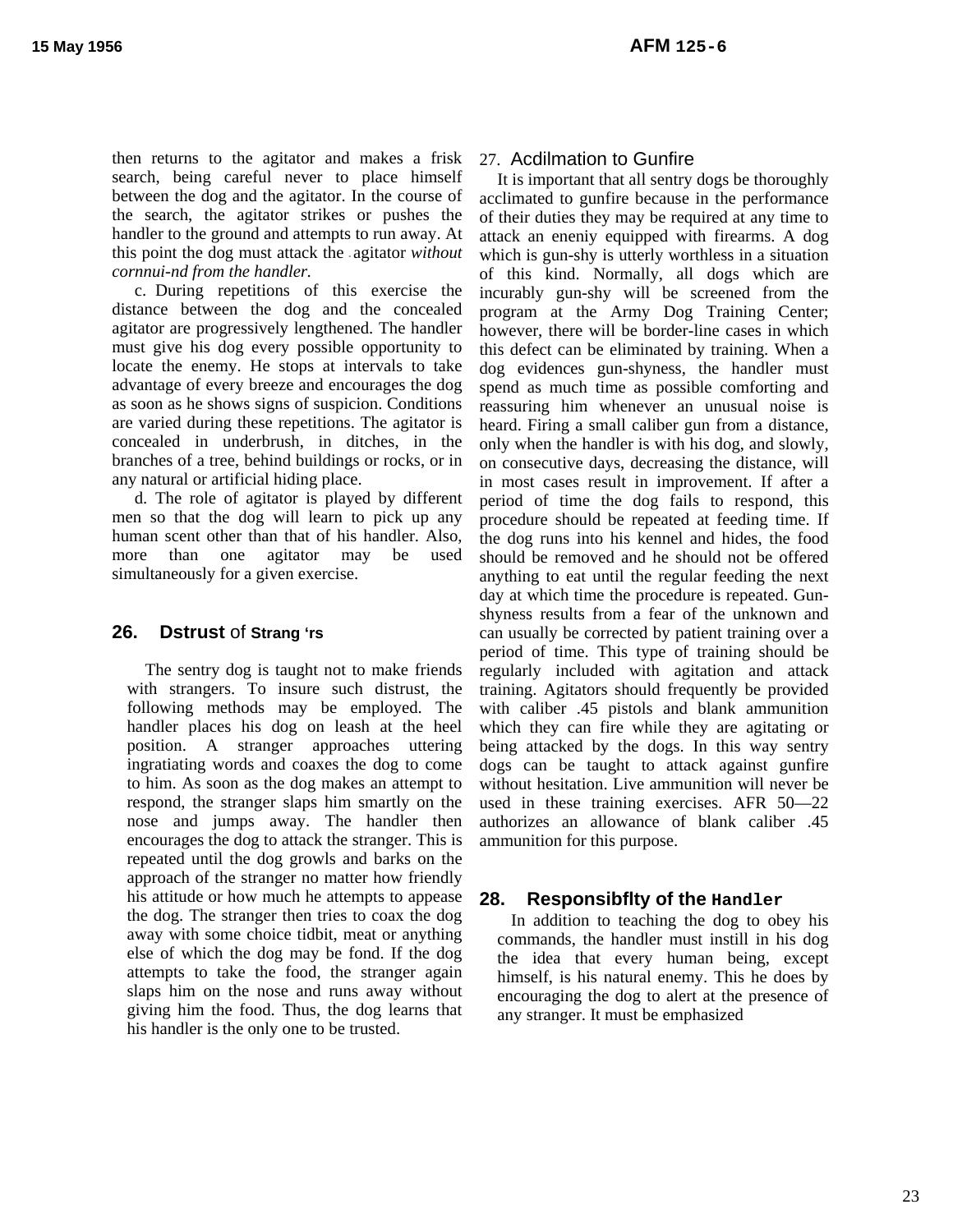then returns to the agitator and makes a frisk search, being careful never to place himself between the dog and the agitator. In the course of the search, the agitator strikes or pushes the handler to the ground and attempts to run away. At this point the dog must attack the **-** agitator *without cornnui-nd from the handler.* 

c. During repetitions of this exercise the distance between the dog and the concealed agitator are progressively lengthened. The handler must give his dog every possible opportunity to locate the enemy. He stops at intervals to take advantage of every breeze and encourages the dog as soon as he shows signs of suspicion. Conditions are varied during these repetitions. The agitator is concealed in underbrush, in ditches, in the branches of a tree, behind buildings or rocks, or in any natural or artificial hiding place.

d. The role of agitator is played by different men so that the dog will learn to pick up any human scent other than that of his handler. Also, more than one agitator may be used simultaneously for a given exercise.

## **26. Dstrust** of **Strang 'rs**

The sentry dog is taught not to make friends with strangers. To insure such distrust, the following methods may be employed. The handler places his dog on leash at the heel position. A stranger approaches uttering ingratiating words and coaxes the dog to come to him. As soon as the dog makes an attempt to respond, the stranger slaps him smartly on the nose and jumps away. The handler then encourages the dog to attack the stranger. This is repeated until the dog growls and barks on the approach of the stranger no matter how friendly his attitude or how much he attempts to appease the dog. The stranger then tries to coax the dog away with some choice tidbit, meat or anything else of which the dog may be fond. If the dog attempts to take the food, the stranger again slaps him on the nose and runs away without giving him the food. Thus, the dog learns that his handler is the only one to be trusted.

## 27. Acdilmation to Gunfire

It is important that all sentry dogs be thoroughly acclimated to gunfire because in the performance of their duties they may be required at any time to attack an eneniy equipped with firearms. A dog which is gun-shy is utterly worthless in a situation of this kind. Normally, all dogs which are incurably gun-shy will be screened from the program at the Army Dog Training Center; however, there will be border-line cases in which this defect can be eliminated by training. When a dog evidences gun-shyness, the handler must spend as much time as possible comforting and reassuring him whenever an unusual noise is heard. Firing a small caliber gun from a distance, only when the handler is with his dog, and slowly, on consecutive days, decreasing the distance, will in most cases result in improvement. If after a period of time the dog fails to respond, this procedure should be repeated at feeding time. If the dog runs into his kennel and hides, the food should be removed and he should not be offered anything to eat until the regular feeding the next day at which time the procedure is repeated. Gunshyness results from a fear of the unknown and can usually be corrected by patient training over a period of time. This type of training should be regularly included with agitation and attack training. Agitators should frequently be provided with caliber .45 pistols and blank ammunition which they can fire while they are agitating or being attacked by the dogs. In this way sentry dogs can be taught to attack against gunfire without hesitation. Live ammunition will never be used in these training exercises. AFR 50—22 authorizes an allowance of blank caliber .45 ammunition for this purpose.

## **28. Responsibflty of the Handler**

In addition to teaching the dog to obey his commands, the handler must instill in his dog the idea that every human being, except himself, is his natural enemy. This he does by encouraging the dog to alert at the presence of any stranger. It must be emphasized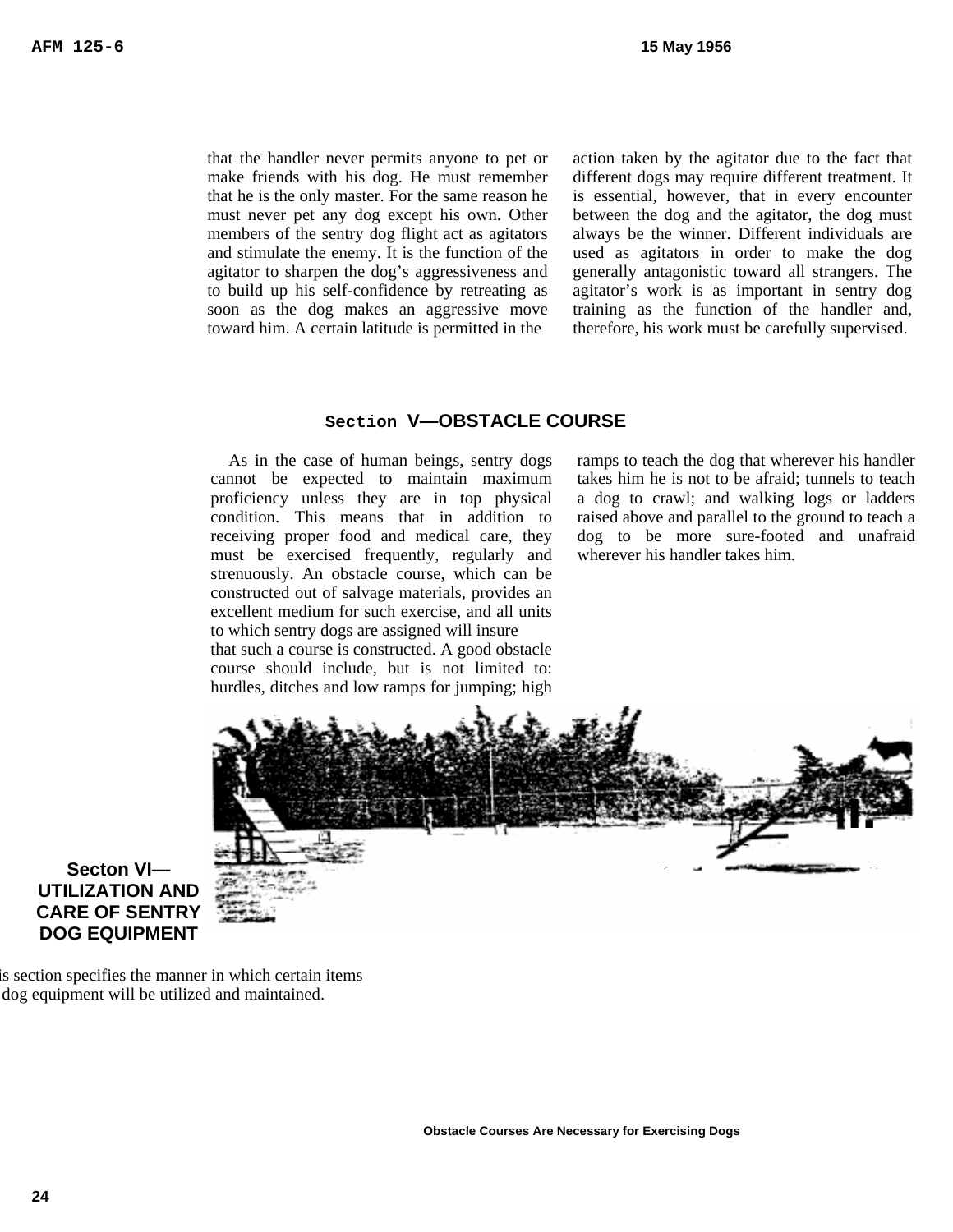that the handler never permits anyone to pet or make friends with his dog. He must remember that he is the only master. For the same reason he must never pet any dog except his own. Other members of the sentry dog flight act as agitators and stimulate the enemy. It is the function of the agitator to sharpen the dog's aggressiveness and to build up his self-confidence by retreating as soon as the dog makes an aggressive move toward him. A certain latitude is permitted in the

action taken by the agitator due to the fact that different dogs may require different treatment. It is essential, however, that in every encounter between the dog and the agitator, the dog must always be the winner. Different individuals are used as agitators in order to make the dog generally antagonistic toward all strangers. The agitator's work is as important in sentry dog training as the function of the handler and, therefore, his work must be carefully supervised.

## **Section V—OBSTACLE COURSE**

As in the case of human beings, sentry dogs cannot be expected to maintain maximum proficiency unless they are in top physical condition. This means that in addition to receiving proper food and medical care, they must be exercised frequently, regularly and strenuously. An obstacle course, which can be constructed out of salvage materials, provides an excellent medium for such exercise, and all units to which sentry dogs are assigned will insure that such a course is constructed. A good obstacle course should include, but is not limited to: hurdles, ditches and low ramps for jumping; high

ramps to teach the dog that wherever his handler takes him he is not to be afraid; tunnels to teach a dog to crawl; and walking logs or ladders raised above and parallel to the ground to teach a dog to be more sure-footed and unafraid wherever his handler takes him.



**Secton VI— UTILIZATION AND CARE OF SENTRY DOG EQUIPMENT** 

is section specifies the manner in which certain items dog equipment will be utilized and maintained.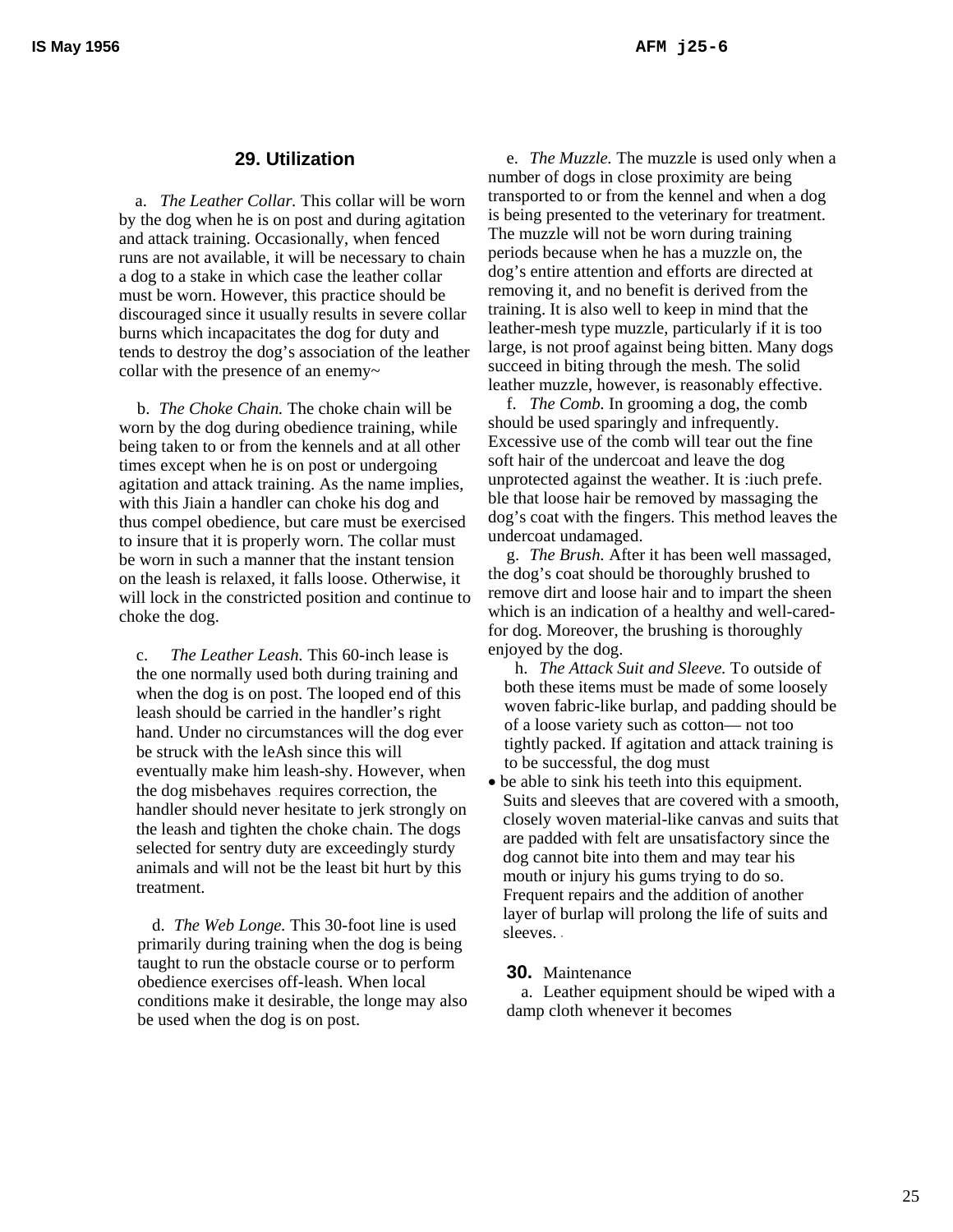#### **29. Utilization**

a. *The Leather Collar.* This collar will be worn by the dog when he is on post and during agitation and attack training. Occasionally, when fenced runs are not available, it will be necessary to chain a dog to a stake in which case the leather collar must be worn. However, this practice should be discouraged since it usually results in severe collar burns which incapacitates the dog for duty and tends to destroy the dog's association of the leather collar with the presence of an enemy~

b. *The Choke Chain.* The choke chain will be worn by the dog during obedience training, while being taken to or from the kennels and at all other times except when he is on post or undergoing agitation and attack training. As the name implies, with this Jiain a handler can choke his dog and thus compel obedience, but care must be exercised to insure that it is properly worn. The collar must be worn in such a manner that the instant tension on the leash is relaxed, it falls loose. Otherwise, it will lock in the constricted position and continue to choke the dog.

c. *The Leather Leash.* This 60-inch lease is the one normally used both during training and when the dog is on post. The looped end of this leash should be carried in the handler's right hand. Under no circumstances will the dog ever be struck with the leAsh since this will eventually make him leash-shy. However, when the dog misbehaves . requires correction, the handler should never hesitate to jerk strongly on the leash and tighten the choke chain. The dogs selected for sentry duty are exceedingly sturdy animals and will not be the least bit hurt by this treatment.

d. *The Web Longe.* This 30-foot line is used primarily during training when the dog is being taught to run the obstacle course or to perform obedience exercises off-leash. When local conditions make it desirable, the longe may also be used when the dog is on post.

e. *The Muzzle.* The muzzle is used only when a number of dogs in close proximity are being transported to or from the kennel and when a dog is being presented to the veterinary for treatment. The muzzle will not be worn during training periods because when he has a muzzle on, the dog's entire attention and efforts are directed at removing it, and no benefit is derived from the training. It is also well to keep in mind that the leather-mesh type muzzle, particularly if it is too large, is not proof against being bitten. Many dogs succeed in biting through the mesh. The solid leather muzzle, however, is reasonably effective.

f. *The Comb.* In grooming a dog, the comb should be used sparingly and infrequently. Excessive use of the comb will tear out the fine soft hair of the undercoat and leave the dog unprotected against the weather. It is :iuch prefe. ble that loose hair be removed by massaging the dog's coat with the fingers. This method leaves the undercoat undamaged.

g. *The Brush.* After it has been well massaged, the dog's coat should be thoroughly brushed to remove dirt and loose hair and to impart the sheen which is an indication of a healthy and well-caredfor dog. Moreover, the brushing is thoroughly enjoyed by the dog.

h. *The Attack Suit and Sleeve.* To outside of both these items must be made of some loosely woven fabric-like burlap, and padding should be of a loose variety such as cotton— not too tightly packed. If agitation and attack training is to be successful, the dog must

• be able to sink his teeth into this equipment. Suits and sleeves that are covered with a smooth, closely woven material-like canvas and suits that are padded with felt are unsatisfactory since the dog cannot bite into them and may tear his mouth or injury his gums trying to do so. Frequent repairs and the addition of another layer of burlap will prolong the life of suits and sleeves. **-** 

#### **30.** Maintenance

a. Leather equipment should be wiped with a damp cloth whenever it becomes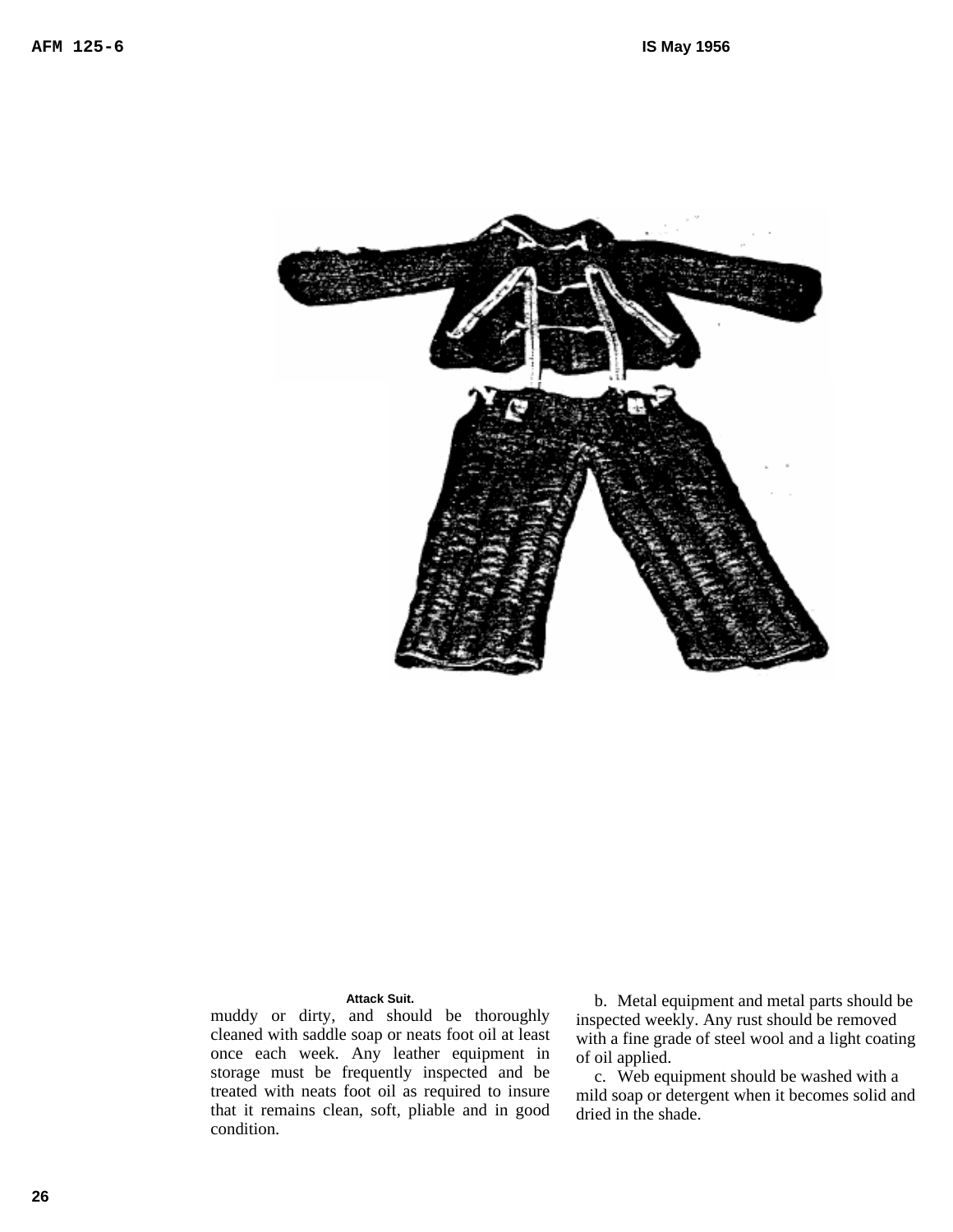

#### **Attack Suit.**

muddy or dirty, and should be thoroughly cleaned with saddle soap or neats foot oil at least once each week. Any leather equipment in storage must be frequently inspected and be treated with neats foot oil as required to insure that it remains clean, soft, pliable and in good condition.

b. Metal equipment and metal parts should be inspected weekly. Any rust should be removed with a fine grade of steel wool and a light coating of oil applied.

c. Web equipment should be washed with a mild soap or detergent when it becomes solid and dried in the shade.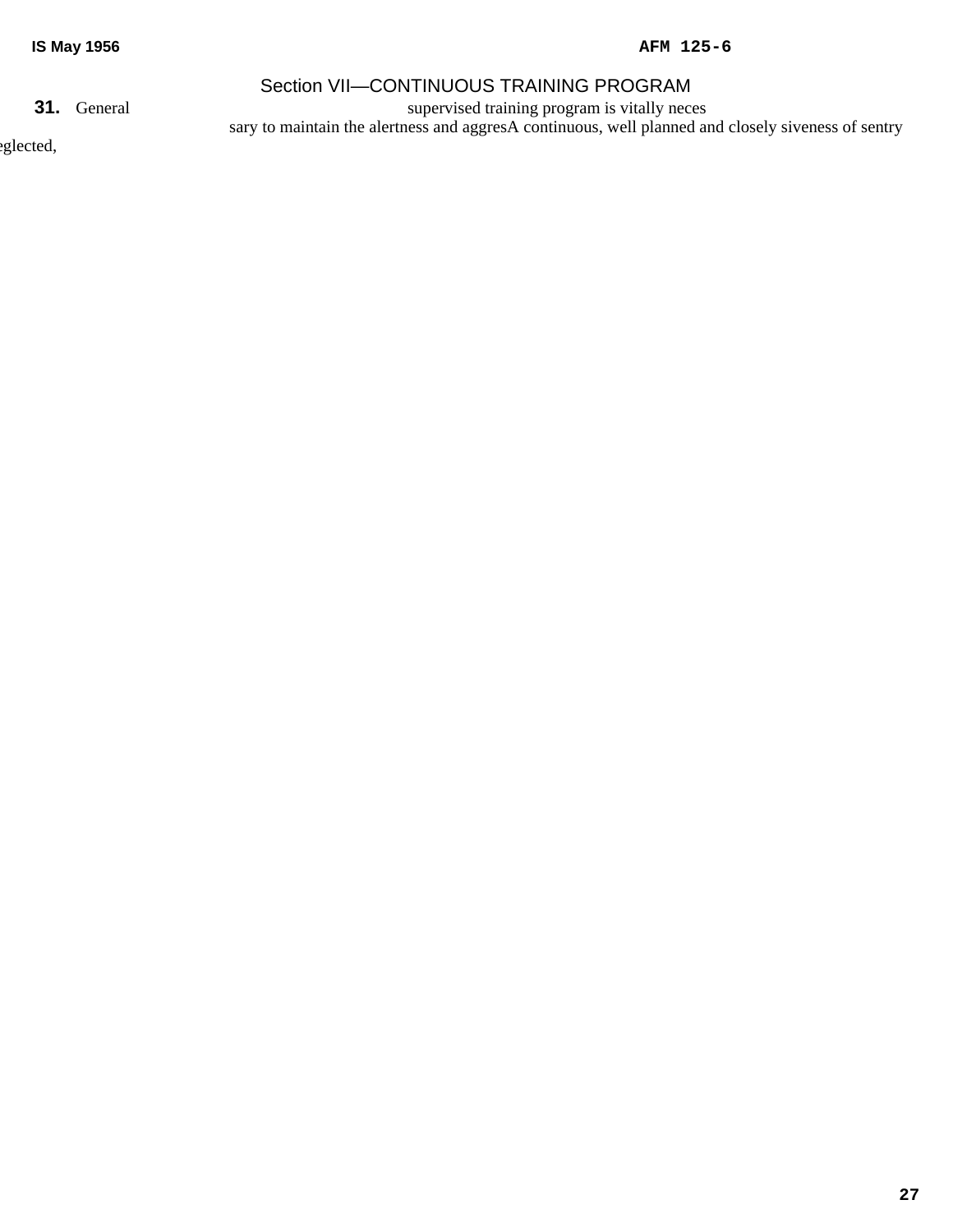eglected,

Section VII—CONTINUOUS TRAINING PROGRAM **31.** General supervised training program is vitally neces sary to maintain the alertness and aggresA continuous, well planned and closely siveness of sentry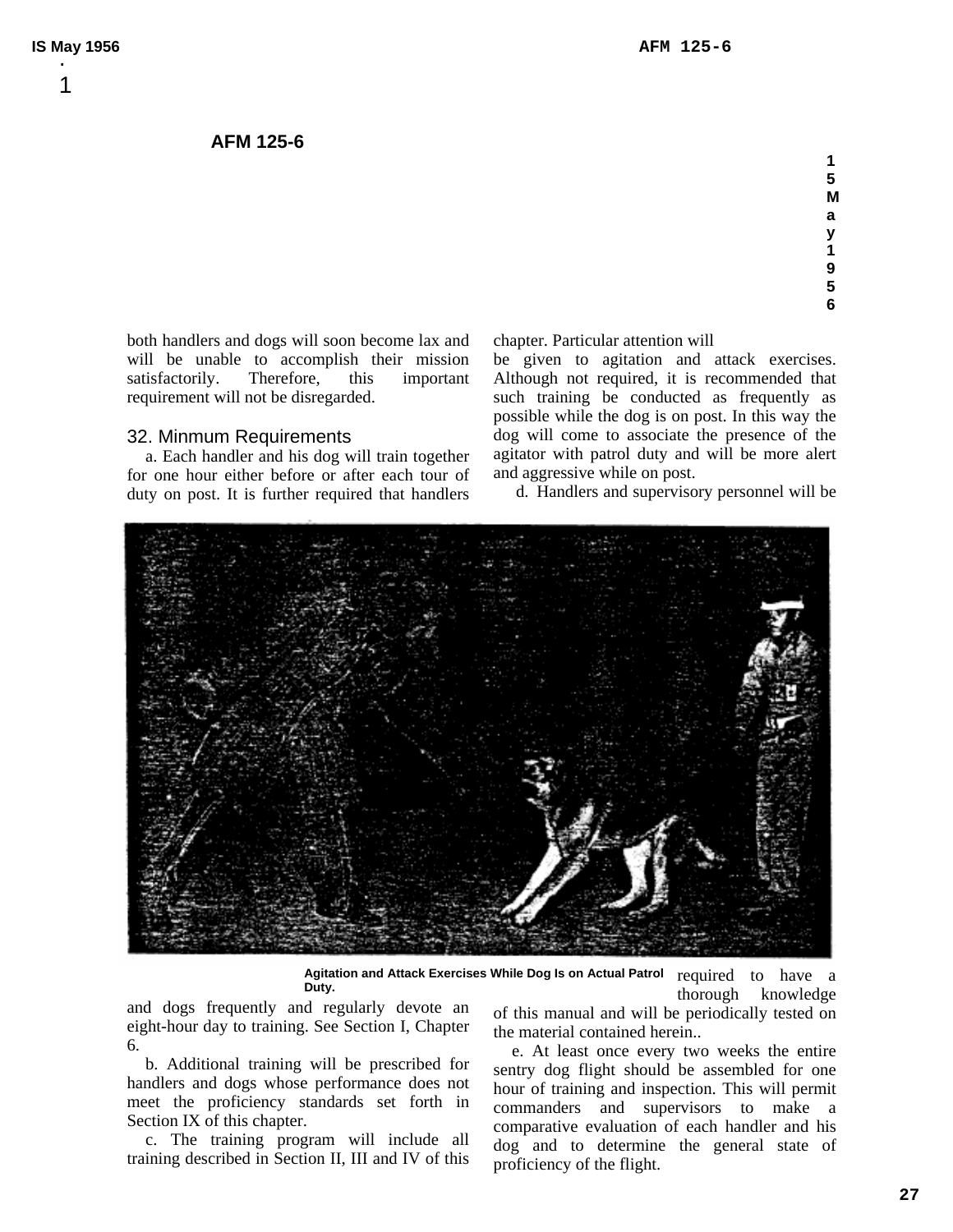**AFM 125-6** 

**1 5 M a y 1 9**

**5**

**6** 

both handlers and dogs will soon become lax and will be unable to accomplish their mission satisfactorily. Therefore, this important requirement will not be disregarded.

#### 32. Minmum Requirements

a. Each handler and his dog will train together for one hour either before or after each tour of duty on post. It is further required that handlers

chapter. Particular attention will

be given to agitation and attack exercises. Although not required, it is recommended that such training be conducted as frequently as possible while the dog is on post. In this way the dog will come to associate the presence of the agitator with patrol duty and will be more alert and aggressive while on post.

d. Handlers and supervisory personnel will be



Agitation and Attack Exercises While Dog Is on Actual Patrol **prequired** to have a **Duty.** 

and dogs frequently and regularly devote an eight-hour day to training. See Section I, Chapter 6.

b. Additional training will be prescribed for handlers and dogs whose performance does not meet the proficiency standards set forth in Section IX of this chapter.

c. The training program will include all training described in Section II, III and IV of this

thorough knowledge of this manual and will be periodically tested on the material contained herein..

e. At least once every two weeks the entire sentry dog flight should be assembled for one hour of training and inspection. This will permit commanders and supervisors to make a comparative evaluation of each handler and his dog and to determine the general state of proficiency of the flight.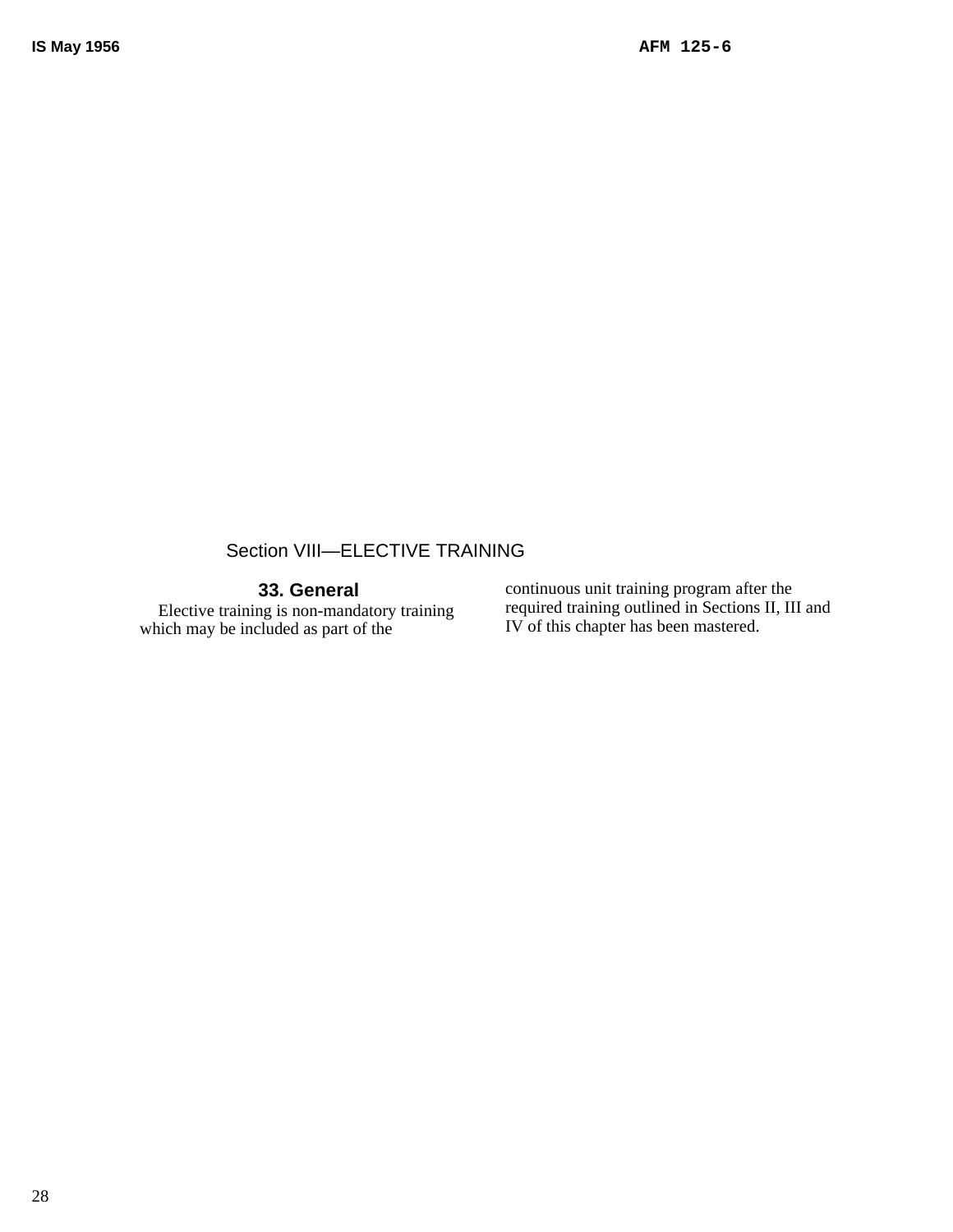## Section VIII—ELECTIVE TRAINING

## **33. General**

Elective training is non-mandatory training which may be included as part of the

continuous unit training program after the required training outlined in Sections II, III and IV of this chapter has been mastered.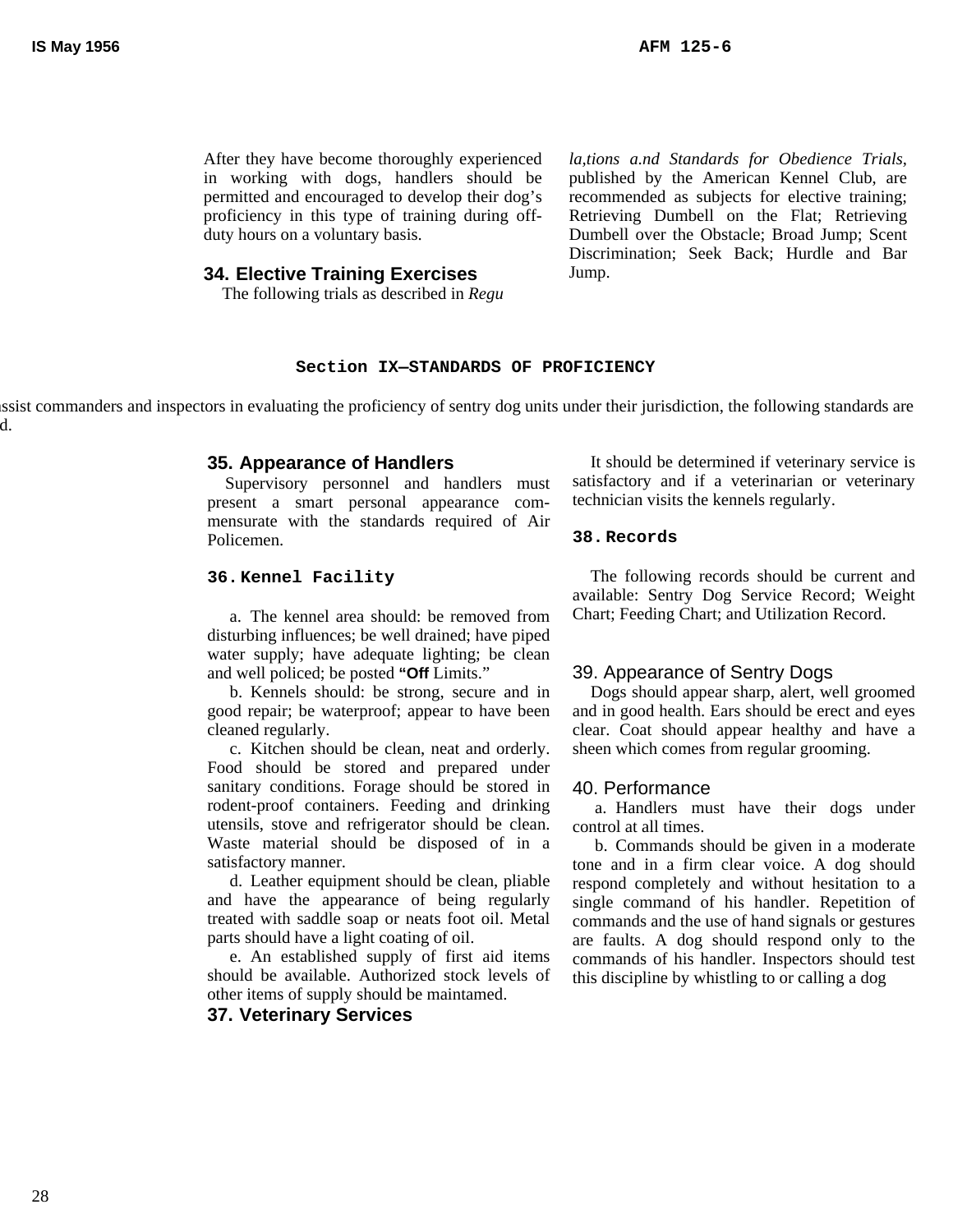After they have become thoroughly experienced in working with dogs, handlers should be permitted and encouraged to develop their dog's proficiency in this type of training during offduty hours on a voluntary basis.

## **34. Elective Training Exercises**

The following trials as described in *Regu* 

*la,tions a.nd Standards for Obedience Trials,*  published by the American Kennel Club, are recommended as subjects for elective training; Retrieving Dumbell on the Flat; Retrieving Dumbell over the Obstacle; Broad Jump; Scent Discrimination; Seek Back; Hurdle and Bar Jump.

#### **Section IX—STANDARDS OF PROFICIENCY**

assist commanders and inspectors in evaluating the proficiency of sentry dog units under their jurisdiction, the following standards are d.

## **35. Appearance of Handlers**

Supervisory personnel and handlers must present a smart personal appearance commensurate with the standards required of Air Policemen.

### **36. Kennel Facility**

a. The kennel area should: be removed from disturbing influences; be well drained; have piped water supply; have adequate lighting; be clean and well policed; be posted **"Off** Limits."

b. Kennels should: be strong, secure and in good repair; be waterproof; appear to have been cleaned regularly.

c. Kitchen should be clean, neat and orderly. Food should be stored and prepared under sanitary conditions. Forage should be stored in rodent-proof containers. Feeding and drinking utensils, stove and refrigerator should be clean. Waste material should be disposed of in a satisfactory manner.

d. Leather equipment should be clean, pliable and have the appearance of being regularly treated with saddle soap or neats foot oil. Metal parts should have a light coating of oil.

e. An established supply of first aid items should be available. Authorized stock levels of other items of supply should be maintamed.

### **37. Veterinary Services**

It should be determined if veterinary service is satisfactory and if a veterinarian or veterinary technician visits the kennels regularly.

### **38. Records**

The following records should be current and available: Sentry Dog Service Record; Weight Chart; Feeding Chart; and Utilization Record.

## 39. Appearance of Sentry Dogs

Dogs should appear sharp, alert, well groomed and in good health. Ears should be erect and eyes clear. Coat should appear healthy and have a sheen which comes from regular grooming.

## 40. Performance

a. Handlers must have their dogs under control at all times.

b. Commands should be given in a moderate tone and in a firm clear voice. A dog should respond completely and without hesitation to a single command of his handler. Repetition of commands and the use of hand signals or gestures are faults. A dog should respond only to the commands of his handler. Inspectors should test this discipline by whistling to or calling a dog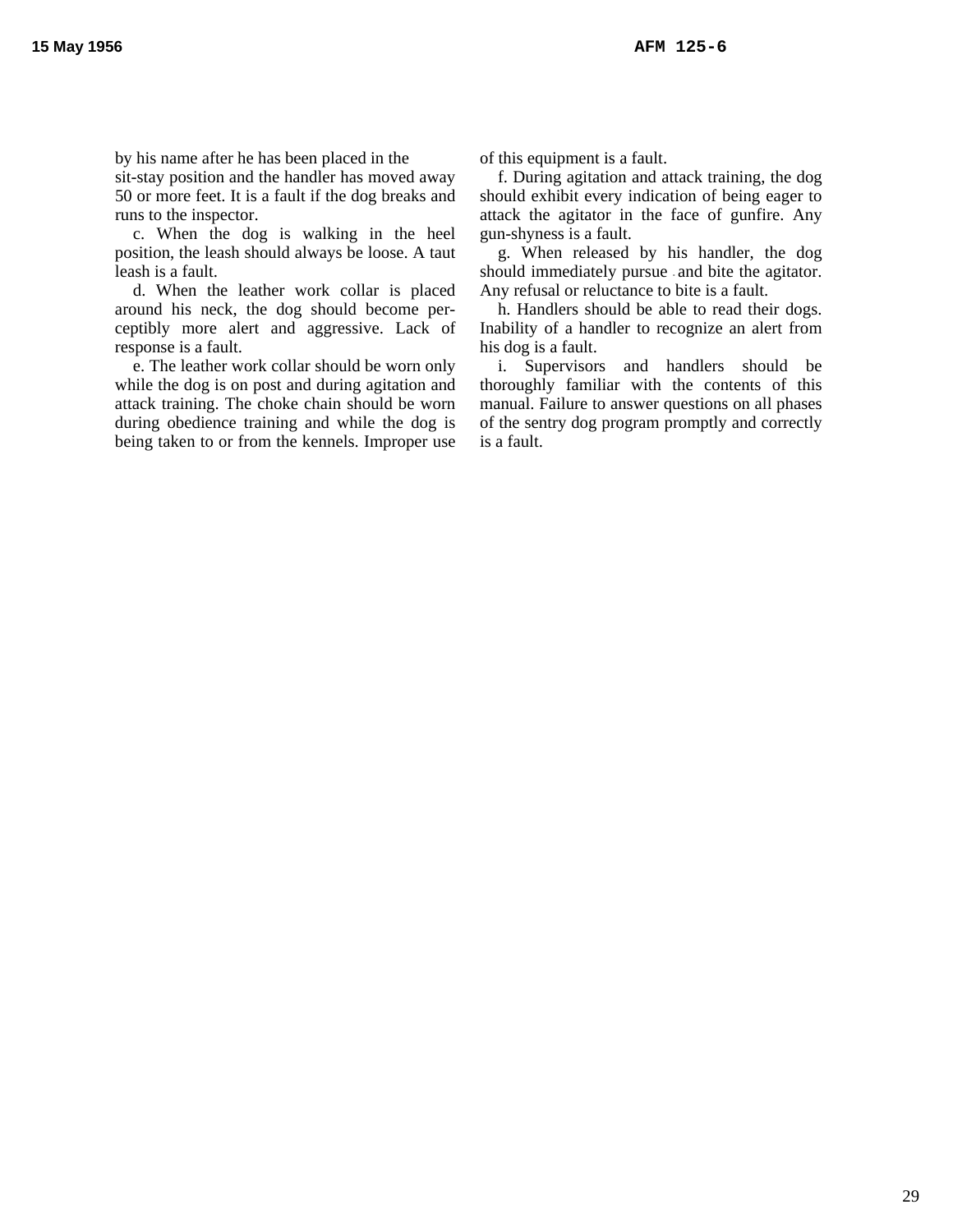by his name after he has been placed in the

sit-stay position and the handler has moved away 50 or more feet. It is a fault if the dog breaks and runs to the inspector.

c. When the dog is walking in the heel position, the leash should always be loose. A taut leash is a fault.

d. When the leather work collar is placed around his neck, the dog should become perceptibly more alert and aggressive. Lack of response is a fault.

e. The leather work collar should be worn only while the dog is on post and during agitation and attack training. The choke chain should be worn during obedience training and while the dog is being taken to or from the kennels. Improper use of this equipment is a fault.

f. During agitation and attack training, the dog should exhibit every indication of being eager to attack the agitator in the face of gunfire. Any gun-shyness is a fault.

g. When released by his handler, the dog should immediately pursue **-** and bite the agitator. Any refusal or reluctance to bite is a fault.

h. Handlers should be able to read their dogs. Inability of a handler to recognize an alert from his dog is a fault.

i. Supervisors and handlers should be thoroughly familiar with the contents of this manual. Failure to answer questions on all phases of the sentry dog program promptly and correctly is a fault.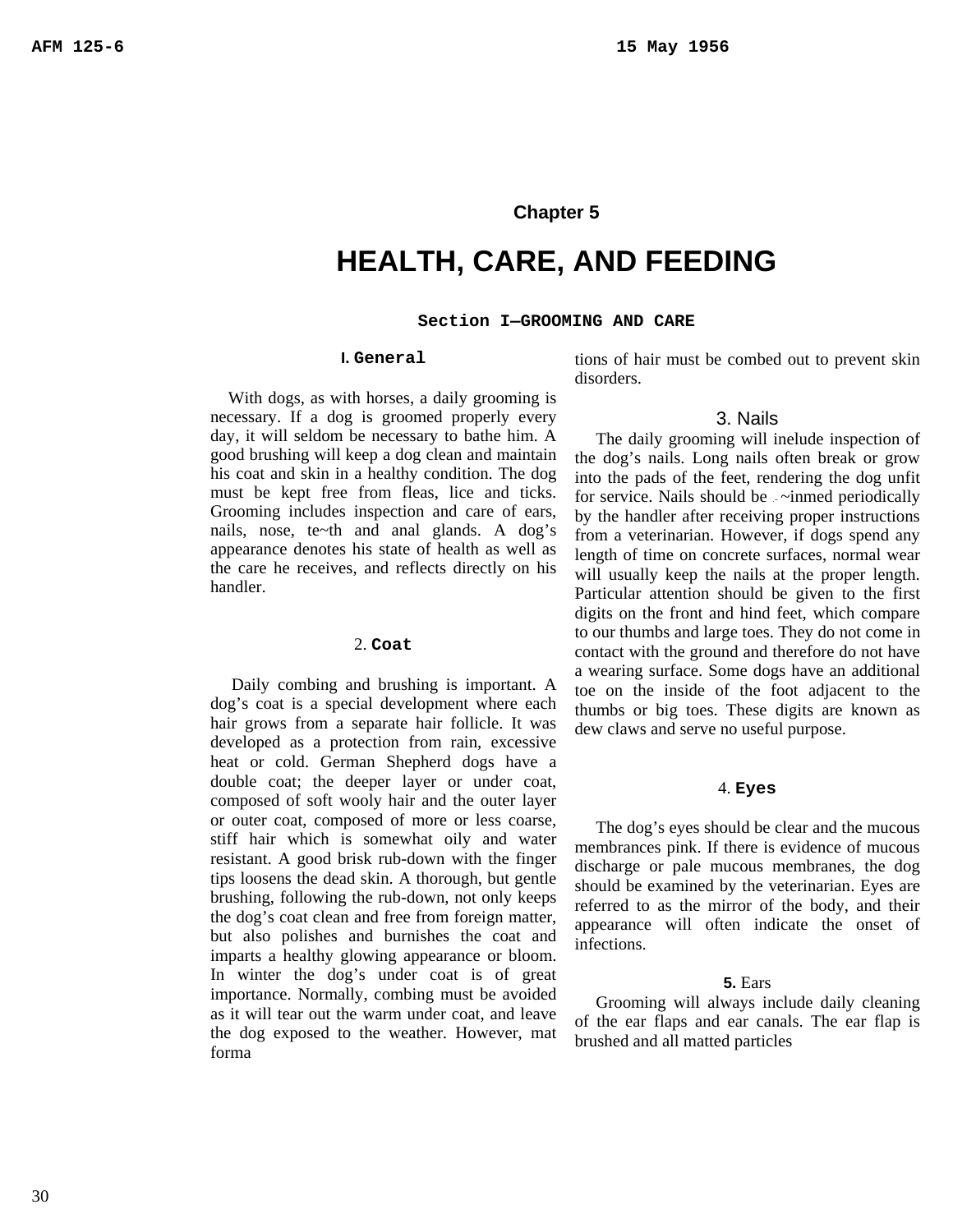## **Chapter 5**

## **HEALTH, CARE, AND FEEDING**

#### **Section I—GROOMING AND CARE**

#### **I. General**

With dogs, as with horses, a daily grooming is necessary. If a dog is groomed properly every day, it will seldom be necessary to bathe him. A good brushing will keep a dog clean and maintain his coat and skin in a healthy condition. The dog must be kept free from fleas, lice and ticks. Grooming includes inspection and care of ears, nails, nose, te~th and anal glands. A dog's appearance denotes his state of health as well as the care he receives, and reflects directly on his handler.

#### 2. **Coat**

Daily combing and brushing is important. A dog's coat is a special development where each hair grows from a separate hair follicle. It was developed as a protection from rain, excessive heat or cold. German Shepherd dogs have a double coat; the deeper layer or under coat, composed of soft wooly hair and the outer layer or outer coat, composed of more or less coarse, stiff hair which is somewhat oily and water resistant. A good brisk rub-down with the finger tips loosens the dead skin. A thorough, but gentle brushing, following the rub-down, not only keeps the dog's coat clean and free from foreign matter, but also polishes and burnishes the coat and imparts a healthy glowing appearance or bloom. In winter the dog's under coat is of great importance. Normally, combing must be avoided as it will tear out the warm under coat, and leave the dog exposed to the weather. However, mat forma

tions of hair must be combed out to prevent skin disorders.

#### 3. Nails

The daily grooming will inelude inspection of the dog's nails. Long nails often break or grow into the pads of the feet, rendering the dog unfit for service. Nails should be .~ inmed periodically by the handler after receiving proper instructions from a veterinarian. However, if dogs spend any length of time on concrete surfaces, normal wear will usually keep the nails at the proper length. Particular attention should be given to the first digits on the front and hind feet, which compare to our thumbs and large toes. They do not come in contact with the ground and therefore do not have a wearing surface. Some dogs have an additional toe on the inside of the foot adjacent to the thumbs or big toes. These digits are known as dew claws and serve no useful purpose.

#### 4. **Eyes**

The dog's eyes should be clear and the mucous membrances pink. If there is evidence of mucous discharge or pale mucous membranes, the dog should be examined by the veterinarian. Eyes are referred to as the mirror of the body, and their appearance will often indicate the onset of infections.

#### **5.** Ears

Grooming will always include daily cleaning of the ear flaps and ear canals. The ear flap is brushed and all matted particles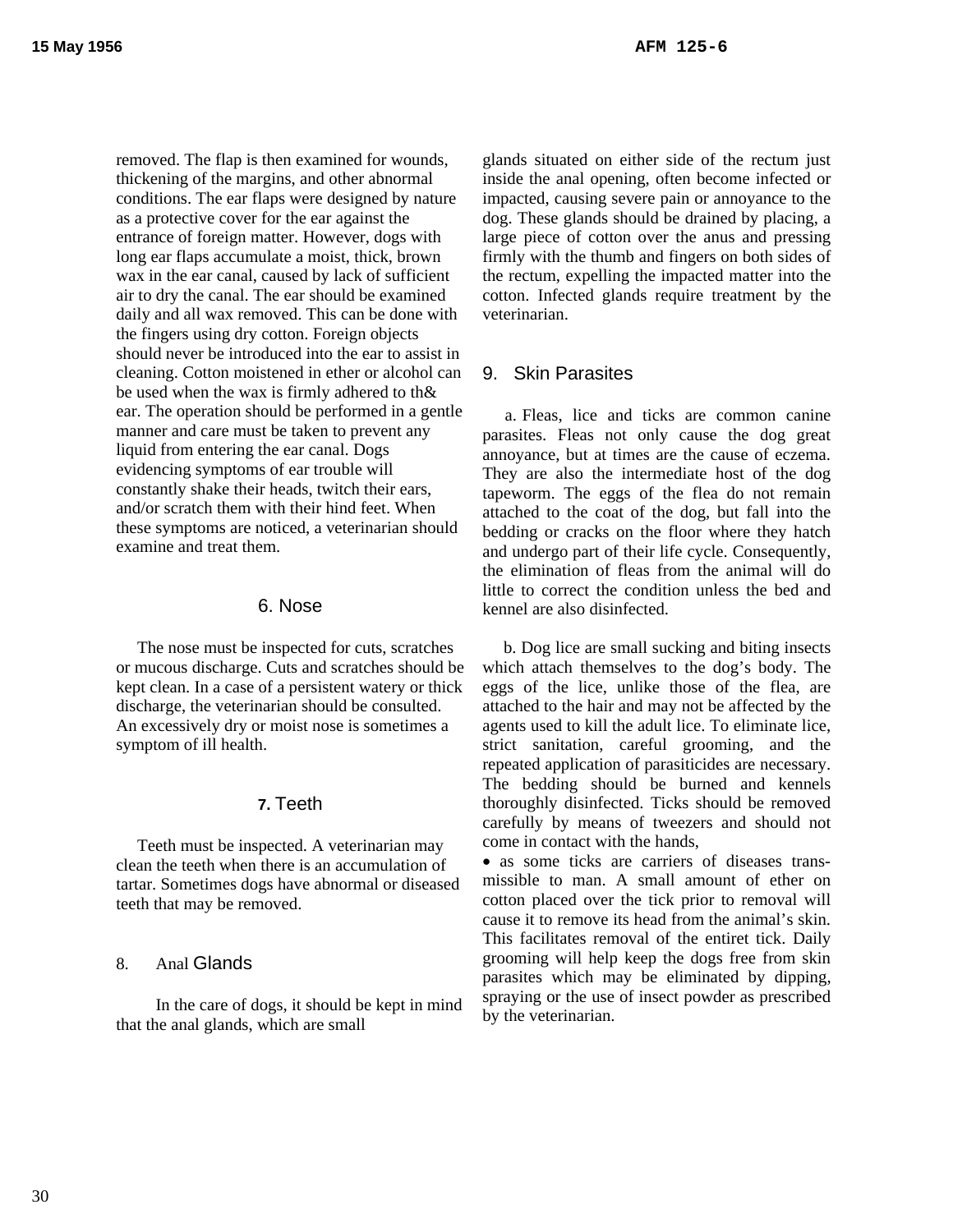removed. The flap is then examined for wounds, thickening of the margins, and other abnormal conditions. The ear flaps were designed by nature as a protective cover for the ear against the entrance of foreign matter. However, dogs with long ear flaps accumulate a moist, thick, brown wax in the ear canal, caused by lack of sufficient air to dry the canal. The ear should be examined daily and all wax removed. This can be done with the fingers using dry cotton. Foreign objects should never be introduced into the ear to assist in cleaning. Cotton moistened in ether or alcohol can be used when the wax is firmly adhered to th& ear. The operation should be performed in a gentle manner and care must be taken to prevent any liquid from entering the ear canal. Dogs evidencing symptoms of ear trouble will constantly shake their heads, twitch their ears, and/or scratch them with their hind feet. When these symptoms are noticed, a veterinarian should examine and treat them.

### 6. Nose

The nose must be inspected for cuts, scratches or mucous discharge. Cuts and scratches should be kept clean. In a case of a persistent watery or thick discharge, the veterinarian should be consulted. An excessively dry or moist nose is sometimes a symptom of ill health.

## **7.** Teeth

Teeth must be inspected. A veterinarian may clean the teeth when there is an accumulation of tartar. Sometimes dogs have abnormal or diseased teeth that may be removed.

## 8. Anal Glands

In the care of dogs, it should be kept in mind that the anal glands, which are small

glands situated on either side of the rectum just inside the anal opening, often become infected or impacted, causing severe pain or annoyance to the dog. These glands should be drained by placing, a large piece of cotton over the anus and pressing firmly with the thumb and fingers on both sides of the rectum, expelling the impacted matter into the cotton. Infected glands require treatment by the veterinarian.

## 9. Skin Parasites

a. Fleas, lice and ticks are common canine parasites. Fleas not only cause the dog great annoyance, but at times are the cause of eczema. They are also the intermediate host of the dog tapeworm. The eggs of the flea do not remain attached to the coat of the dog, but fall into the bedding or cracks on the floor where they hatch and undergo part of their life cycle. Consequently, the elimination of fleas from the animal will do little to correct the condition unless the bed and kennel are also disinfected.

b. Dog lice are small sucking and biting insects which attach themselves to the dog's body. The eggs of the lice, unlike those of the flea, are attached to the hair and may not be affected by the agents used to kill the adult lice. To eliminate lice, strict sanitation, careful grooming, and the repeated application of parasiticides are necessary. The bedding should be burned and kennels thoroughly disinfected. Ticks should be removed carefully by means of tweezers and should not come in contact with the hands,

• as some ticks are carriers of diseases transmissible to man. A small amount of ether on cotton placed over the tick prior to removal will cause it to remove its head from the animal's skin. This facilitates removal of the entiret tick. Daily grooming will help keep the dogs free from skin parasites which may be eliminated by dipping, spraying or the use of insect powder as prescribed by the veterinarian.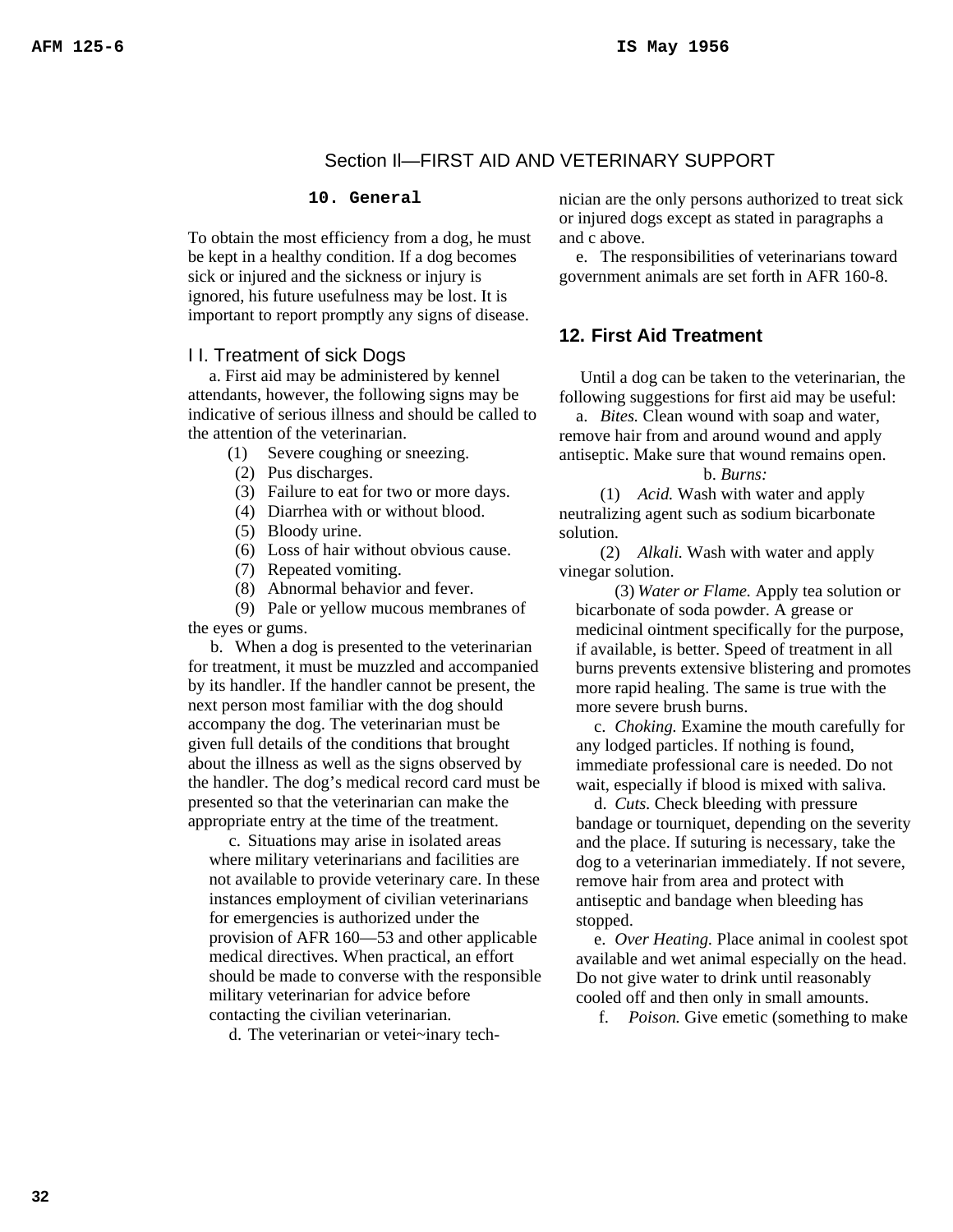## Section Il—FIRST AID AND VETERINARY SUPPORT

#### **10. General**

To obtain the most efficiency from a dog, he must be kept in a healthy condition. If a dog becomes sick or injured and the sickness or injury is ignored, his future usefulness may be lost. It is important to report promptly any signs of disease.

#### I I. Treatment of sick Dogs

a. First aid may be administered by kennel attendants, however, the following signs may be indicative of serious illness and should be called to the attention of the veterinarian.

- (1) Severe coughing or sneezing.
- (2) Pus discharges.
- (3) Failure to eat for two or more days.
- (4) Diarrhea with or without blood.
- (5) Bloody urine.
- (6) Loss of hair without obvious cause.
- (7) Repeated vomiting.
- (8) Abnormal behavior and fever.

(9) Pale or yellow mucous membranes of the eyes or gums.

b. When a dog is presented to the veterinarian for treatment, it must be muzzled and accompanied by its handler. If the handler cannot be present, the next person most familiar with the dog should accompany the dog. The veterinarian must be given full details of the conditions that brought about the illness as well as the signs observed by the handler. The dog's medical record card must be presented so that the veterinarian can make the appropriate entry at the time of the treatment.

c. Situations may arise in isolated areas where military veterinarians and facilities are not available to provide veterinary care. In these instances employment of civilian veterinarians for emergencies is authorized under the provision of AFR 160—53 and other applicable medical directives. When practical, an effort should be made to converse with the responsible military veterinarian for advice before contacting the civilian veterinarian.

d. The veterinarian or vetei~inary tech-

nician are the only persons authorized to treat sick or injured dogs except as stated in paragraphs a and c above.

e. The responsibilities of veterinarians toward government animals are set forth in AFR 160-8.

## **12. First Aid Treatment**

Until a dog can be taken to the veterinarian, the following suggestions for first aid may be useful:

a. *Bites.* Clean wound with soap and water, remove hair from and around wound and apply antiseptic. Make sure that wound remains open.

b. *Burns:* 

(1) *Acid.* Wash with water and apply neutralizing agent such as sodium bicarbonate solution.

(2) *Alkali.* Wash with water and apply vinegar solution.

(3) *Water or Flame.* Apply tea solution or bicarbonate of soda powder. A grease or medicinal ointment specifically for the purpose, if available, is better. Speed of treatment in all burns prevents extensive blistering and promotes more rapid healing. The same is true with the more severe brush burns.

c. *Choking.* Examine the mouth carefully for any lodged particles. If nothing is found, immediate professional care is needed. Do not wait, especially if blood is mixed with saliva.

d. *Cuts.* Check bleeding with pressure bandage or tourniquet, depending on the severity and the place. If suturing is necessary, take the dog to a veterinarian immediately. If not severe, remove hair from area and protect with antiseptic and bandage when bleeding has stopped.

e. *Over Heating.* Place animal in coolest spot available and wet animal especially on the head. Do not give water to drink until reasonably cooled off and then only in small amounts.

f. *Poison.* Give emetic (something to make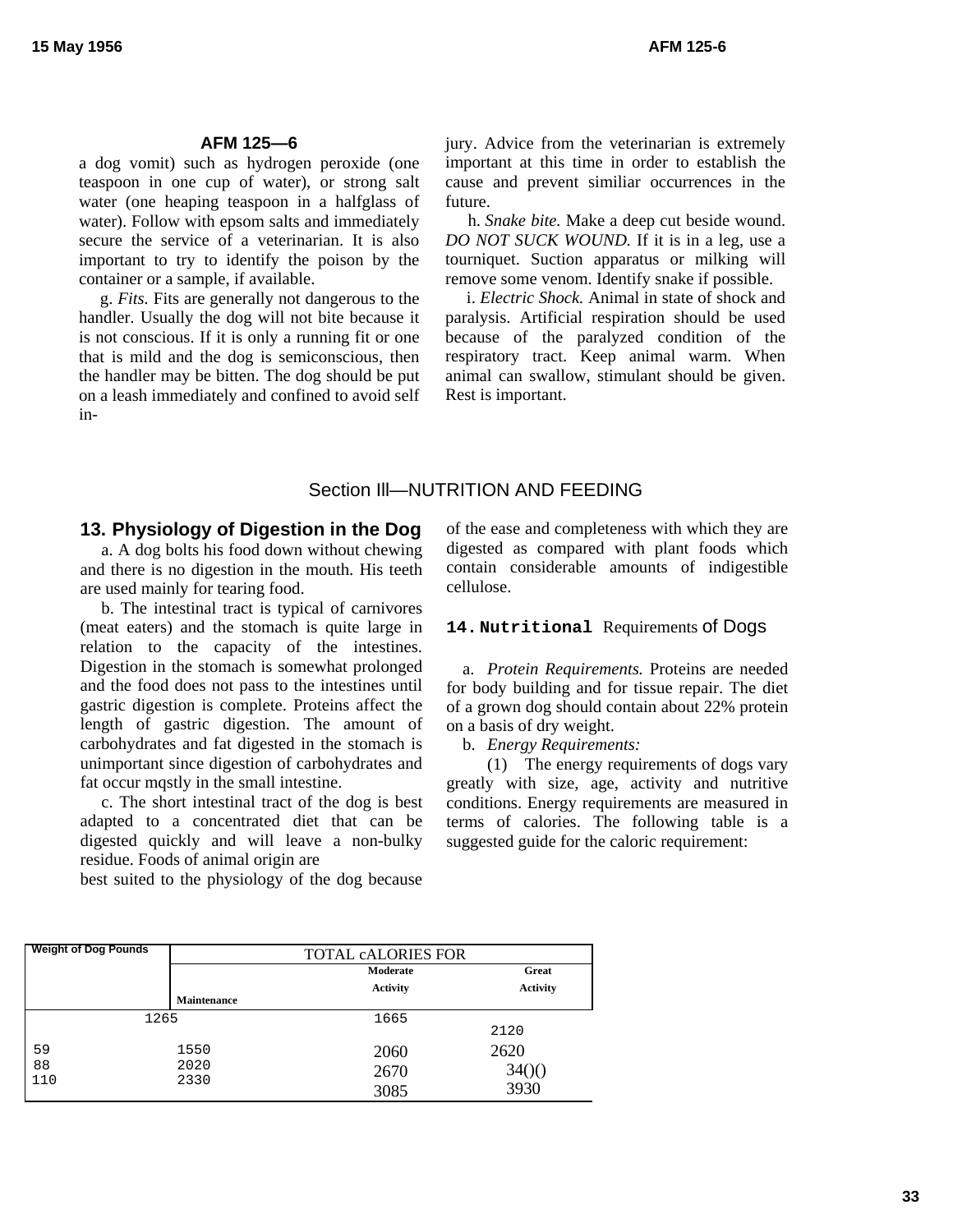#### **AFM 125—6**

a dog vomit) such as hydrogen peroxide (one teaspoon in one cup of water), or strong salt water (one heaping teaspoon in a halfglass of water). Follow with epsom salts and immediately secure the service of a veterinarian. It is also important to try to identify the poison by the container or a sample, if available.

g. *Fits.* Fits are generally not dangerous to the handler. Usually the dog will not bite because it is not conscious. If it is only a running fit or one that is mild and the dog is semiconscious, then the handler may be bitten. The dog should be put on a leash immediately and confined to avoid self injury. Advice from the veterinarian is extremely important at this time in order to establish the cause and prevent similiar occurrences in the future.

h. *Snake bite.* Make a deep cut beside wound. *DO NOT SUCK WOUND.* If it is in a leg, use a tourniquet. Suction apparatus or milking will remove some venom. Identify snake if possible.

i. *Electric Shock.* Animal in state of shock and paralysis. Artificial respiration should be used because of the paralyzed condition of the respiratory tract. Keep animal warm. When animal can swallow, stimulant should be given. Rest is important.

## Section Ill—NUTRITION AND FEEDING

#### **13. Physiology of Digestion in the Dog**

a. A dog bolts his food down without chewing and there is no digestion in the mouth. His teeth are used mainly for tearing food.

b. The intestinal tract is typical of carnivores (meat eaters) and the stomach is quite large in relation to the capacity of the intestines. Digestion in the stomach is somewhat prolonged and the food does not pass to the intestines until gastric digestion is complete. Proteins affect the length of gastric digestion. The amount of carbohydrates and fat digested in the stomach is unimportant since digestion of carbohydrates and fat occur mqstly in the small intestine.

c. The short intestinal tract of the dog is best adapted to a concentrated diet that can be digested quickly and will leave a non-bulky residue. Foods of animal origin are

best suited to the physiology of the dog because

of the ease and completeness with which they are digested as compared with plant foods which contain considerable amounts of indigestible cellulose.

#### **14. Nutritional** Requirements of Dogs

a. *Protein Requirements.* Proteins are needed for body building and for tissue repair. The diet of a grown dog should contain about 22% protein on a basis of dry weight.

b. *Energy Requirements:* 

(1) The energy requirements of dogs vary greatly with size, age, activity and nutritive conditions. Energy requirements are measured in terms of calories. The following table is a suggested guide for the caloric requirement:

| <b>Weight of Dog Pounds</b> |      |                    | <b>TOTAL CALORIES FOR</b> |                 |
|-----------------------------|------|--------------------|---------------------------|-----------------|
|                             |      |                    | Moderate                  | Great           |
|                             |      |                    | <b>Activity</b>           | <b>Activity</b> |
|                             |      | <b>Maintenance</b> |                           |                 |
|                             | 1265 |                    | 1665                      | 2120            |
| 59                          |      | 1550               | 2060                      | 2620            |
| 88                          |      | 2020               | 2670                      | 34()()          |
| 110                         |      | 2330               | 3085                      | 3930            |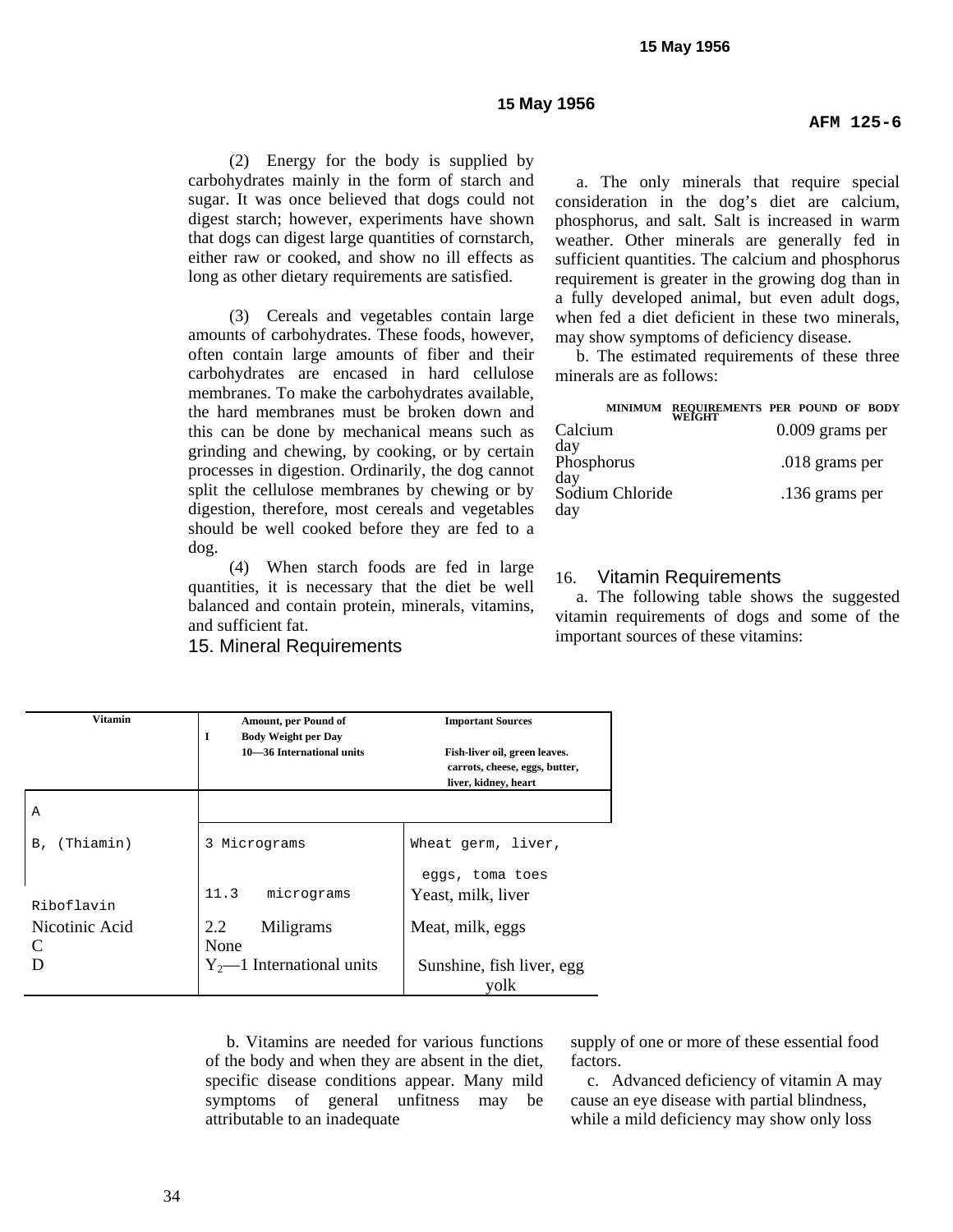## **15 May 1956**

(2) Energy for the body is supplied by carbohydrates mainly in the form of starch and sugar. It was once believed that dogs could not digest starch; however, experiments have shown that dogs can digest large quantities of cornstarch, either raw or cooked, and show no ill effects as long as other dietary requirements are satisfied.

(3) Cereals and vegetables contain large amounts of carbohydrates. These foods, however, often contain large amounts of fiber and their carbohydrates are encased in hard cellulose membranes. To make the carbohydrates available, the hard membranes must be broken down and this can be done by mechanical means such as grinding and chewing, by cooking, or by certain processes in digestion. Ordinarily, the dog cannot split the cellulose membranes by chewing or by digestion, therefore, most cereals and vegetables should be well cooked before they are fed to a dog.

(4) When starch foods are fed in large quantities, it is necessary that the diet be well balanced and contain protein, minerals, vitamins, and sufficient fat.

15. Mineral Requirements

a. The only minerals that require special consideration in the dog's diet are calcium, phosphorus, and salt. Salt is increased in warm weather. Other minerals are generally fed in sufficient quantities. The calcium and phosphorus requirement is greater in the growing dog than in a fully developed animal, but even adult dogs, when fed a diet deficient in these two minerals, may show symptoms of deficiency disease.

b. The estimated requirements of these three minerals are as follows:

|                   |                 | MINIMUM REQUIREMENTS PER POUND OF BODY<br>WEIGHT |                   |  |
|-------------------|-----------------|--------------------------------------------------|-------------------|--|
| Calcium           |                 |                                                  | $0.009$ grams per |  |
| day               |                 |                                                  |                   |  |
| Phosphorus<br>day |                 |                                                  | .018 grams per    |  |
|                   | Sodium Chloride |                                                  | .136 grams per    |  |
| day               |                 |                                                  |                   |  |

#### 16. Vitamin Requirements

a. The following table shows the suggested vitamin requirements of dogs and some of the important sources of these vitamins:

| <b>Vitamin</b>          | <b>Amount, per Pound of</b><br><b>Body Weight per Day</b><br>I<br>10-36 International units | <b>Important Sources</b><br>Fish-liver oil, green leaves.<br>carrots, cheese, eggs, butter,<br>liver, kidney, heart |
|-------------------------|---------------------------------------------------------------------------------------------|---------------------------------------------------------------------------------------------------------------------|
| A                       |                                                                                             |                                                                                                                     |
| (Thiamin)<br><b>B</b> , | Micrograms<br>3                                                                             | Wheat germ, liver,                                                                                                  |
|                         |                                                                                             | eggs, toma toes                                                                                                     |
| Riboflavin              | 11.3<br>micrograms                                                                          | Yeast, milk, liver                                                                                                  |
| Nicotinic Acid          | 2.2<br>Miligrams                                                                            | Meat, milk, eggs                                                                                                    |
|                         | None                                                                                        |                                                                                                                     |
|                         | $Y_2$ —1 International units                                                                | Sunshine, fish liver, egg                                                                                           |
|                         |                                                                                             | yolk                                                                                                                |

b. Vitamins are needed for various functions of the body and when they are absent in the diet, specific disease conditions appear. Many mild symptoms of general unfitness may be attributable to an inadequate

supply of one or more of these essential food factors.

c. Advanced deficiency of vitamin A may cause an eye disease with partial blindness, while a mild deficiency may show only loss

34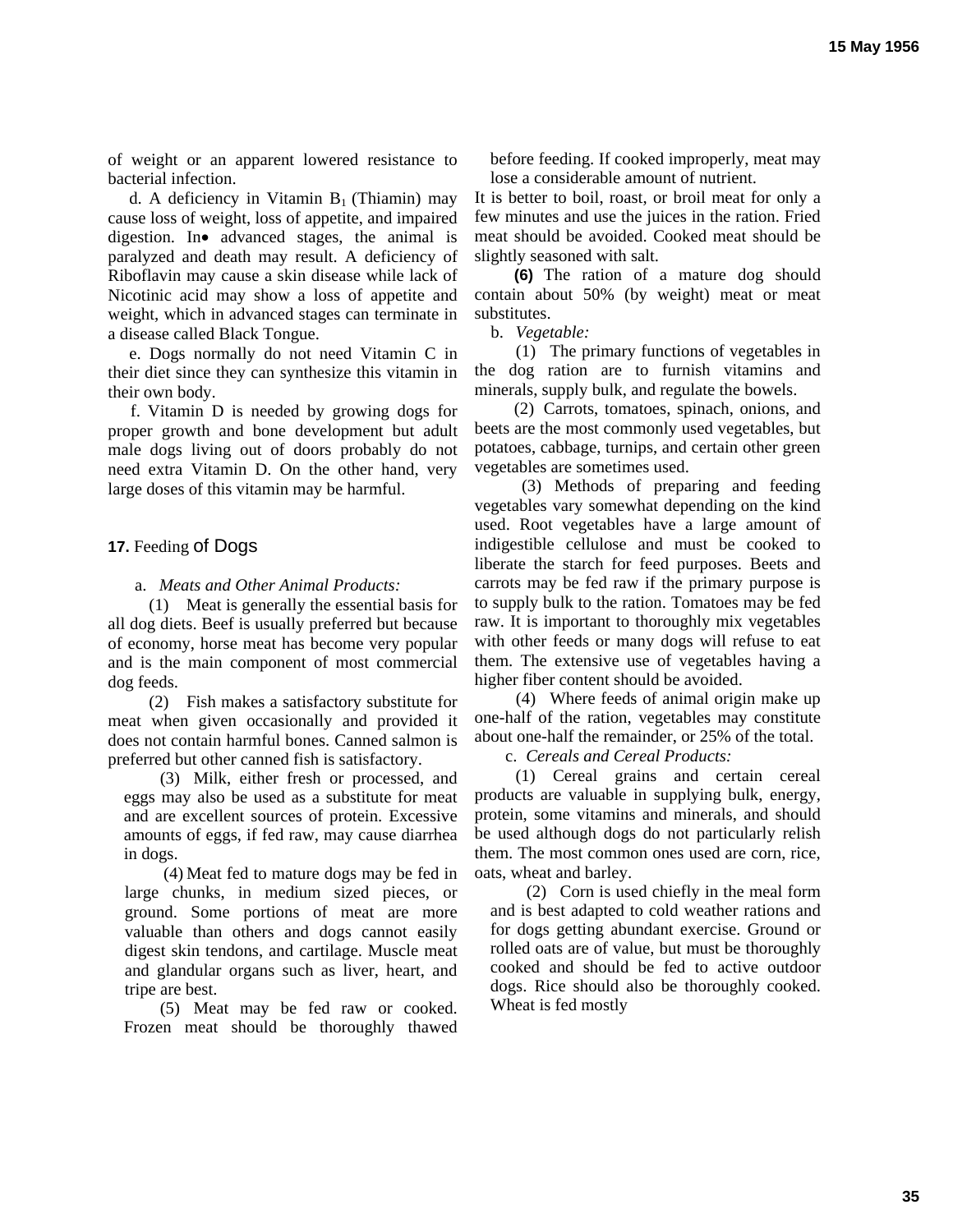of weight or an apparent lowered resistance to bacterial infection.

d. A deficiency in Vitamin  $B_1$  (Thiamin) may cause loss of weight, loss of appetite, and impaired digestion. In• advanced stages, the animal is paralyzed and death may result. A deficiency of Riboflavin may cause a skin disease while lack of Nicotinic acid may show a loss of appetite and weight, which in advanced stages can terminate in a disease called Black Tongue.

e. Dogs normally do not need Vitamin C in their diet since they can synthesize this vitamin in their own body.

f. Vitamin D is needed by growing dogs for proper growth and bone development but adult male dogs living out of doors probably do not need extra Vitamin D. On the other hand, very large doses of this vitamin may be harmful.

## **17.** Feeding of Dogs

a. *Meats and Other Animal Products:* 

(1) Meat is generally the essential basis for all dog diets. Beef is usually preferred but because of economy, horse meat has become very popular and is the main component of most commercial dog feeds.

(2) Fish makes a satisfactory substitute for meat when given occasionally and provided it does not contain harmful bones. Canned salmon is preferred but other canned fish is satisfactory.

(3) Milk, either fresh or processed, and eggs may also be used as a substitute for meat and are excellent sources of protein. Excessive amounts of eggs, if fed raw, may cause diarrhea in dogs.

(4) Meat fed to mature dogs may be fed in large chunks, in medium sized pieces, or ground. Some portions of meat are more valuable than others and dogs cannot easily digest skin tendons, and cartilage. Muscle meat and glandular organs such as liver, heart, and tripe are best.

(5) Meat may be fed raw or cooked. Frozen meat should be thoroughly thawed before feeding. If cooked improperly, meat may lose a considerable amount of nutrient.

It is better to boil, roast, or broil meat for only a few minutes and use the juices in the ration. Fried meat should be avoided. Cooked meat should be slightly seasoned with salt.

**(6)** The ration of a mature dog should contain about 50% (by weight) meat or meat substitutes.

b. *Vegetable:* 

(1) The primary functions of vegetables in the dog ration are to furnish vitamins and minerals, supply bulk, and regulate the bowels.

(2) Carrots, tomatoes, spinach, onions, and beets are the most commonly used vegetables, but potatoes, cabbage, turnips, and certain other green vegetables are sometimes used.

(3) Methods of preparing and feeding vegetables vary somewhat depending on the kind used. Root vegetables have a large amount of indigestible cellulose and must be cooked to liberate the starch for feed purposes. Beets and carrots may be fed raw if the primary purpose is to supply bulk to the ration. Tomatoes may be fed raw. It is important to thoroughly mix vegetables with other feeds or many dogs will refuse to eat them. The extensive use of vegetables having a higher fiber content should be avoided.

(4) Where feeds of animal origin make up one-half of the ration, vegetables may constitute about one-half the remainder, or 25% of the total.

c. *Cereals and Cereal Products:* 

(1) Cereal grains and certain cereal products are valuable in supplying bulk, energy, protein, some vitamins and minerals, and should be used although dogs do not particularly relish them. The most common ones used are corn, rice, oats, wheat and barley.

(2) Corn is used chiefly in the meal form and is best adapted to cold weather rations and for dogs getting abundant exercise. Ground or rolled oats are of value, but must be thoroughly cooked and should be fed to active outdoor dogs. Rice should also be thoroughly cooked. Wheat is fed mostly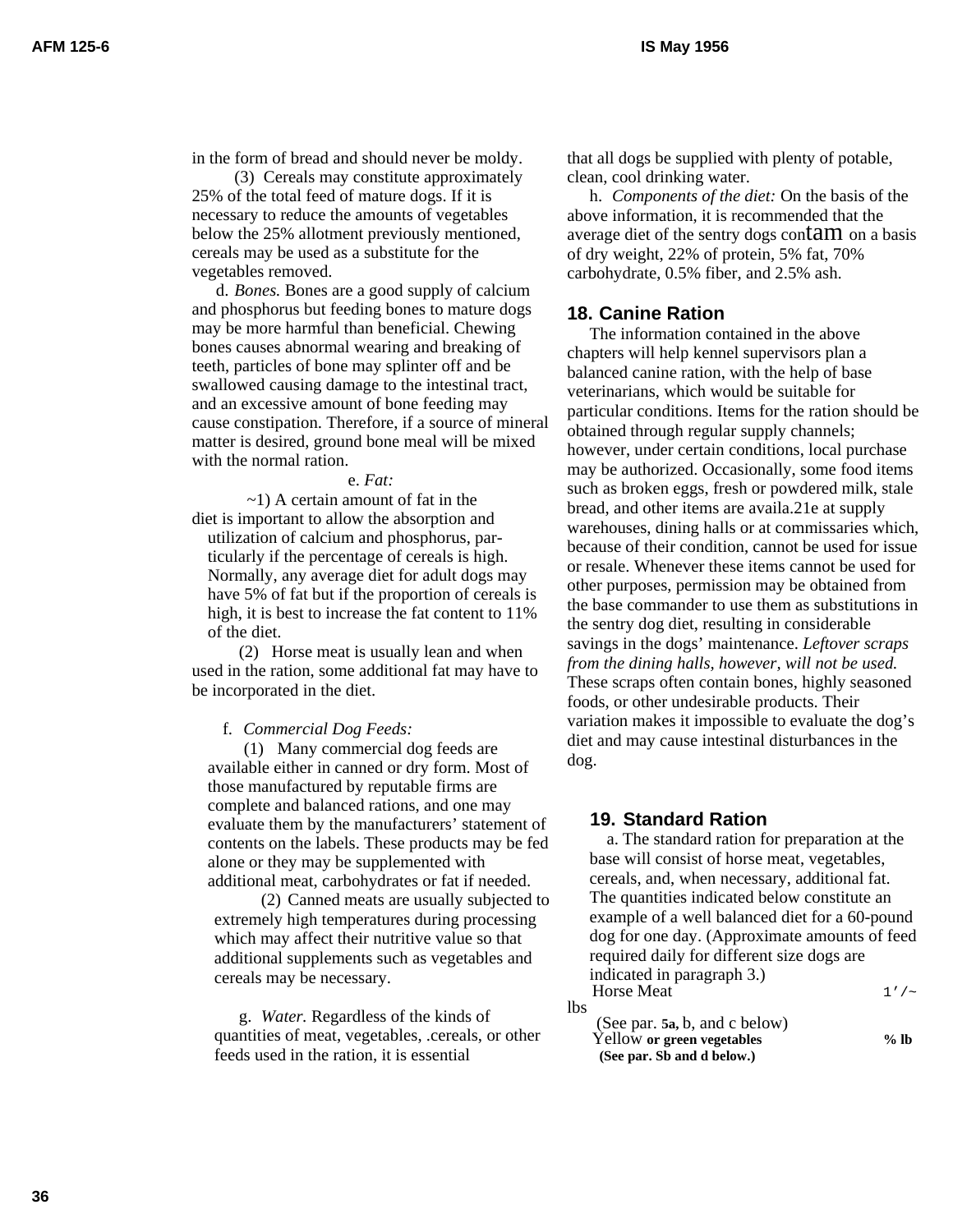in the form of bread and should never be moldy.

(3) Cereals may constitute approximately 25% of the total feed of mature dogs. If it is necessary to reduce the amounts of vegetables below the 25% allotment previously mentioned, cereals may be used as a substitute for the vegetables removed.

d. *Bones.* Bones are a good supply of calcium and phosphorus but feeding bones to mature dogs may be more harmful than beneficial. Chewing bones causes abnormal wearing and breaking of teeth, particles of bone may splinter off and be swallowed causing damage to the intestinal tract, and an excessive amount of bone feeding may cause constipation. Therefore, if a source of mineral matter is desired, ground bone meal will be mixed with the normal ration.

e. *Fat:* 

 $\sim$ 1) A certain amount of fat in the diet is important to allow the absorption and utilization of calcium and phosphorus, particularly if the percentage of cereals is high. Normally, any average diet for adult dogs may have 5% of fat but if the proportion of cereals is high, it is best to increase the fat content to 11% of the diet.

(2) Horse meat is usually lean and when used in the ration, some additional fat may have to be incorporated in the diet.

f. *Commercial Dog Feeds:* 

(1) Many commercial dog feeds are available either in canned or dry form. Most of those manufactured by reputable firms are complete and balanced rations, and one may evaluate them by the manufacturers' statement of contents on the labels. These products may be fed alone or they may be supplemented with additional meat, carbohydrates or fat if needed.

(2) Canned meats are usually subjected to extremely high temperatures during processing which may affect their nutritive value so that additional supplements such as vegetables and cereals may be necessary.

g. *Water.* Regardless of the kinds of quantities of meat, vegetables, .cereals, or other feeds used in the ration, it is essential

that all dogs be supplied with plenty of potable, clean, cool drinking water.

h. *Components of the diet:* On the basis of the above information, it is recommended that the average diet of the sentry dogs contam on a basis of dry weight, 22% of protein, 5% fat, 70% carbohydrate, 0.5% fiber, and 2.5% ash.

### **18. Canine Ration**

The information contained in the above chapters will help kennel supervisors plan a balanced canine ration, with the help of base veterinarians, which would be suitable for particular conditions. Items for the ration should be obtained through regular supply channels; however, under certain conditions, local purchase may be authorized. Occasionally, some food items such as broken eggs, fresh or powdered milk, stale bread, and other items are availa.21e at supply warehouses, dining halls or at commissaries which, because of their condition, cannot be used for issue or resale. Whenever these items cannot be used for other purposes, permission may be obtained from the base commander to use them as substitutions in the sentry dog diet, resulting in considerable savings in the dogs' maintenance. *Leftover scraps from the dining halls, however, will not be used.*  These scraps often contain bones, highly seasoned foods, or other undesirable products. Their variation makes it impossible to evaluate the dog's diet and may cause intestinal disturbances in the dog.

### **19. Standard Ration**

a. The standard ration for preparation at the base will consist of horse meat, vegetables, cereals, and, when necessary, additional fat. The quantities indicated below constitute an example of a well balanced diet for a 60-pound dog for one day. (Approximate amounts of feed required daily for different size dogs are indicated in paragraph 3.) Horse Meat  $1'/\sim$ lbs

 (See par. **5a,** b, and c below) Yellow or green vegetables  $\%$  lb  **(See par. Sb and d below.)**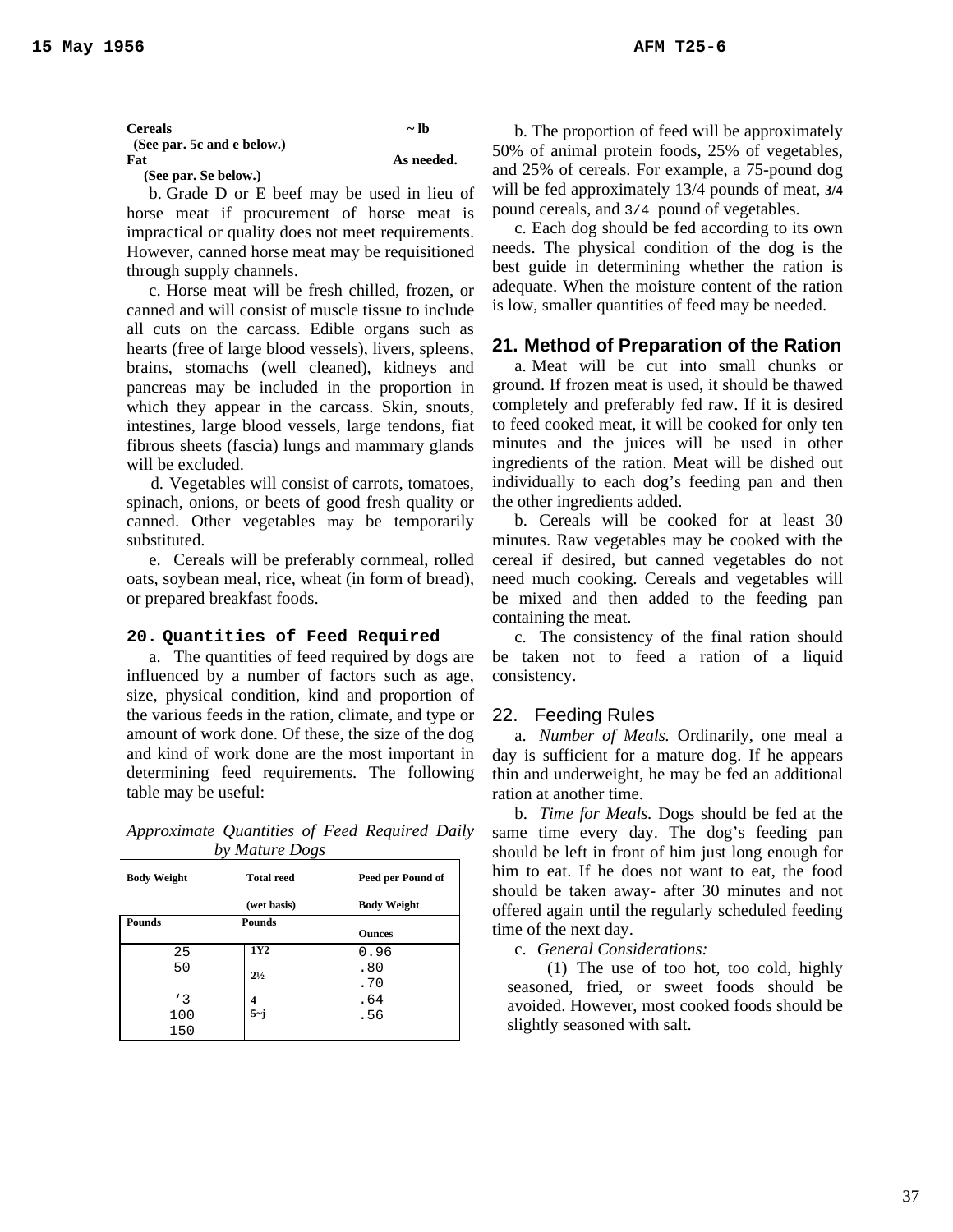| <b>Cereals</b>             | $\sim$ lb  |
|----------------------------|------------|
| (See par. 5c and e below.) |            |
| Fat                        | As needed. |

**(See par. Se below.)**  b. Grade D or E beef may be used in lieu of horse meat if procurement of horse meat is impractical or quality does not meet requirements. However, canned horse meat may be requisitioned through supply channels.

c. Horse meat will be fresh chilled, frozen, or canned and will consist of muscle tissue to include all cuts on the carcass. Edible organs such as hearts (free of large blood vessels), livers, spleens, brains, stomachs (well cleaned), kidneys and pancreas may be included in the proportion in which they appear in the carcass. Skin, snouts, intestines, large blood vessels, large tendons, fiat fibrous sheets (fascia) lungs and mammary glands will be excluded.

d. Vegetables will consist of carrots, tomatoes, spinach, onions, or beets of good fresh quality or canned. Other vegetables may be temporarily substituted.

e. Cereals will be preferably cornmeal, rolled oats, soybean meal, rice, wheat (in form of bread), or prepared breakfast foods.

#### **20. Quantities of Feed Required**

a. The quantities of feed required by dogs are influenced by a number of factors such as age, size, physical condition, kind and proportion of the various feeds in the ration, climate, and type or amount of work done. Of these, the size of the dog and kind of work done are the most important in determining feed requirements. The following table may be useful:

*Approximate Quantities of Feed Required Daily by Mature Dogs* 

| $\cdot$                                 |                    |
|-----------------------------------------|--------------------|
| <b>Body Weight</b><br><b>Total reed</b> |                    |
| (wet basis)                             | <b>Body Weight</b> |
| <b>Pounds</b><br><b>Pounds</b>          |                    |
|                                         | <b>Ounces</b>      |
| 1Y <sub>2</sub>                         | 0.96               |
|                                         | .80                |
|                                         | .70                |
| 4                                       | .64                |
| $5 - j$                                 | .56                |
|                                         |                    |
|                                         | $2^{1/2}$          |

b. The proportion of feed will be approximately 50% of animal protein foods, 25% of vegetables, and 25% of cereals. For example, a 75-pound dog will be fed approximately 13/4 pounds of meat, **3/4**  pound cereals, and 3/4 pound of vegetables.

c. Each dog should be fed according to its own needs. The physical condition of the dog is the best guide in determining whether the ration is adequate. When the moisture content of the ration is low, smaller quantities of feed may be needed.

## **21. Method of Preparation of the Ration**

a. Meat will be cut into small chunks or ground. If frozen meat is used, it should be thawed completely and preferably fed raw. If it is desired to feed cooked meat, it will be cooked for only ten minutes and the juices will be used in other ingredients of the ration. Meat will be dished out individually to each dog's feeding pan and then the other ingredients added.

b. Cereals will be cooked for at least 30 minutes. Raw vegetables may be cooked with the cereal if desired, but canned vegetables do not need much cooking. Cereals and vegetables will be mixed and then added to the feeding pan containing the meat.

c. The consistency of the final ration should be taken not to feed a ration of a liquid consistency.

## 22. Feeding Rules

a. *Number of Meals.* Ordinarily, one meal a day is sufficient for a mature dog. If he appears thin and underweight, he may be fed an additional ration at another time.

b. *Time for Meals.* Dogs should be fed at the same time every day. The dog's feeding pan should be left in front of him just long enough for him to eat. If he does not want to eat, the food should be taken away- after 30 minutes and not offered again until the regularly scheduled feeding time of the next day.

c. *General Considerations:* 

(1) The use of too hot, too cold, highly seasoned, fried, or sweet foods should be avoided. However, most cooked foods should be slightly seasoned with salt.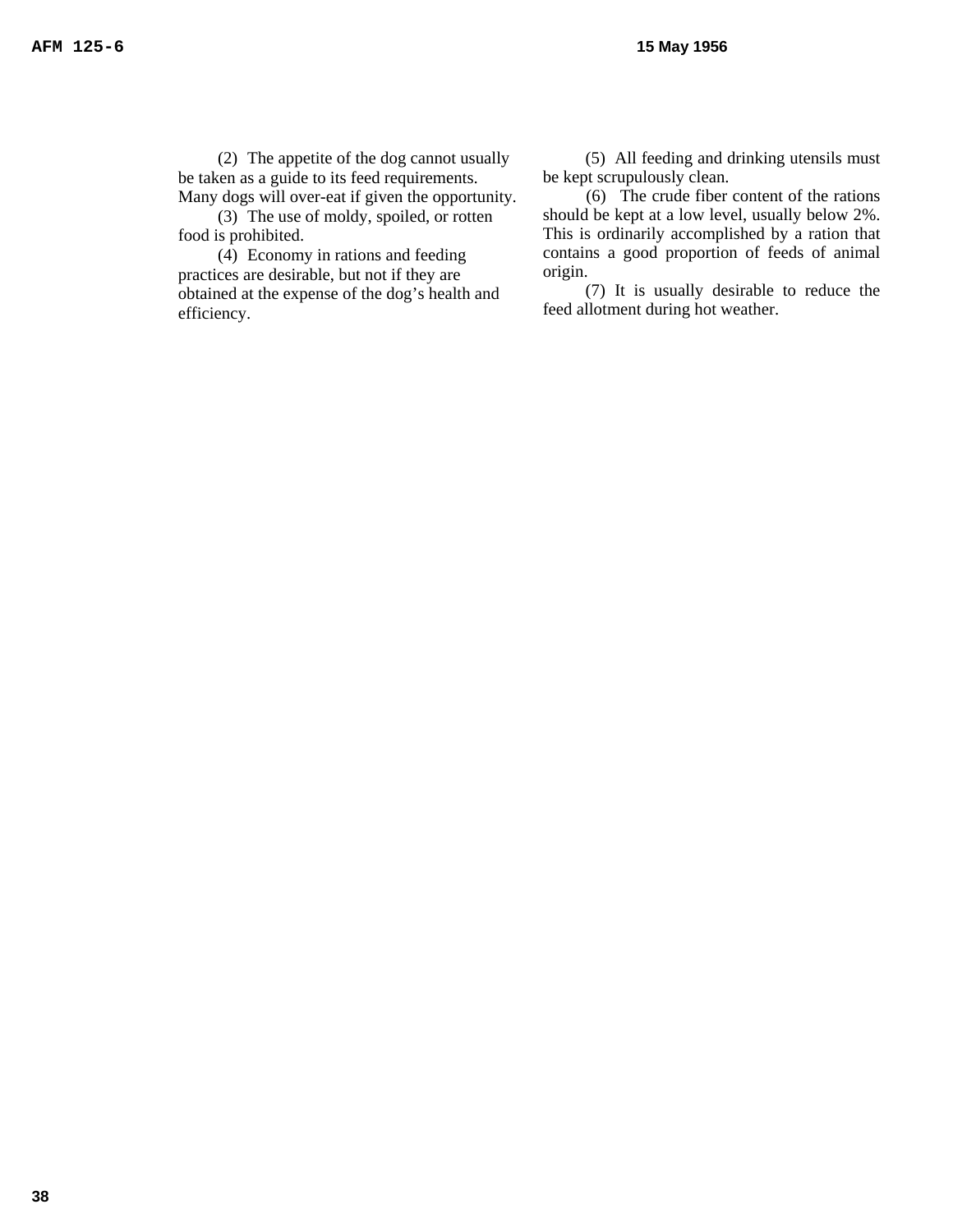(2) The appetite of the dog cannot usually be taken as a guide to its feed requirements. Many dogs will over-eat if given the opportunity.

(3) The use of moldy, spoiled, or rotten food is prohibited.

(4) Economy in rations and feeding practices are desirable, but not if they are obtained at the expense of the dog's health and efficiency.

(5) All feeding and drinking utensils must be kept scrupulously clean.

(6) The crude fiber content of the rations should be kept at a low level, usually below 2%. This is ordinarily accomplished by a ration that contains a good proportion of feeds of animal origin.

(7) It is usually desirable to reduce the feed allotment during hot weather.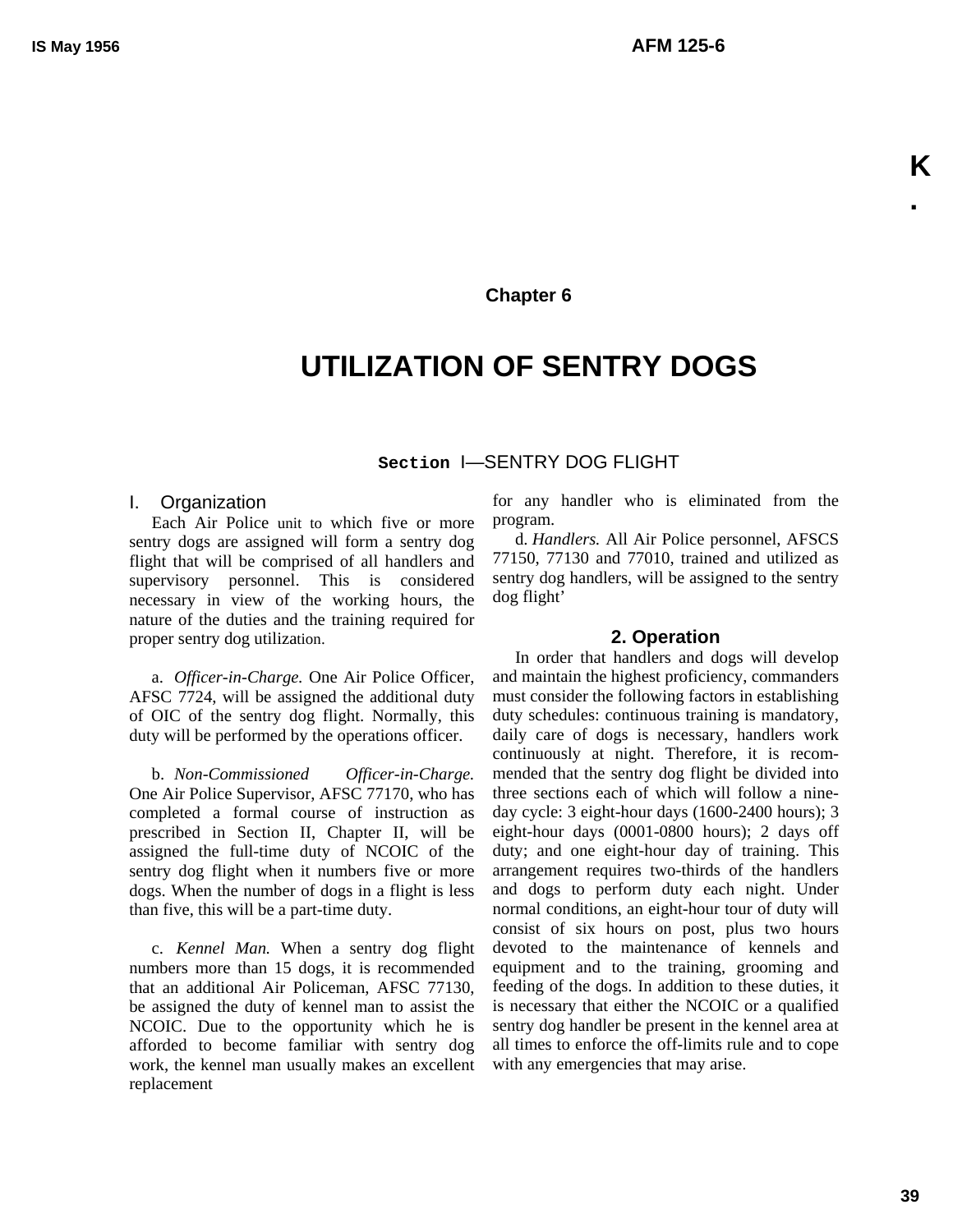**.** 

## **Chapter 6**

## **UTILIZATION OF SENTRY DOGS**

## **Section** I—SENTRY DOG FLIGHT

#### I. Organization

Each Air Police unit to which five or more sentry dogs are assigned will form a sentry dog flight that will be comprised of all handlers and supervisory personnel. This is considered necessary in view of the working hours, the nature of the duties and the training required for proper sentry dog utilization.

a. *Officer-in-Charge.* One Air Police Officer, AFSC 7724, will be assigned the additional duty of OIC of the sentry dog flight. Normally, this duty will be performed by the operations officer.

b. *Non-Commissioned Officer-in-Charge.*  One Air Police Supervisor, AFSC 77170, who has completed a formal course of instruction as prescribed in Section II, Chapter II, will be assigned the full-time duty of NCOIC of the sentry dog flight when it numbers five or more dogs. When the number of dogs in a flight is less than five, this will be a part-time duty.

c. *Kennel Man.* When a sentry dog flight numbers more than 15 dogs, it is recommended that an additional Air Policeman, AFSC 77130, be assigned the duty of kennel man to assist the NCOIC. Due to the opportunity which he is afforded to become familiar with sentry dog work, the kennel man usually makes an excellent replacement

for any handler who is eliminated from the program.

d. *Handlers.* All Air Police personnel, AFSCS 77150, 77130 and 77010, trained and utilized as sentry dog handlers, will be assigned to the sentry dog flight'

### **2. Operation**

In order that handlers and dogs will develop and maintain the highest proficiency, commanders must consider the following factors in establishing duty schedules: continuous training is mandatory, daily care of dogs is necessary, handlers work continuously at night. Therefore, it is recommended that the sentry dog flight be divided into three sections each of which will follow a nineday cycle: 3 eight-hour days (1600-2400 hours); 3 eight-hour days (0001-0800 hours); 2 days off duty; and one eight-hour day of training. This arrangement requires two-thirds of the handlers and dogs to perform duty each night. Under normal conditions, an eight-hour tour of duty will consist of six hours on post, plus two hours devoted to the maintenance of kennels and equipment and to the training, grooming and feeding of the dogs. In addition to these duties, it is necessary that either the NCOIC or a qualified sentry dog handler be present in the kennel area at all times to enforce the off-limits rule and to cope with any emergencies that may arise.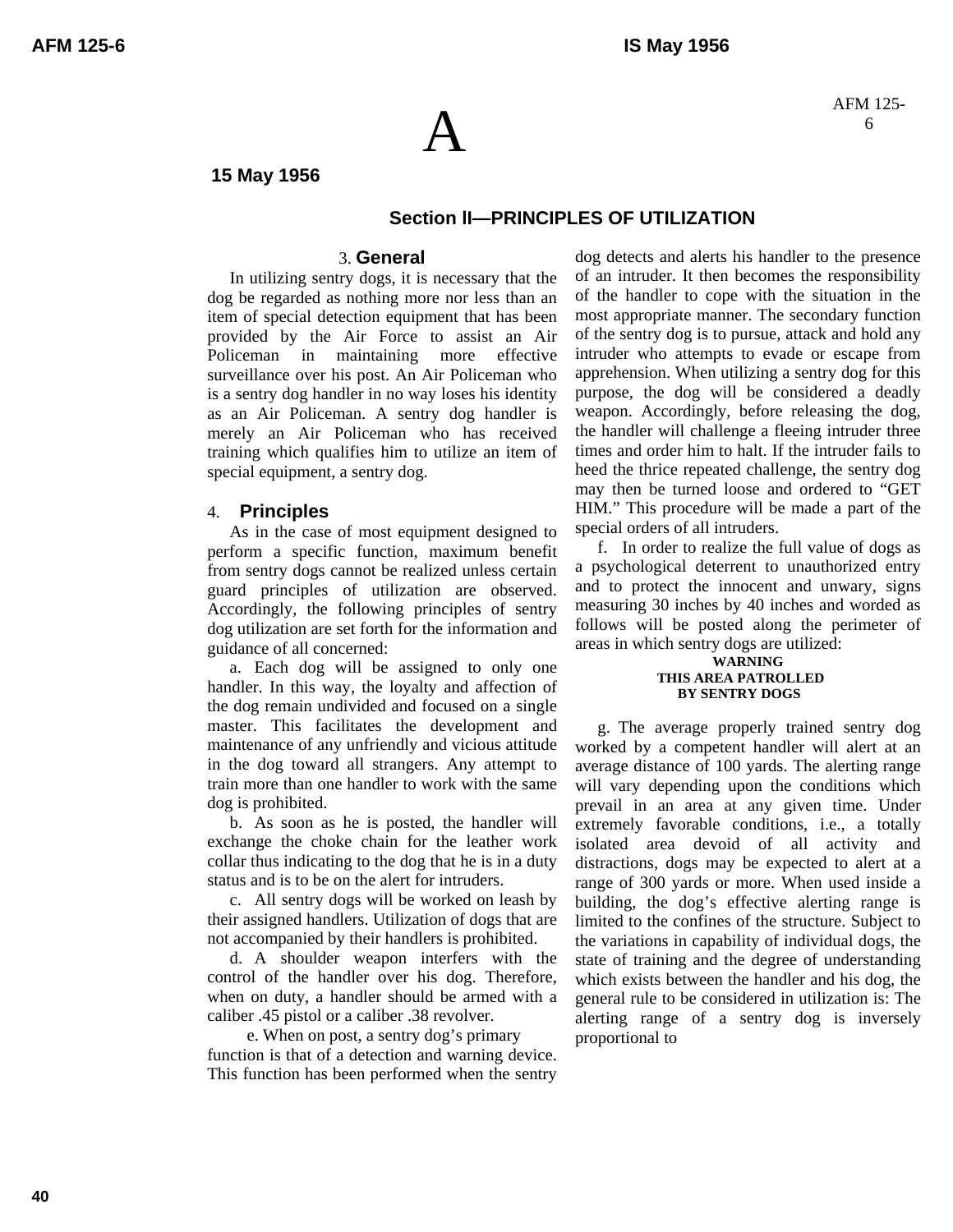

### **15 May 1956**

#### **Section lI—PRINCIPLES OF UTILIZATION**

#### 3. **General**

In utilizing sentry dogs, it is necessary that the dog be regarded as nothing more nor less than an item of special detection equipment that has been provided by the Air Force to assist an Air Policeman in maintaining more effective surveillance over his post. An Air Policeman who is a sentry dog handler in no way loses his identity as an Air Policeman. A sentry dog handler is merely an Air Policeman who has received training which qualifies him to utilize an item of special equipment, a sentry dog.

#### 4. **Principles**

As in the case of most equipment designed to perform a specific function, maximum benefit from sentry dogs cannot be realized unless certain guard principles of utilization are observed. Accordingly, the following principles of sentry dog utilization are set forth for the information and guidance of all concerned:

a. Each dog will be assigned to only one handler. In this way, the loyalty and affection of the dog remain undivided and focused on a single master. This facilitates the development and maintenance of any unfriendly and vicious attitude in the dog toward all strangers. Any attempt to train more than one handler to work with the same dog is prohibited.

b. As soon as he is posted, the handler will exchange the choke chain for the leather work collar thus indicating to the dog that he is in a duty status and is to be on the alert for intruders.

c. All sentry dogs will be worked on leash by their assigned handlers. Utilization of dogs that are not accompanied by their handlers is prohibited.

d. A shoulder weapon interfers with the control of the handler over his dog. Therefore, when on duty, a handler should be armed with a caliber .45 pistol or a caliber .38 revolver.

e. When on post, a sentry dog's primary function is that of a detection and warning device. This function has been performed when the sentry dog detects and alerts his handler to the presence of an intruder. It then becomes the responsibility of the handler to cope with the situation in the most appropriate manner. The secondary function of the sentry dog is to pursue, attack and hold any intruder who attempts to evade or escape from apprehension. When utilizing a sentry dog for this purpose, the dog will be considered a deadly weapon. Accordingly, before releasing the dog, the handler will challenge a fleeing intruder three times and order him to halt. If the intruder fails to heed the thrice repeated challenge, the sentry dog may then be turned loose and ordered to "GET HIM." This procedure will be made a part of the special orders of all intruders.

AFM 125- 6

f. In order to realize the full value of dogs as a psychological deterrent to unauthorized entry and to protect the innocent and unwary, signs measuring 30 inches by 40 inches and worded as follows will be posted along the perimeter of areas in which sentry dogs are utilized:

#### **WARNING THIS AREA PATROLLED BY SENTRY DOGS**

g. The average properly trained sentry dog worked by a competent handler will alert at an average distance of 100 yards. The alerting range will vary depending upon the conditions which prevail in an area at any given time. Under extremely favorable conditions, i.e., a totally isolated area devoid of all activity and distractions, dogs may be expected to alert at a range of 300 yards or more. When used inside a building, the dog's effective alerting range is limited to the confines of the structure. Subject to the variations in capability of individual dogs, the state of training and the degree of understanding which exists between the handler and his dog, the general rule to be considered in utilization is: The alerting range of a sentry dog is inversely proportional to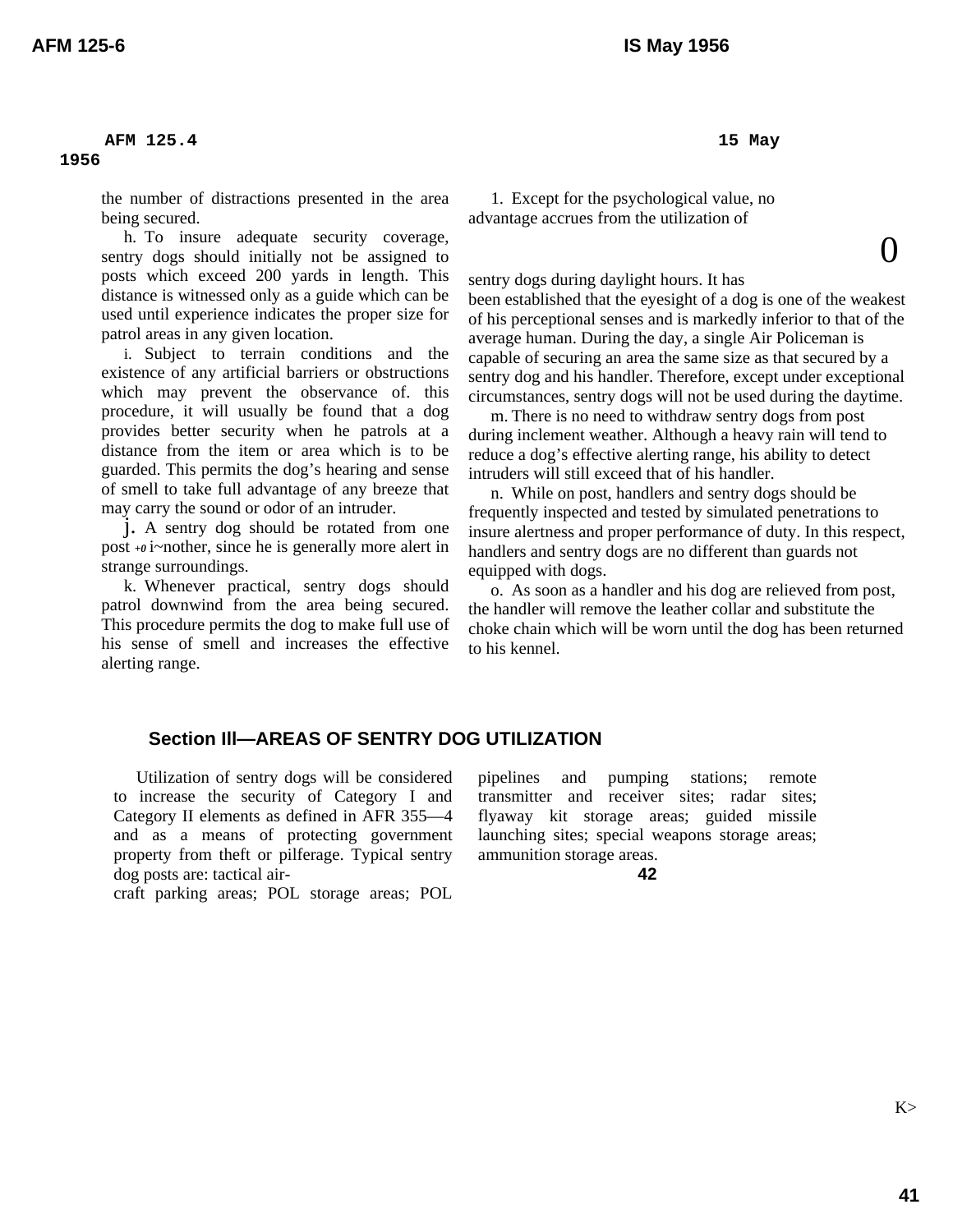### **AFM 125.4** 15 May

#### **1956**

the number of distractions presented in the area being secured.

h. To insure adequate security coverage, sentry dogs should initially not be assigned to posts which exceed 200 yards in length. This distance is witnessed only as a guide which can be used until experience indicates the proper size for patrol areas in any given location.

i. Subject to terrain conditions and the existence of any artificial barriers or obstructions which may prevent the observance of. this procedure, it will usually be found that a dog provides better security when he patrols at a distance from the item or area which is to be guarded. This permits the dog's hearing and sense of smell to take full advantage of any breeze that may carry the sound or odor of an intruder.

j. A sentry dog should be rotated from one post *+0* i~nother, since he is generally more alert in strange surroundings.

k. Whenever practical, sentry dogs should patrol downwind from the area being secured. This procedure permits the dog to make full use of his sense of smell and increases the effective alerting range.

1. Except for the psychological value, no advantage accrues from the utilization of

sentry dogs during daylight hours. It has been established that the eyesight of a dog is one of the weakest of his perceptional senses and is markedly inferior to that of the average human. During the day, a single Air Policeman is capable of securing an area the same size as that secured by a sentry dog and his handler. Therefore, except under exceptional circumstances, sentry dogs will not be used during the daytime.

m. There is no need to withdraw sentry dogs from post during inclement weather. Although a heavy rain will tend to reduce a dog's effective alerting range, his ability to detect intruders will still exceed that of his handler.

n. While on post, handlers and sentry dogs should be frequently inspected and tested by simulated penetrations to insure alertness and proper performance of duty. In this respect, handlers and sentry dogs are no different than guards not equipped with dogs.

o. As soon as a handler and his dog are relieved from post, the handler will remove the leather collar and substitute the choke chain which will be worn until the dog has been returned to his kennel.

## **Section Ill—AREAS OF SENTRY DOG UTILIZATION**

Utilization of sentry dogs will be considered to increase the security of Category I and Category II elements as defined in AFR 355—4 and as a means of protecting government property from theft or pilferage. Typical sentry dog posts are: tactical air-

craft parking areas; POL storage areas; POL

pipelines and pumping stations; remote transmitter and receiver sites; radar sites; flyaway kit storage areas; guided missile launching sites; special weapons storage areas; ammunition storage areas.

**42** 

 $\mathbf{\Omega}$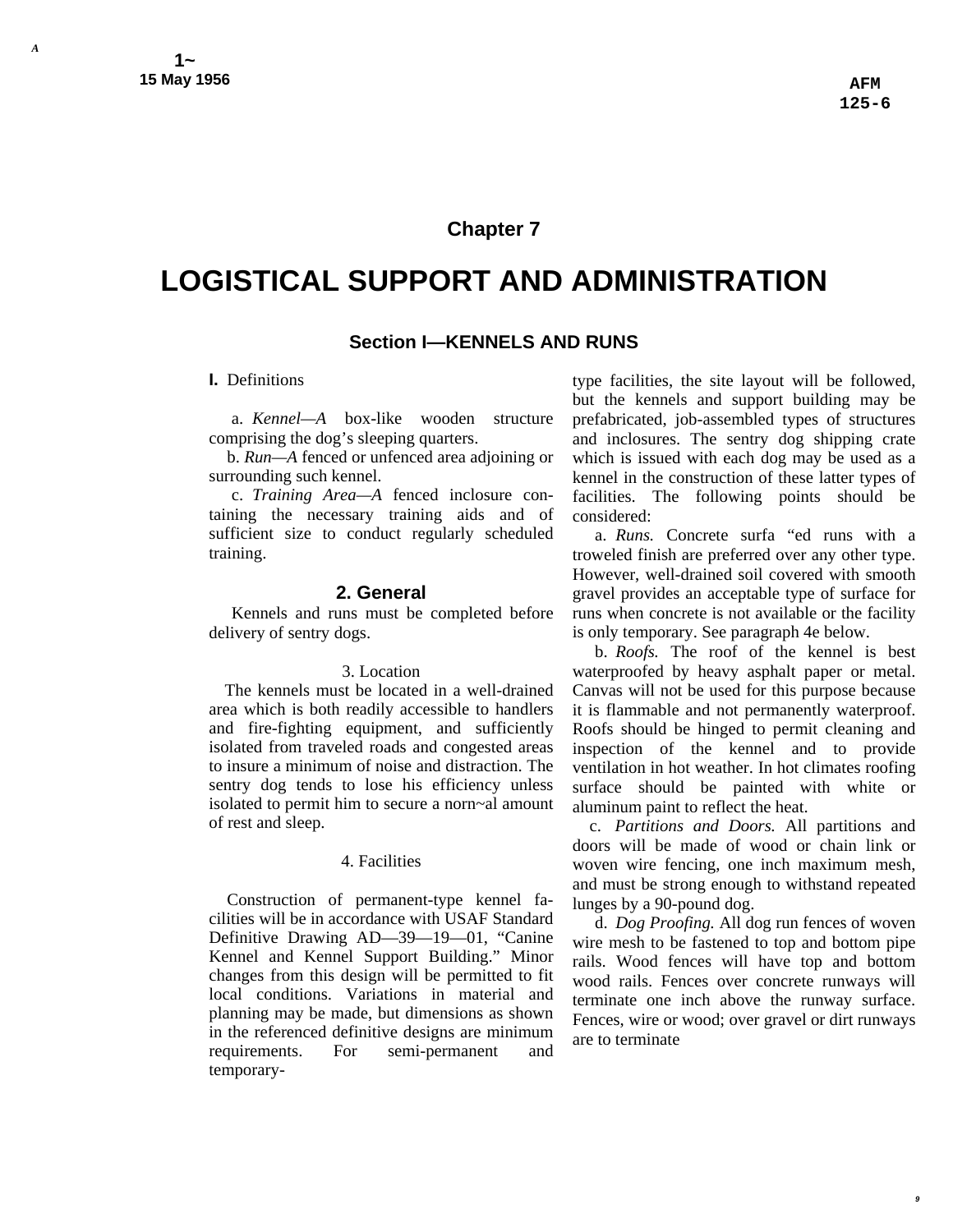*A*

## **Chapter 7**

## **LOGISTICAL SUPPORT AND ADMINISTRATION**

## **Section I—KENNELS AND RUNS**

#### **I.** Definitions

a. *Kennel—A* box-like wooden structure comprising the dog's sleeping quarters.

b. *Run—A* fenced or unfenced area adjoining or surrounding such kennel.

c. *Training Area—A* fenced inclosure containing the necessary training aids and of sufficient size to conduct regularly scheduled training.

#### **2. General**

Kennels and runs must be completed before delivery of sentry dogs.

#### 3. Location

The kennels must be located in a well-drained area which is both readily accessible to handlers and fire-fighting equipment, and sufficiently isolated from traveled roads and congested areas to insure a minimum of noise and distraction. The sentry dog tends to lose his efficiency unless isolated to permit him to secure a norn~al amount of rest and sleep.

#### 4. Facilities

Construction of permanent-type kennel facilities will be in accordance with USAF Standard Definitive Drawing AD—39—19—01, "Canine Kennel and Kennel Support Building." Minor changes from this design will be permitted to fit local conditions. Variations in material and planning may be made, but dimensions as shown in the referenced definitive designs are minimum requirements. For semi-permanent and temporarytype facilities, the site layout will be followed, but the kennels and support building may be prefabricated, job-assembled types of structures and inclosures. The sentry dog shipping crate which is issued with each dog may be used as a kennel in the construction of these latter types of facilities. The following points should be considered:

a. *Runs.* Concrete surfa "ed runs with a troweled finish are preferred over any other type. However, well-drained soil covered with smooth gravel provides an acceptable type of surface for runs when concrete is not available or the facility is only temporary. See paragraph 4e below.

b. *Roofs.* The roof of the kennel is best waterproofed by heavy asphalt paper or metal. Canvas will not be used for this purpose because it is flammable and not permanently waterproof. Roofs should be hinged to permit cleaning and inspection of the kennel and to provide ventilation in hot weather. In hot climates roofing surface should be painted with white or aluminum paint to reflect the heat.

c. *Partitions and Doors.* All partitions and doors will be made of wood or chain link or woven wire fencing, one inch maximum mesh, and must be strong enough to withstand repeated lunges by a 90-pound dog.

d. *Dog Proofing.* All dog run fences of woven wire mesh to be fastened to top and bottom pipe rails. Wood fences will have top and bottom wood rails. Fences over concrete runways will terminate one inch above the runway surface. Fences, wire or wood; over gravel or dirt runways are to terminate

*9*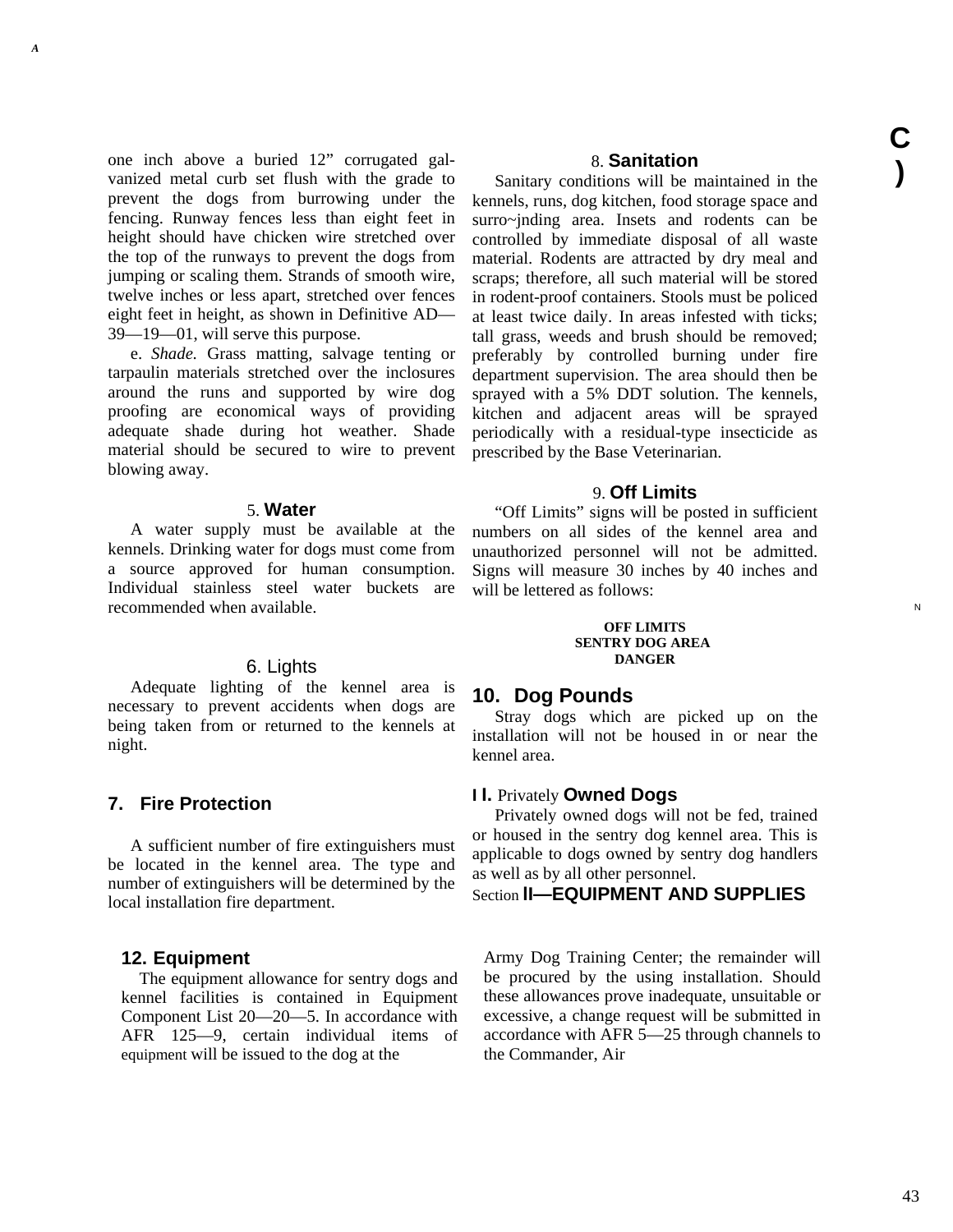N

one inch above a buried 12" corrugated gal-<br>vanized metal curb set flush with the grade to Sanitary conditions will be maintained in the prevent the dogs from burrowing under the fencing. Runway fences less than eight feet in height should have chicken wire stretched over the top of the runways to prevent the dogs from jumping or scaling them. Strands of smooth wire, twelve inches or less apart, stretched over fences eight feet in height, as shown in Definitive AD— 39—19—01, will serve this purpose.

*A*

e. *Shade.* Grass matting, salvage tenting or tarpaulin materials stretched over the inclosures around the runs and supported by wire dog proofing are economical ways of providing adequate shade during hot weather. Shade material should be secured to wire to prevent blowing away.

#### 5. **Water**

A water supply must be available at the kennels. Drinking water for dogs must come from a source approved for human consumption. Individual stainless steel water buckets are recommended when available.

### 6. Lights

Adequate lighting of the kennel area is necessary to prevent accidents when dogs are being taken from or returned to the kennels at night.

#### **7. Fire Protection**

A sufficient number of fire extinguishers must be located in the kennel area. The type and number of extinguishers will be determined by the local installation fire department.

### **12. Equipment**

The equipment allowance for sentry dogs and kennel facilities is contained in Equipment Component List 20—20—5. In accordance with AFR 125—9, certain individual items of equipment will be issued to the dog at the

#### 8. **Sanitation**

Sanitary conditions will be maintained in the kennels, runs, dog kitchen, food storage space and surro~jnding area. Insets and rodents can be controlled by immediate disposal of all waste material. Rodents are attracted by dry meal and scraps; therefore, all such material will be stored in rodent-proof containers. Stools must be policed at least twice daily. In areas infested with ticks; tall grass, weeds and brush should be removed; preferably by controlled burning under fire department supervision. The area should then be sprayed with a 5% DDT solution. The kennels, kitchen and adjacent areas will be sprayed periodically with a residual-type insecticide as prescribed by the Base Veterinarian.

#### 9. **Off Limits**

"Off Limits" signs will be posted in sufficient numbers on all sides of the kennel area and unauthorized personnel will not be admitted. Signs will measure 30 inches by 40 inches and will be lettered as follows:

#### **OFF LIMITS SENTRY DOG AREA DANGER**

### **10. Dog Pounds**

Stray dogs which are picked up on the installation will not be housed in or near the kennel area.

#### **I I.** Privately **Owned Dogs**

Privately owned dogs will not be fed, trained or housed in the sentry dog kennel area. This is applicable to dogs owned by sentry dog handlers as well as by all other personnel.

### Section **lI—EQUIPMENT AND SUPPLIES**

Army Dog Training Center; the remainder will be procured by the using installation. Should these allowances prove inadequate, unsuitable or excessive, a change request will be submitted in accordance with AFR 5—25 through channels to the Commander, Air